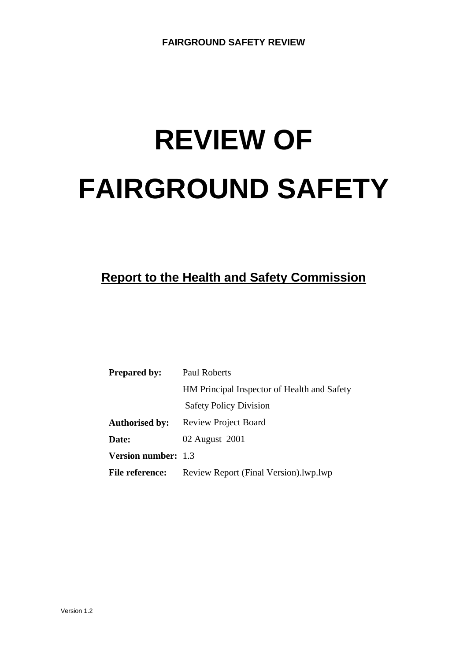# **REVIEW OF FAIRGROUND SAFETY**

# **Report to the Health and Safety Commission**

| <b>Prepared by:</b>        | <b>Paul Roberts</b>                         |  |  |
|----------------------------|---------------------------------------------|--|--|
|                            | HM Principal Inspector of Health and Safety |  |  |
|                            | <b>Safety Policy Division</b>               |  |  |
| <b>Authorised by:</b>      | <b>Review Project Board</b>                 |  |  |
| Date:                      | 02 August 2001                              |  |  |
| <b>Version number: 1.3</b> |                                             |  |  |
| <b>File reference:</b>     | Review Report (Final Version). lwp. lwp     |  |  |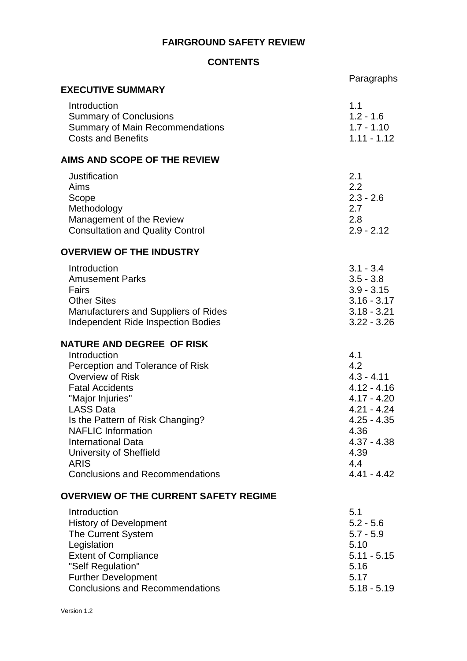# **CONTENTS**

|                                                                                                                                                                                                                                                                                                                                        | Paragraphs                                                                                                                                              |
|----------------------------------------------------------------------------------------------------------------------------------------------------------------------------------------------------------------------------------------------------------------------------------------------------------------------------------------|---------------------------------------------------------------------------------------------------------------------------------------------------------|
| <b>EXECUTIVE SUMMARY</b>                                                                                                                                                                                                                                                                                                               |                                                                                                                                                         |
| Introduction<br><b>Summary of Conclusions</b><br><b>Summary of Main Recommendations</b><br><b>Costs and Benefits</b>                                                                                                                                                                                                                   | 1.1<br>$1.2 - 1.6$<br>$1.7 - 1.10$<br>$1.11 - 1.12$                                                                                                     |
| <b>AIMS AND SCOPE OF THE REVIEW</b>                                                                                                                                                                                                                                                                                                    |                                                                                                                                                         |
| Justification<br>Aims<br>Scope<br>Methodology<br>Management of the Review<br><b>Consultation and Quality Control</b>                                                                                                                                                                                                                   | 2.1<br>2.2<br>$2.3 - 2.6$<br>2.7<br>2.8<br>$2.9 - 2.12$                                                                                                 |
| <b>OVERVIEW OF THE INDUSTRY</b>                                                                                                                                                                                                                                                                                                        |                                                                                                                                                         |
| Introduction<br><b>Amusement Parks</b><br>Fairs<br><b>Other Sites</b><br>Manufacturers and Suppliers of Rides<br>Independent Ride Inspection Bodies                                                                                                                                                                                    | $3.1 - 3.4$<br>$3.5 - 3.8$<br>$3.9 - 3.15$<br>$3.16 - 3.17$<br>$3.18 - 3.21$<br>$3.22 - 3.26$                                                           |
| NATURE AND DEGREE OF RISK                                                                                                                                                                                                                                                                                                              |                                                                                                                                                         |
| Introduction<br>Perception and Tolerance of Risk<br><b>Overview of Risk</b><br><b>Fatal Accidents</b><br>"Major Injuries"<br><b>LASS Data</b><br>Is the Pattern of Risk Changing?<br><b>NAFLIC Information</b><br><b>International Data</b><br><b>University of Sheffield</b><br><b>ARIS</b><br><b>Conclusions and Recommendations</b> | 4.1<br>4.2<br>$4.3 - 4.11$<br>$4.12 - 4.16$<br>$4.17 - 4.20$<br>$4.21 - 4.24$<br>$4.25 - 4.35$<br>4.36<br>$4.37 - 4.38$<br>4.39<br>4.4<br>$4.41 - 4.42$ |
| <b>OVERVIEW OF THE CURRENT SAFETY REGIME</b>                                                                                                                                                                                                                                                                                           |                                                                                                                                                         |
| Introduction<br><b>History of Development</b><br>The Current System<br>Legislation<br><b>Extent of Compliance</b><br>"Self Regulation"<br><b>Further Development</b><br><b>Conclusions and Recommendations</b>                                                                                                                         | 5.1<br>$5.2 - 5.6$<br>$5.7 - 5.9$<br>5.10<br>$5.11 - 5.15$<br>5.16<br>5.17<br>$5.18 - 5.19$                                                             |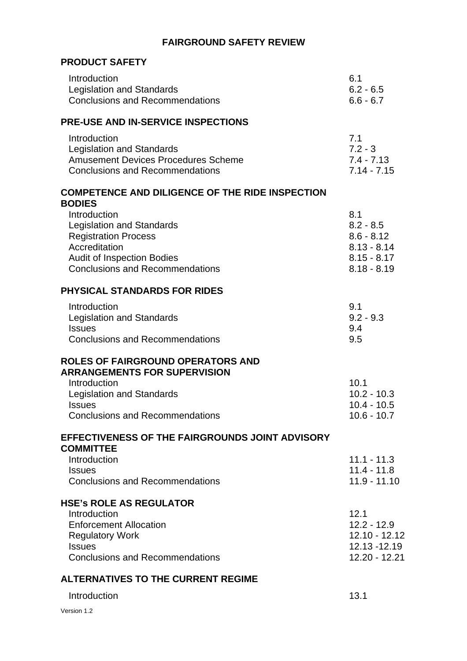# **PRODUCT SAFETY**

| Introduction<br>Legislation and Standards<br><b>Conclusions and Recommendations</b>                                                                                             | 6.1<br>$6.2 - 6.5$<br>$6.6 - 6.7$                                                     |
|---------------------------------------------------------------------------------------------------------------------------------------------------------------------------------|---------------------------------------------------------------------------------------|
| <b>PRE-USE AND IN-SERVICE INSPECTIONS</b>                                                                                                                                       |                                                                                       |
| Introduction<br><b>Legislation and Standards</b><br><b>Amusement Devices Procedures Scheme</b><br><b>Conclusions and Recommendations</b>                                        | 7.1<br>$7.2 - 3$<br>$7.4 - 7.13$<br>$7.14 - 7.15$                                     |
| <b>COMPETENCE AND DILIGENCE OF THE RIDE INSPECTION</b><br><b>BODIES</b>                                                                                                         |                                                                                       |
| Introduction<br><b>Legislation and Standards</b><br><b>Registration Process</b><br>Accreditation<br><b>Audit of Inspection Bodies</b><br><b>Conclusions and Recommendations</b> | 8.1<br>$8.2 - 8.5$<br>$8.6 - 8.12$<br>$8.13 - 8.14$<br>$8.15 - 8.17$<br>$8.18 - 8.19$ |
| <b>PHYSICAL STANDARDS FOR RIDES</b>                                                                                                                                             |                                                                                       |
| Introduction<br><b>Legislation and Standards</b><br><b>Issues</b><br><b>Conclusions and Recommendations</b>                                                                     | 9.1<br>$9.2 - 9.3$<br>9.4<br>9.5                                                      |
| <b>ROLES OF FAIRGROUND OPERATORS AND</b><br><b>ARRANGEMENTS FOR SUPERVISION</b>                                                                                                 |                                                                                       |
| Introduction<br><b>Legislation and Standards</b><br><b>Issues</b><br><b>Conclusions and Recommendations</b>                                                                     | 10.1<br>$10.2 - 10.3$<br>$10.4 - 10.5$<br>$10.6 - 10.7$                               |
| EFFECTIVENESS OF THE FAIRGROUNDS JOINT ADVISORY                                                                                                                                 |                                                                                       |
| <b>COMMITTEE</b><br>Introduction<br><b>Issues</b><br><b>Conclusions and Recommendations</b>                                                                                     | $11.1 - 11.3$<br>$11.4 - 11.8$<br>$11.9 - 11.10$                                      |
| <b>HSE's ROLE AS REGULATOR</b><br>Introduction<br><b>Enforcement Allocation</b><br><b>Regulatory Work</b><br><b>Issues</b><br><b>Conclusions and Recommendations</b>            | 12.1<br>$12.2 - 12.9$<br>12.10 - 12.12<br>12.13 - 12.19<br>12.20 - 12.21              |
| <b>ALTERNATIVES TO THE CURRENT REGIME</b>                                                                                                                                       |                                                                                       |
| Introduction                                                                                                                                                                    | 13.1                                                                                  |

Version 1.2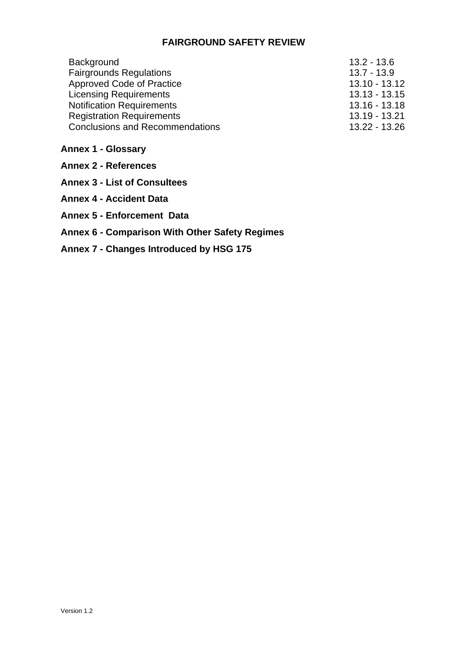| Background                             | $13.2 - 13.6$   |
|----------------------------------------|-----------------|
| <b>Fairgrounds Regulations</b>         | $13.7 - 13.9$   |
| <b>Approved Code of Practice</b>       | $13.10 - 13.12$ |
| <b>Licensing Requirements</b>          | $13.13 - 13.15$ |
| <b>Notification Requirements</b>       | $13.16 - 13.18$ |
| <b>Registration Requirements</b>       | 13.19 - 13.21   |
| <b>Conclusions and Recommendations</b> | 13.22 - 13.26   |

#### **Annex 1 - Glossary**

**Annex 2 - References** 

- **Annex 3 List of Consultees**
- **Annex 4 Accident Data**
- **Annex 5 Enforcement Data**

# **Annex 6 - Comparison With Other Safety Regimes**

# **Annex 7 - Changes Introduced by HSG 175**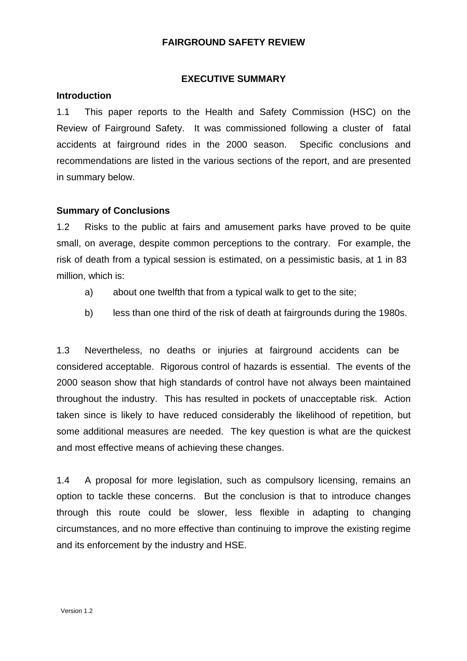#### **EXECUTIVE SUMMARY**

#### **Introduction**

1.1 This paper reports to the Health and Safety Commission (HSC) on the Review of Fairground Safety. It was commissioned following a cluster of fatal accidents at fairground rides in the 2000 season. Specific conclusions and recommendations are listed in the various sections of the report, and are presented in summary below.

#### **Summary of Conclusions**

1.2 Risks to the public at fairs and amusement parks have proved to be quite small, on average, despite common perceptions to the contrary. For example, the risk of death from a typical session is estimated, on a pessimistic basis, at 1 in 83 million, which is:

- a) about one twelfth that from a typical walk to get to the site;
- b) less than one third of the risk of death at fairgrounds during the 1980s.

1.3 Nevertheless, no deaths or injuries at fairground accidents can be considered acceptable. Rigorous control of hazards is essential. The events of the 2000 season show that high standards of control have not always been maintained throughout the industry. This has resulted in pockets of unacceptable risk. Action taken since is likely to have reduced considerably the likelihood of repetition, but some additional measures are needed. The key question is what are the quickest and most effective means of achieving these changes.

1.4 A proposal for more legislation, such as compulsory licensing, remains an option to tackle these concerns. But the conclusion is that to introduce changes through this route could be slower, less flexible in adapting to changing circumstances, and no more effective than continuing to improve the existing regime and its enforcement by the industry and HSE.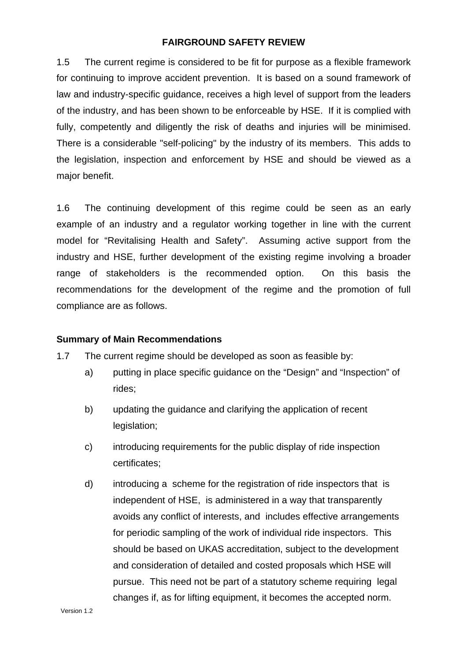1.5 The current regime is considered to be fit for purpose as a flexible framework for continuing to improve accident prevention. It is based on a sound framework of law and industry-specific guidance, receives a high level of support from the leaders of the industry, and has been shown to be enforceable by HSE. If it is complied with fully, competently and diligently the risk of deaths and injuries will be minimised. There is a considerable "self-policing" by the industry of its members. This adds to the legislation, inspection and enforcement by HSE and should be viewed as a major benefit.

1.6 The continuing development of this regime could be seen as an early example of an industry and a regulator working together in line with the current model for "Revitalising Health and Safety". Assuming active support from the industry and HSE, further development of the existing regime involving a broader range of stakeholders is the recommended option. On this basis the recommendations for the development of the regime and the promotion of full compliance are as follows.

#### **Summary of Main Recommendations**

1.7 The current regime should be developed as soon as feasible by:

- a) putting in place specific guidance on the "Design" and "Inspection" of rides;
- b) updating the guidance and clarifying the application of recent legislation;
- c) introducing requirements for the public display of ride inspection certificates;
- d) introducing a scheme for the registration of ride inspectors that is independent of HSE, is administered in a way that transparently avoids any conflict of interests, and includes effective arrangements for periodic sampling of the work of individual ride inspectors. This should be based on UKAS accreditation, subject to the development and consideration of detailed and costed proposals which HSE will pursue. This need not be part of a statutory scheme requiring legal changes if, as for lifting equipment, it becomes the accepted norm.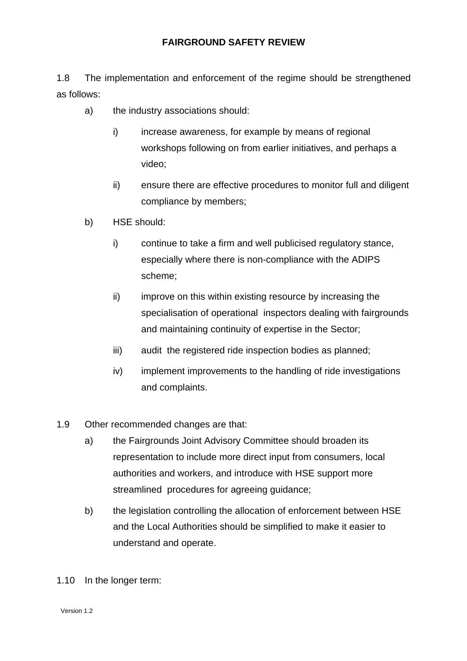1.8 The implementation and enforcement of the regime should be strengthened as follows:

- a) the industry associations should:
	- i) increase awareness, for example by means of regional workshops following on from earlier initiatives, and perhaps a video;
	- ii) ensure there are effective procedures to monitor full and diligent compliance by members;
- b) HSE should:
	- i) continue to take a firm and well publicised regulatory stance, especially where there is non-compliance with the ADIPS scheme;
	- ii) improve on this within existing resource by increasing the specialisation of operational inspectors dealing with fairgrounds and maintaining continuity of expertise in the Sector;
	- iii) audit the registered ride inspection bodies as planned;
	- iv) implement improvements to the handling of ride investigations and complaints.
- 1.9 Other recommended changes are that:
	- a) the Fairgrounds Joint Advisory Committee should broaden its representation to include more direct input from consumers, local authorities and workers, and introduce with HSE support more streamlined procedures for agreeing guidance;
	- b) the legislation controlling the allocation of enforcement between HSE and the Local Authorities should be simplified to make it easier to understand and operate.

1.10 In the longer term: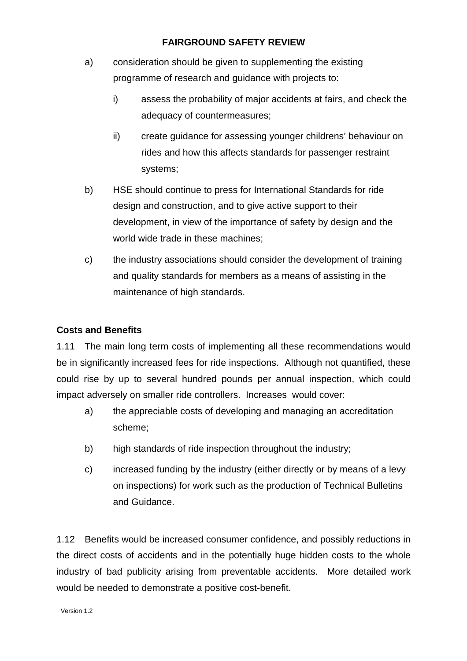- a) consideration should be given to supplementing the existing programme of research and guidance with projects to:
	- i) assess the probability of major accidents at fairs, and check the adequacy of countermeasures;
	- ii) create guidance for assessing younger childrens' behaviour on rides and how this affects standards for passenger restraint systems;
- b) HSE should continue to press for International Standards for ride design and construction, and to give active support to their development, in view of the importance of safety by design and the world wide trade in these machines;
- c) the industry associations should consider the development of training and quality standards for members as a means of assisting in the maintenance of high standards.

# **Costs and Benefits**

1.11 The main long term costs of implementing all these recommendations would be in significantly increased fees for ride inspections. Although not quantified, these could rise by up to several hundred pounds per annual inspection, which could impact adversely on smaller ride controllers. Increases would cover:

- a) the appreciable costs of developing and managing an accreditation scheme;
- b) high standards of ride inspection throughout the industry;
- c) increased funding by the industry (either directly or by means of a levy on inspections) for work such as the production of Technical Bulletins and Guidance.

1.12 Benefits would be increased consumer confidence, and possibly reductions in the direct costs of accidents and in the potentially huge hidden costs to the whole industry of bad publicity arising from preventable accidents. More detailed work would be needed to demonstrate a positive cost-benefit.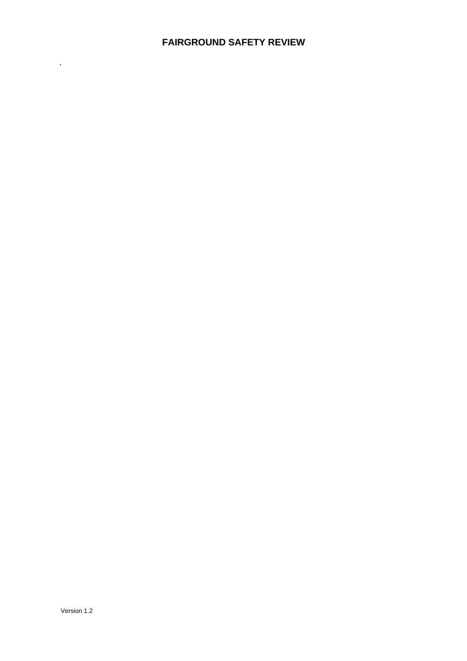.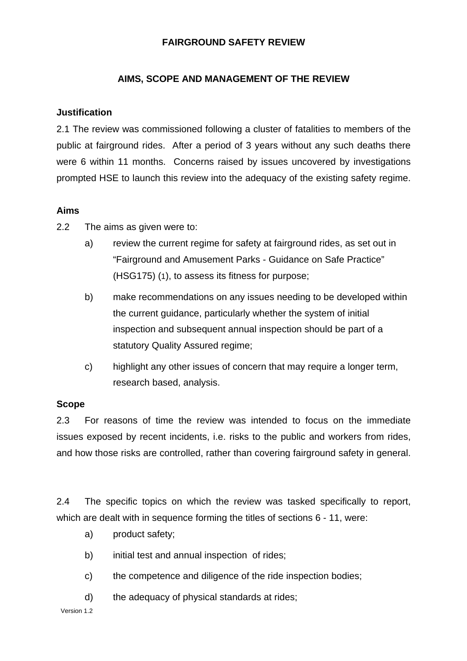# **AIMS, SCOPE AND MANAGEMENT OF THE REVIEW**

#### **Justification**

2.1 The review was commissioned following a cluster of fatalities to members of the public at fairground rides. After a period of 3 years without any such deaths there were 6 within 11 months. Concerns raised by issues uncovered by investigations prompted HSE to launch this review into the adequacy of the existing safety regime.

#### **Aims**

- 2.2 The aims as given were to:
	- a) review the current regime for safety at fairground rides, as set out in "Fairground and Amusement Parks - Guidance on Safe Practice" (HSG175) (1), to assess its fitness for purpose;
	- b) make recommendations on any issues needing to be developed within the current guidance, particularly whether the system of initial inspection and subsequent annual inspection should be part of a statutory Quality Assured regime;
	- c) highlight any other issues of concern that may require a longer term, research based, analysis.

#### **Scope**

2.3 For reasons of time the review was intended to focus on the immediate issues exposed by recent incidents, i.e. risks to the public and workers from rides, and how those risks are controlled, rather than covering fairground safety in general.

2.4 The specific topics on which the review was tasked specifically to report, which are dealt with in sequence forming the titles of sections  $6 - 11$ , were:

- a) product safety;
- b) initial test and annual inspection of rides;
- c) the competence and diligence of the ride inspection bodies;
- d) the adequacy of physical standards at rides;

Version 1.2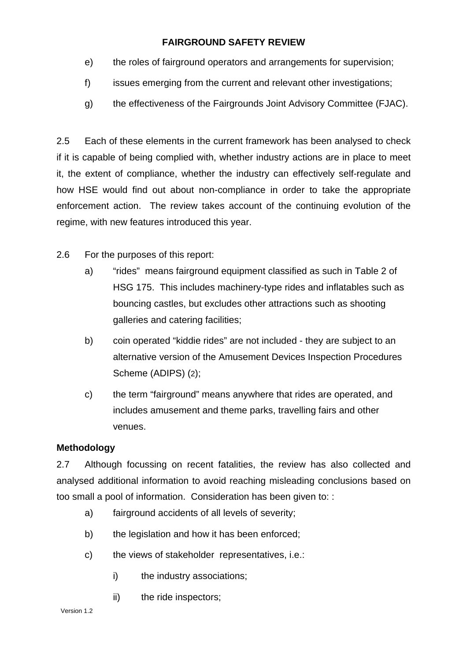- e) the roles of fairground operators and arrangements for supervision;
- f) issues emerging from the current and relevant other investigations:
- g) the effectiveness of the Fairgrounds Joint Advisory Committee (FJAC).

2.5 Each of these elements in the current framework has been analysed to check if it is capable of being complied with, whether industry actions are in place to meet it, the extent of compliance, whether the industry can effectively self-regulate and how HSE would find out about non-compliance in order to take the appropriate enforcement action. The review takes account of the continuing evolution of the regime, with new features introduced this year.

- 2.6 For the purposes of this report:
	- a) "rides" means fairground equipment classified as such in Table 2 of HSG 175. This includes machinery-type rides and inflatables such as bouncing castles, but excludes other attractions such as shooting galleries and catering facilities;
	- b) coin operated "kiddie rides" are not included they are subject to an alternative version of the Amusement Devices Inspection Procedures Scheme (ADIPS) (2);
	- c) the term "fairground" means anywhere that rides are operated, and includes amusement and theme parks, travelling fairs and other venues.

# **Methodology**

2.7 Although focussing on recent fatalities, the review has also collected and analysed additional information to avoid reaching misleading conclusions based on too small a pool of information. Consideration has been given to: :

- a) fairground accidents of all levels of severity;
- b) the legislation and how it has been enforced;
- c) the views of stakeholder representatives, i.e.:
	- i) the industry associations;
	- ii) the ride inspectors;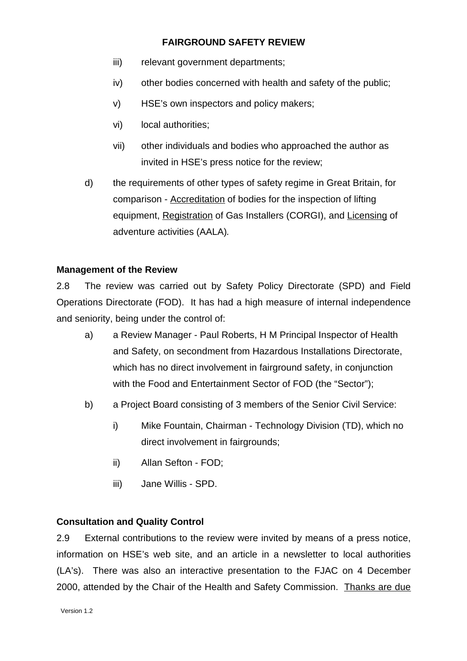- iii) relevant government departments;
- iv) other bodies concerned with health and safety of the public;
- v) HSE's own inspectors and policy makers;
- vi) local authorities;
- vii) other individuals and bodies who approached the author as invited in HSE's press notice for the review;
- d) the requirements of other types of safety regime in Great Britain, for comparison - Accreditation of bodies for the inspection of lifting equipment, Registration of Gas Installers (CORGI), and Licensing of adventure activities (AALA)*.*

#### **Management of the Review**

2.8 The review was carried out by Safety Policy Directorate (SPD) and Field Operations Directorate (FOD). It has had a high measure of internal independence and seniority, being under the control of:

- a) a Review Manager Paul Roberts, H M Principal Inspector of Health and Safety, on secondment from Hazardous Installations Directorate, which has no direct involvement in fairground safety, in conjunction with the Food and Entertainment Sector of FOD (the "Sector");
- b) a Project Board consisting of 3 members of the Senior Civil Service:
	- i) Mike Fountain, Chairman Technology Division (TD), which no direct involvement in fairgrounds;
	- ii) Allan Sefton FOD;
	- iii) Jane Willis SPD.

#### **Consultation and Quality Control**

2.9 External contributions to the review were invited by means of a press notice, information on HSE's web site, and an article in a newsletter to local authorities (LA's). There was also an interactive presentation to the FJAC on 4 December 2000, attended by the Chair of the Health and Safety Commission. Thanks are due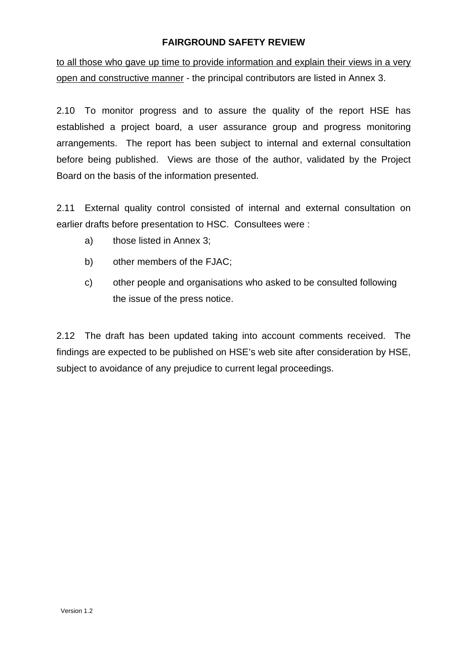to all those who gave up time to provide information and explain their views in a very open and constructive manner - the principal contributors are listed in Annex 3.

2.10 To monitor progress and to assure the quality of the report HSE has established a project board, a user assurance group and progress monitoring arrangements. The report has been subject to internal and external consultation before being published. Views are those of the author, validated by the Project Board on the basis of the information presented.

2.11 External quality control consisted of internal and external consultation on earlier drafts before presentation to HSC. Consultees were :

- a) those listed in Annex 3;
- b) other members of the FJAC;
- c) other people and organisations who asked to be consulted following the issue of the press notice.

2.12 The draft has been updated taking into account comments received. The findings are expected to be published on HSE's web site after consideration by HSE, subject to avoidance of any prejudice to current legal proceedings.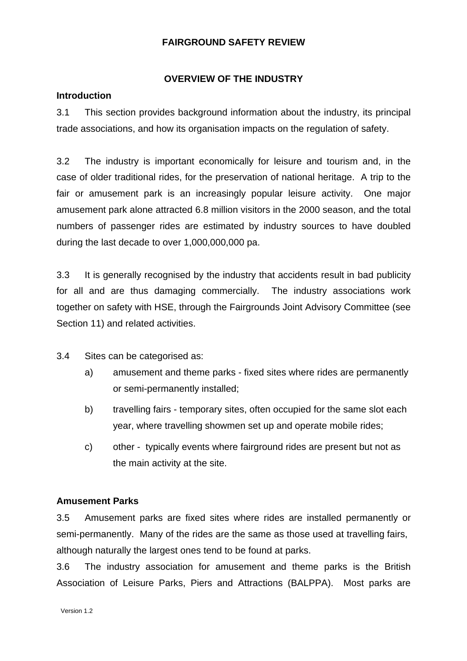# **OVERVIEW OF THE INDUSTRY**

## **Introduction**

3.1 This section provides background information about the industry, its principal trade associations, and how its organisation impacts on the regulation of safety.

3.2 The industry is important economically for leisure and tourism and, in the case of older traditional rides, for the preservation of national heritage. A trip to the fair or amusement park is an increasingly popular leisure activity. One major amusement park alone attracted 6.8 million visitors in the 2000 season, and the total numbers of passenger rides are estimated by industry sources to have doubled during the last decade to over 1,000,000,000 pa.

3.3 It is generally recognised by the industry that accidents result in bad publicity for all and are thus damaging commercially. The industry associations work together on safety with HSE, through the Fairgrounds Joint Advisory Committee (see Section 11) and related activities.

3.4 Sites can be categorised as:

- a) amusement and theme parks fixed sites where rides are permanently or semi-permanently installed;
- b) travelling fairs temporary sites, often occupied for the same slot each year, where travelling showmen set up and operate mobile rides;
- c) other typically events where fairground rides are present but not as the main activity at the site.

#### **Amusement Parks**

3.5 Amusement parks are fixed sites where rides are installed permanently or semi-permanently. Many of the rides are the same as those used at travelling fairs, although naturally the largest ones tend to be found at parks.

3.6 The industry association for amusement and theme parks is the British Association of Leisure Parks, Piers and Attractions (BALPPA). Most parks are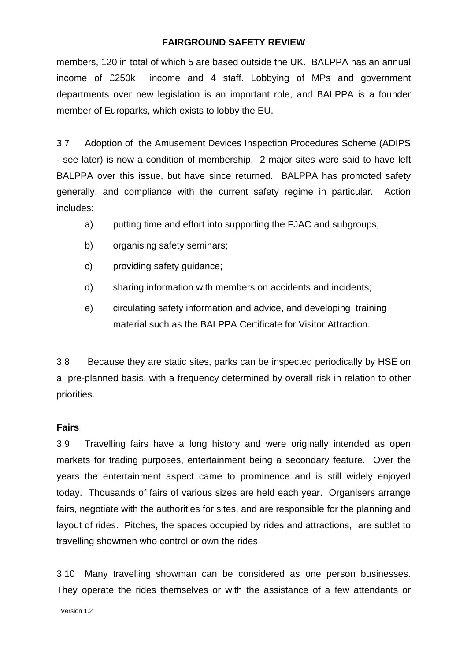members, 120 in total of which 5 are based outside the UK. BALPPA has an annual income of £250k income and 4 staff. Lobbying of MPs and government departments over new legislation is an important role, and BALPPA is a founder member of Europarks, which exists to lobby the EU.

3.7 Adoption of the Amusement Devices Inspection Procedures Scheme (ADIPS - see later) is now a condition of membership. 2 major sites were said to have left BALPPA over this issue, but have since returned. BALPPA has promoted safety generally, and compliance with the current safety regime in particular. Action includes:

- a) putting time and effort into supporting the FJAC and subgroups;
- b) organising safety seminars;
- c) providing safety guidance;
- d) sharing information with members on accidents and incidents;
- e) circulating safety information and advice, and developing training material such as the BALPPA Certificate for Visitor Attraction.

3.8 Because they are static sites, parks can be inspected periodically by HSE on a pre-planned basis, with a frequency determined by overall risk in relation to other priorities.

#### **Fairs**

3.9 Travelling fairs have a long history and were originally intended as open markets for trading purposes, entertainment being a secondary feature. Over the years the entertainment aspect came to prominence and is still widely enjoyed today. Thousands of fairs of various sizes are held each year. Organisers arrange fairs, negotiate with the authorities for sites, and are responsible for the planning and layout of rides. Pitches, the spaces occupied by rides and attractions, are sublet to travelling showmen who control or own the rides.

3.10 Many travelling showman can be considered as one person businesses. They operate the rides themselves or with the assistance of a few attendants or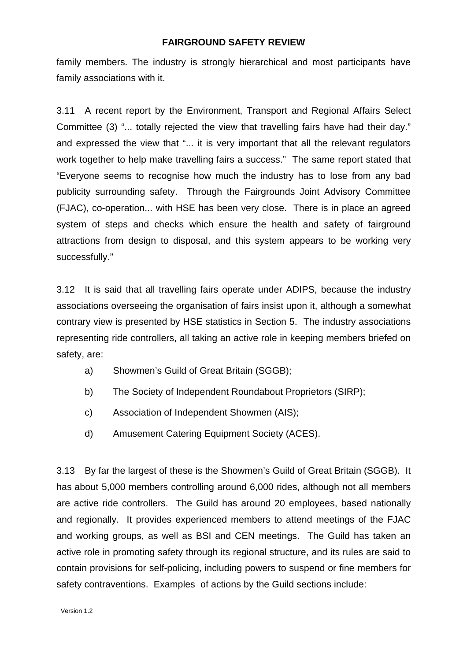family members. The industry is strongly hierarchical and most participants have family associations with it.

3.11 A recent report by the Environment, Transport and Regional Affairs Select Committee (3) "... totally rejected the view that travelling fairs have had their day." and expressed the view that "... it is very important that all the relevant regulators work together to help make travelling fairs a success." The same report stated that "Everyone seems to recognise how much the industry has to lose from any bad publicity surrounding safety. Through the Fairgrounds Joint Advisory Committee (FJAC), co-operation... with HSE has been very close. There is in place an agreed system of steps and checks which ensure the health and safety of fairground attractions from design to disposal, and this system appears to be working very successfully."

3.12 It is said that all travelling fairs operate under ADIPS, because the industry associations overseeing the organisation of fairs insist upon it, although a somewhat contrary view is presented by HSE statistics in Section 5. The industry associations representing ride controllers, all taking an active role in keeping members briefed on safety, are:

- a) Showmen's Guild of Great Britain (SGGB);
- b) The Society of Independent Roundabout Proprietors (SIRP);
- c) Association of Independent Showmen (AIS);
- d) Amusement Catering Equipment Society (ACES).

3.13 By far the largest of these is the Showmen's Guild of Great Britain (SGGB). It has about 5,000 members controlling around 6,000 rides, although not all members are active ride controllers. The Guild has around 20 employees, based nationally and regionally. It provides experienced members to attend meetings of the FJAC and working groups, as well as BSI and CEN meetings. The Guild has taken an active role in promoting safety through its regional structure, and its rules are said to contain provisions for self-policing, including powers to suspend or fine members for safety contraventions. Examples of actions by the Guild sections include: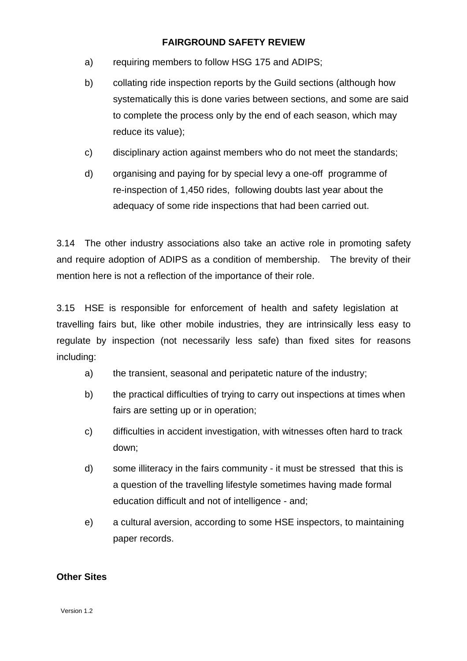- a) requiring members to follow HSG 175 and ADIPS;
- b) collating ride inspection reports by the Guild sections (although how systematically this is done varies between sections, and some are said to complete the process only by the end of each season, which may reduce its value);
- c) disciplinary action against members who do not meet the standards;
- d) organising and paying for by special levy a one-off programme of re-inspection of 1,450 rides, following doubts last year about the adequacy of some ride inspections that had been carried out.

3.14 The other industry associations also take an active role in promoting safety and require adoption of ADIPS as a condition of membership. The brevity of their mention here is not a reflection of the importance of their role.

3.15 HSE is responsible for enforcement of health and safety legislation at travelling fairs but, like other mobile industries, they are intrinsically less easy to regulate by inspection (not necessarily less safe) than fixed sites for reasons including:

- a) the transient, seasonal and peripatetic nature of the industry;
- b) the practical difficulties of trying to carry out inspections at times when fairs are setting up or in operation;
- c) difficulties in accident investigation, with witnesses often hard to track down;
- d) some illiteracy in the fairs community it must be stressed that this is a question of the travelling lifestyle sometimes having made formal education difficult and not of intelligence - and;
- e) a cultural aversion, according to some HSE inspectors, to maintaining paper records.

## **Other Sites**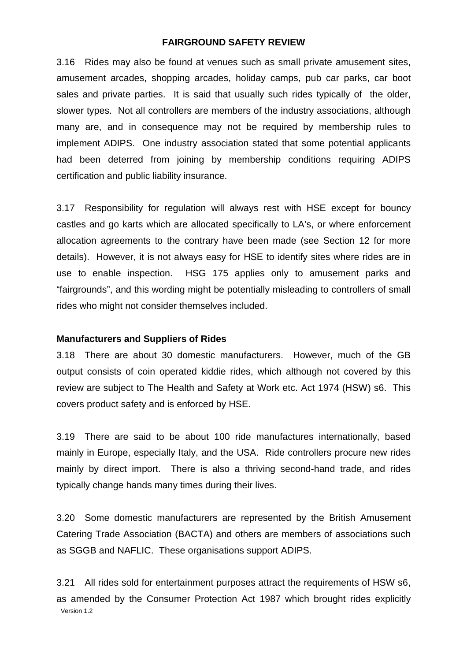3.16 Rides may also be found at venues such as small private amusement sites, amusement arcades, shopping arcades, holiday camps, pub car parks, car boot sales and private parties. It is said that usually such rides typically of the older, slower types. Not all controllers are members of the industry associations, although many are, and in consequence may not be required by membership rules to implement ADIPS. One industry association stated that some potential applicants had been deterred from joining by membership conditions requiring ADIPS certification and public liability insurance.

3.17 Responsibility for regulation will always rest with HSE except for bouncy castles and go karts which are allocated specifically to LA's, or where enforcement allocation agreements to the contrary have been made (see Section 12 for more details). However, it is not always easy for HSE to identify sites where rides are in use to enable inspection. HSG 175 applies only to amusement parks and "fairgrounds", and this wording might be potentially misleading to controllers of small rides who might not consider themselves included.

#### **Manufacturers and Suppliers of Rides**

3.18 There are about 30 domestic manufacturers. However, much of the GB output consists of coin operated kiddie rides, which although not covered by this review are subject to The Health and Safety at Work etc. Act 1974 (HSW) s6. This covers product safety and is enforced by HSE.

3.19 There are said to be about 100 ride manufactures internationally, based mainly in Europe, especially Italy, and the USA. Ride controllers procure new rides mainly by direct import. There is also a thriving second-hand trade, and rides typically change hands many times during their lives.

3.20 Some domestic manufacturers are represented by the British Amusement Catering Trade Association (BACTA) and others are members of associations such as SGGB and NAFLIC. These organisations support ADIPS.

3.21 All rides sold for entertainment purposes attract the requirements of HSW s6, as amended by the Consumer Protection Act 1987 which brought rides explicitly Version 1.2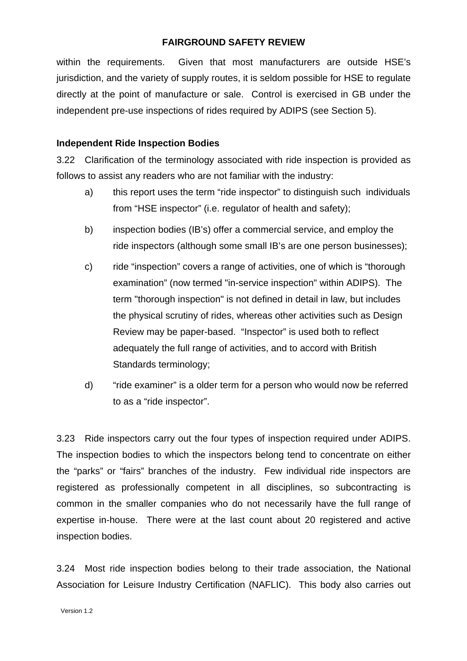within the requirements. Given that most manufacturers are outside HSE's jurisdiction, and the variety of supply routes, it is seldom possible for HSE to regulate directly at the point of manufacture or sale. Control is exercised in GB under the independent pre-use inspections of rides required by ADIPS (see Section 5).

## **Independent Ride Inspection Bodies**

3.22 Clarification of the terminology associated with ride inspection is provided as follows to assist any readers who are not familiar with the industry:

- a) this report uses the term "ride inspector" to distinguish such individuals from "HSE inspector" (i.e. regulator of health and safety);
- b) inspection bodies (IB's) offer a commercial service, and employ the ride inspectors (although some small IB's are one person businesses);
- c) ride "inspection" covers a range of activities, one of which is "thorough examination" (now termed "in-service inspection" within ADIPS). The term "thorough inspection" is not defined in detail in law, but includes the physical scrutiny of rides, whereas other activities such as Design Review may be paper-based. "Inspector" is used both to reflect adequately the full range of activities, and to accord with British Standards terminology;
- d) "ride examiner" is a older term for a person who would now be referred to as a "ride inspector".

3.23 Ride inspectors carry out the four types of inspection required under ADIPS. The inspection bodies to which the inspectors belong tend to concentrate on either the "parks" or "fairs" branches of the industry. Few individual ride inspectors are registered as professionally competent in all disciplines, so subcontracting is common in the smaller companies who do not necessarily have the full range of expertise in-house. There were at the last count about 20 registered and active inspection bodies.

3.24 Most ride inspection bodies belong to their trade association, the National Association for Leisure Industry Certification (NAFLIC). This body also carries out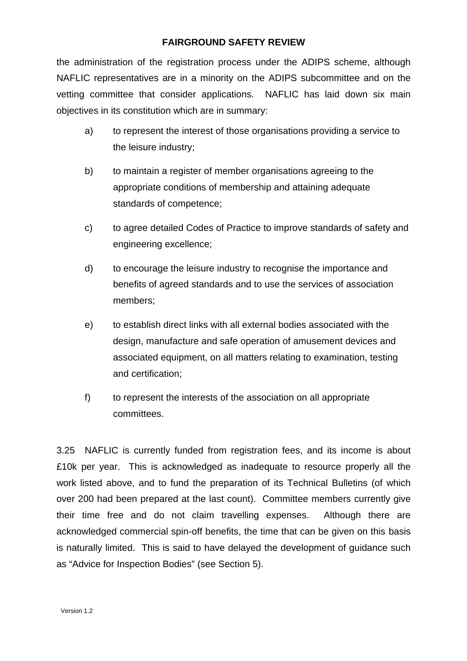the administration of the registration process under the ADIPS scheme, although NAFLIC representatives are in a minority on the ADIPS subcommittee and on the vetting committee that consider applications. NAFLIC has laid down six main objectives in its constitution which are in summary:

- a) to represent the interest of those organisations providing a service to the leisure industry;
- b) to maintain a register of member organisations agreeing to the appropriate conditions of membership and attaining adequate standards of competence;
- c) to agree detailed Codes of Practice to improve standards of safety and engineering excellence;
- d) to encourage the leisure industry to recognise the importance and benefits of agreed standards and to use the services of association members;
- e) to establish direct links with all external bodies associated with the design, manufacture and safe operation of amusement devices and associated equipment, on all matters relating to examination, testing and certification;
- f) to represent the interests of the association on all appropriate committees.

3.25 NAFLIC is currently funded from registration fees, and its income is about £10k per year. This is acknowledged as inadequate to resource properly all the work listed above, and to fund the preparation of its Technical Bulletins (of which over 200 had been prepared at the last count). Committee members currently give their time free and do not claim travelling expenses. Although there are acknowledged commercial spin-off benefits, the time that can be given on this basis is naturally limited. This is said to have delayed the development of guidance such as "Advice for Inspection Bodies" (see Section 5).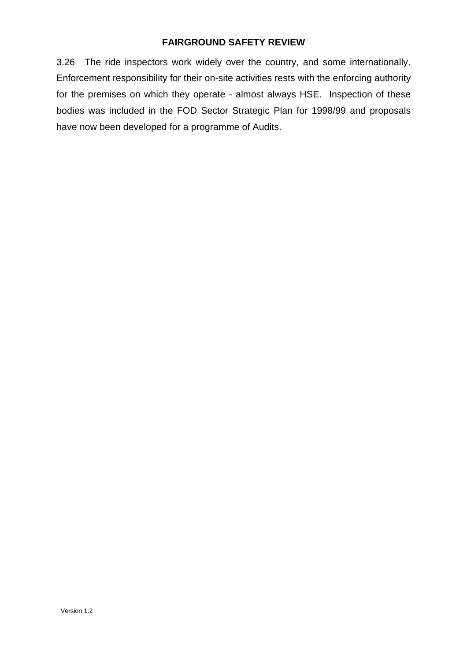3.26 The ride inspectors work widely over the country, and some internationally. Enforcement responsibility for their on-site activities rests with the enforcing authority for the premises on which they operate - almost always HSE. Inspection of these bodies was included in the FOD Sector Strategic Plan for 1998/99 and proposals have now been developed for a programme of Audits.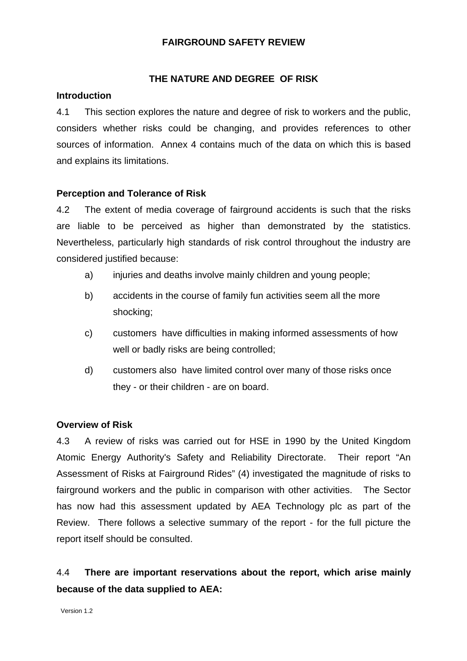## **THE NATURE AND DEGREE OF RISK**

#### **Introduction**

4.1 This section explores the nature and degree of risk to workers and the public, considers whether risks could be changing, and provides references to other sources of information. Annex 4 contains much of the data on which this is based and explains its limitations.

#### **Perception and Tolerance of Risk**

4.2 The extent of media coverage of fairground accidents is such that the risks are liable to be perceived as higher than demonstrated by the statistics. Nevertheless, particularly high standards of risk control throughout the industry are considered justified because:

- a) injuries and deaths involve mainly children and young people;
- b) accidents in the course of family fun activities seem all the more shocking;
- c) customers have difficulties in making informed assessments of how well or badly risks are being controlled;
- d) customers also have limited control over many of those risks once they - or their children - are on board.

#### **Overview of Risk**

4.3 A review of risks was carried out for HSE in 1990 by the United Kingdom Atomic Energy Authority's Safety and Reliability Directorate. Their report "An Assessment of Risks at Fairground Rides" (4) investigated the magnitude of risks to fairground workers and the public in comparison with other activities. The Sector has now had this assessment updated by AEA Technology plc as part of the Review. There follows a selective summary of the report - for the full picture the report itself should be consulted.

# 4.4 **There are important reservations about the report, which arise mainly because of the data supplied to AEA:**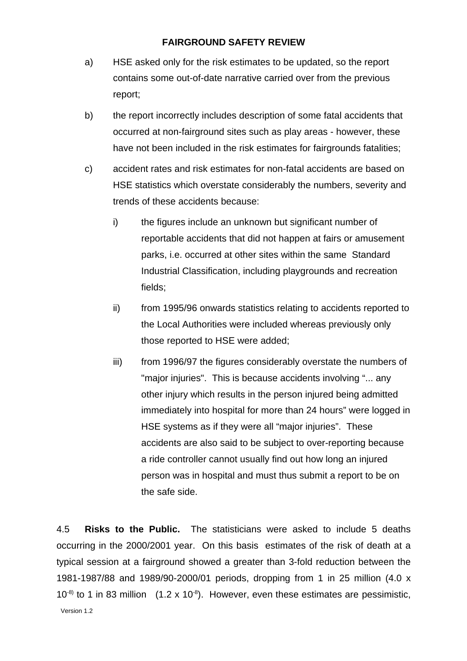- a) HSE asked only for the risk estimates to be updated, so the report contains some out-of-date narrative carried over from the previous report;
- b) the report incorrectly includes description of some fatal accidents that occurred at non-fairground sites such as play areas - however, these have not been included in the risk estimates for fairgrounds fatalities;
- c) accident rates and risk estimates for non-fatal accidents are based on HSE statistics which overstate considerably the numbers, severity and trends of these accidents because:
	- i) the figures include an unknown but significant number of reportable accidents that did not happen at fairs or amusement parks, i.e. occurred at other sites within the same Standard Industrial Classification, including playgrounds and recreation fields;
	- ii) from 1995/96 onwards statistics relating to accidents reported to the Local Authorities were included whereas previously only those reported to HSE were added;
	- iii) from 1996/97 the figures considerably overstate the numbers of "major injuries". This is because accidents involving "... any other injury which results in the person injured being admitted immediately into hospital for more than 24 hours" were logged in HSE systems as if they were all "major injuries". These accidents are also said to be subject to over-reporting because a ride controller cannot usually find out how long an injured person was in hospital and must thus submit a report to be on the safe side.

 $10^{-8}$  to 1 in 83 million (1.2 x 10<sup>-8</sup>). However, even these estimates are pessimistic, 4.5 **Risks to the Public.** The statisticians were asked to include 5 deaths occurring in the 2000/2001 year. On this basis estimates of the risk of death at a typical session at a fairground showed a greater than 3-fold reduction between the 1981-1987/88 and 1989/90-2000/01 periods, dropping from 1 in 25 million (4.0 x Version 1.2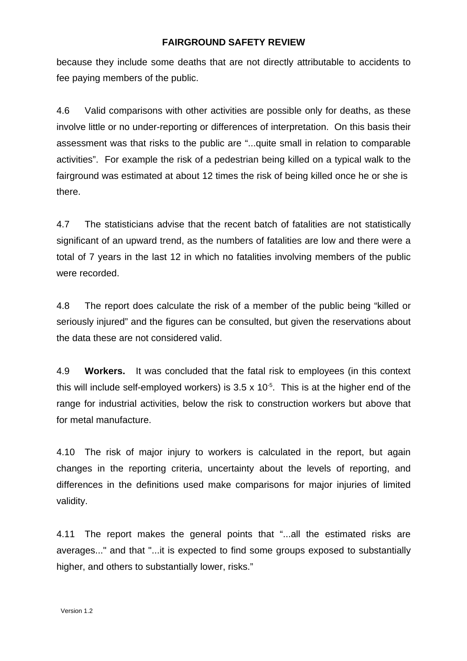because they include some deaths that are not directly attributable to accidents to fee paying members of the public.

4.6 Valid comparisons with other activities are possible only for deaths, as these involve little or no under-reporting or differences of interpretation. On this basis their assessment was that risks to the public are "...quite small in relation to comparable activities". For example the risk of a pedestrian being killed on a typical walk to the fairground was estimated at about 12 times the risk of being killed once he or she is there.

4.7 The statisticians advise that the recent batch of fatalities are not statistically significant of an upward trend, as the numbers of fatalities are low and there were a total of 7 years in the last 12 in which no fatalities involving members of the public were recorded.

4.8 The report does calculate the risk of a member of the public being "killed or seriously injured" and the figures can be consulted, but given the reservations about the data these are not considered valid.

4.9 **Workers.** It was concluded that the fatal risk to employees (in this context this will include self-employed workers) is  $3.5 \times 10^{-5}$ . This is at the higher end of the range for industrial activities, below the risk to construction workers but above that for metal manufacture.

4.10 The risk of major injury to workers is calculated in the report, but again changes in the reporting criteria, uncertainty about the levels of reporting, and differences in the definitions used make comparisons for major injuries of limited validity.

4.11 The report makes the general points that "...all the estimated risks are averages..." and that "...it is expected to find some groups exposed to substantially higher, and others to substantially lower, risks."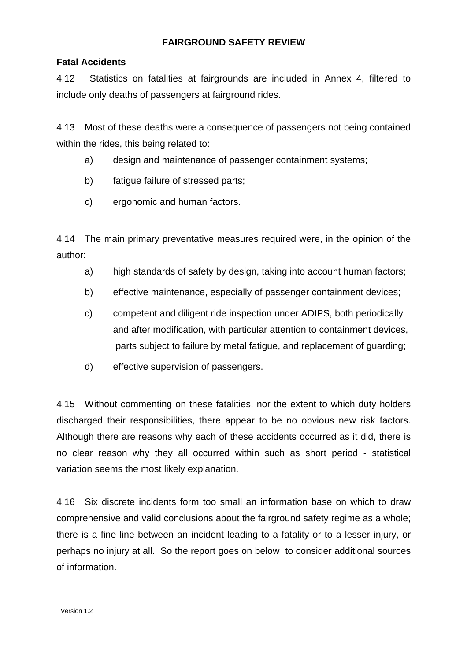## **Fatal Accidents**

4.12 Statistics on fatalities at fairgrounds are included in Annex 4, filtered to include only deaths of passengers at fairground rides.

4.13 Most of these deaths were a consequence of passengers not being contained within the rides, this being related to:

- a) design and maintenance of passenger containment systems;
- b) fatigue failure of stressed parts;
- c) ergonomic and human factors.

4.14 The main primary preventative measures required were, in the opinion of the author:

- a) high standards of safety by design, taking into account human factors;
- b) effective maintenance, especially of passenger containment devices;
- c) competent and diligent ride inspection under ADIPS, both periodically and after modification, with particular attention to containment devices, parts subject to failure by metal fatigue, and replacement of guarding;
- d) effective supervision of passengers.

4.15 Without commenting on these fatalities, nor the extent to which duty holders discharged their responsibilities, there appear to be no obvious new risk factors. Although there are reasons why each of these accidents occurred as it did, there is no clear reason why they all occurred within such as short period - statistical variation seems the most likely explanation.

4.16 Six discrete incidents form too small an information base on which to draw comprehensive and valid conclusions about the fairground safety regime as a whole; there is a fine line between an incident leading to a fatality or to a lesser injury, or perhaps no injury at all. So the report goes on below to consider additional sources of information.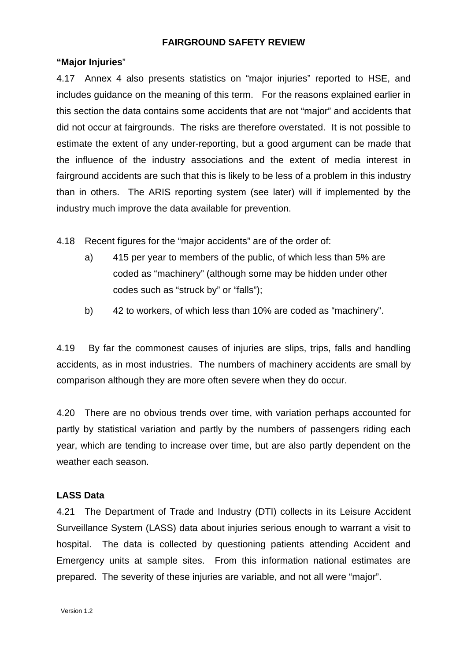#### **"Major Injuries**"

4.17 Annex 4 also presents statistics on "major injuries" reported to HSE, and includes guidance on the meaning of this term. For the reasons explained earlier in this section the data contains some accidents that are not "major" and accidents that did not occur at fairgrounds. The risks are therefore overstated. It is not possible to estimate the extent of any under-reporting, but a good argument can be made that the influence of the industry associations and the extent of media interest in fairground accidents are such that this is likely to be less of a problem in this industry than in others. The ARIS reporting system (see later) will if implemented by the industry much improve the data available for prevention.

4.18 Recent figures for the "major accidents" are of the order of:

- a) 415 per year to members of the public, of which less than 5% are coded as "machinery" (although some may be hidden under other codes such as "struck by" or "falls");
- b) 42 to workers, of which less than 10% are coded as "machinery".

4.19 By far the commonest causes of injuries are slips, trips, falls and handling accidents, as in most industries. The numbers of machinery accidents are small by comparison although they are more often severe when they do occur.

4.20 There are no obvious trends over time, with variation perhaps accounted for partly by statistical variation and partly by the numbers of passengers riding each year, which are tending to increase over time, but are also partly dependent on the weather each season.

#### **LASS Data**

4.21 The Department of Trade and Industry (DTI) collects in its Leisure Accident Surveillance System (LASS) data about injuries serious enough to warrant a visit to hospital. The data is collected by questioning patients attending Accident and Emergency units at sample sites. From this information national estimates are prepared. The severity of these injuries are variable, and not all were "major".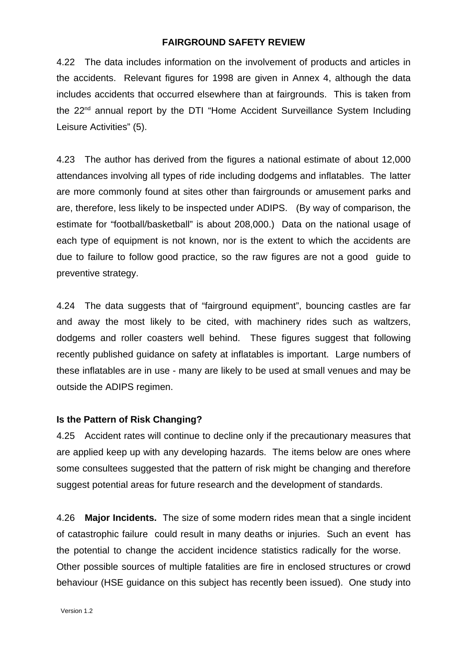4.22 The data includes information on the involvement of products and articles in the accidents. Relevant figures for 1998 are given in Annex 4, although the data includes accidents that occurred elsewhere than at fairgrounds. This is taken from the 22<sup>nd</sup> annual report by the DTI "Home Accident Surveillance System Including Leisure Activities" (5).

4.23 The author has derived from the figures a national estimate of about 12,000 attendances involving all types of ride including dodgems and inflatables. The latter are more commonly found at sites other than fairgrounds or amusement parks and are, therefore, less likely to be inspected under ADIPS. (By way of comparison, the estimate for "football/basketball" is about 208,000.) Data on the national usage of each type of equipment is not known, nor is the extent to which the accidents are due to failure to follow good practice, so the raw figures are not a good guide to preventive strategy.

4.24 The data suggests that of "fairground equipment", bouncing castles are far and away the most likely to be cited, with machinery rides such as waltzers, dodgems and roller coasters well behind. These figures suggest that following recently published guidance on safety at inflatables is important. Large numbers of these inflatables are in use - many are likely to be used at small venues and may be outside the ADIPS regimen.

#### **Is the Pattern of Risk Changing?**

4.25 Accident rates will continue to decline only if the precautionary measures that are applied keep up with any developing hazards. The items below are ones where some consultees suggested that the pattern of risk might be changing and therefore suggest potential areas for future research and the development of standards.

4.26 **Major Incidents.** The size of some modern rides mean that a single incident of catastrophic failure could result in many deaths or injuries. Such an event has the potential to change the accident incidence statistics radically for the worse. Other possible sources of multiple fatalities are fire in enclosed structures or crowd behaviour (HSE guidance on this subject has recently been issued). One study into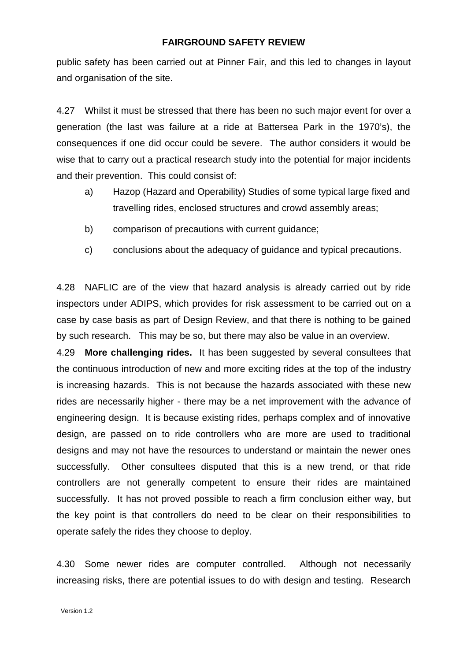public safety has been carried out at Pinner Fair, and this led to changes in layout and organisation of the site.

4.27 Whilst it must be stressed that there has been no such major event for over a generation (the last was failure at a ride at Battersea Park in the 1970's), the consequences if one did occur could be severe. The author considers it would be wise that to carry out a practical research study into the potential for major incidents and their prevention. This could consist of:

- a) Hazop (Hazard and Operability) Studies of some typical large fixed and travelling rides, enclosed structures and crowd assembly areas;
- b) comparison of precautions with current guidance;
- c) conclusions about the adequacy of guidance and typical precautions.

4.28 NAFLIC are of the view that hazard analysis is already carried out by ride inspectors under ADIPS, which provides for risk assessment to be carried out on a case by case basis as part of Design Review, and that there is nothing to be gained by such research. This may be so, but there may also be value in an overview.

4.29 **More challenging rides.** It has been suggested by several consultees that the continuous introduction of new and more exciting rides at the top of the industry is increasing hazards. This is not because the hazards associated with these new rides are necessarily higher - there may be a net improvement with the advance of engineering design. It is because existing rides, perhaps complex and of innovative design, are passed on to ride controllers who are more are used to traditional designs and may not have the resources to understand or maintain the newer ones successfully. Other consultees disputed that this is a new trend, or that ride controllers are not generally competent to ensure their rides are maintained successfully. It has not proved possible to reach a firm conclusion either way, but the key point is that controllers do need to be clear on their responsibilities to operate safely the rides they choose to deploy.

4.30 Some newer rides are computer controlled. Although not necessarily increasing risks, there are potential issues to do with design and testing. Research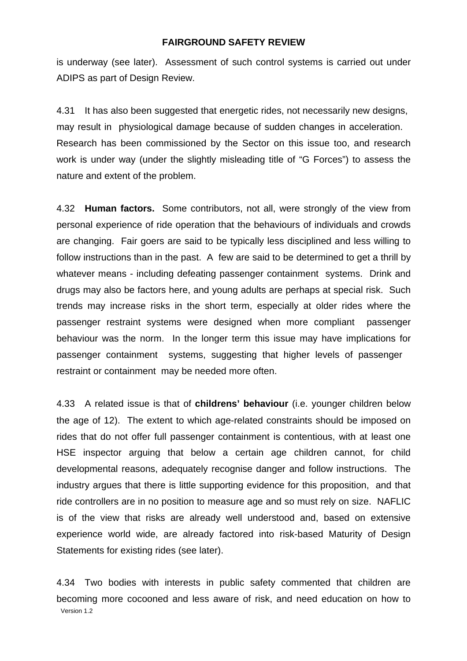is underway (see later). Assessment of such control systems is carried out under ADIPS as part of Design Review.

4.31 It has also been suggested that energetic rides, not necessarily new designs, may result in physiological damage because of sudden changes in acceleration. Research has been commissioned by the Sector on this issue too, and research work is under way (under the slightly misleading title of "G Forces") to assess the nature and extent of the problem.

4.32 **Human factors.** Some contributors, not all, were strongly of the view from personal experience of ride operation that the behaviours of individuals and crowds are changing. Fair goers are said to be typically less disciplined and less willing to follow instructions than in the past. A few are said to be determined to get a thrill by whatever means - including defeating passenger containment systems. Drink and drugs may also be factors here, and young adults are perhaps at special risk. Such trends may increase risks in the short term, especially at older rides where the passenger restraint systems were designed when more compliant passenger behaviour was the norm. In the longer term this issue may have implications for passenger containment systems, suggesting that higher levels of passenger restraint or containment may be needed more often.

4.33 A related issue is that of **childrens' behaviour** (i.e. younger children below the age of 12). The extent to which age-related constraints should be imposed on rides that do not offer full passenger containment is contentious, with at least one HSE inspector arguing that below a certain age children cannot, for child developmental reasons, adequately recognise danger and follow instructions. The industry argues that there is little supporting evidence for this proposition, and that ride controllers are in no position to measure age and so must rely on size. NAFLIC is of the view that risks are already well understood and, based on extensive experience world wide, are already factored into risk-based Maturity of Design Statements for existing rides (see later).

4.34 Two bodies with interests in public safety commented that children are becoming more cocooned and less aware of risk, and need education on how to Version 1.2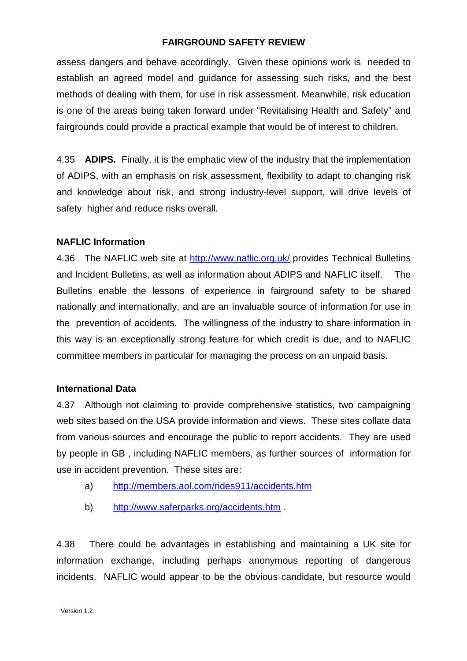assess dangers and behave accordingly. Given these opinions work is needed to establish an agreed model and guidance for assessing such risks, and the best methods of dealing with them, for use in risk assessment. Meanwhile, risk education is one of the areas being taken forward under "Revitalising Health and Safety" and fairgrounds could provide a practical example that would be of interest to children.

4.35 **ADIPS.** Finally, it is the emphatic view of the industry that the implementation of ADIPS, with an emphasis on risk assessment, flexibility to adapt to changing risk and knowledge about risk, and strong industry-level support, will drive levels of safety higher and reduce risks overall.

#### **NAFLIC Information**

4.36 The NAFLIC web site at http://www.naflic.org.uk/ provides Technical Bulletins and Incident Bulletins, as well as information about ADIPS and NAFLIC itself. The Bulletins enable the lessons of experience in fairground safety to be shared nationally and internationally, and are an invaluable source of information for use in the prevention of accidents. The willingness of the industry to share information in this way is an exceptionally strong feature for which credit is due, and to NAFLIC committee members in particular for managing the process on an unpaid basis.

#### **International Data**

4.37 Although not claiming to provide comprehensive statistics, two campaigning web sites based on the USA provide information and views. These sites collate data from various sources and encourage the public to report accidents. They are used by people in GB , including NAFLIC members, as further sources of information for use in accident prevention. These sites are:

- a) http://members.aol.com/rides911/accidents.htm
- b) http://www.saferparks.org/accidents.htm .

4.38 There could be advantages in establishing and maintaining a UK site for information exchange, including perhaps anonymous reporting of dangerous incidents. NAFLIC would appear to be the obvious candidate, but resource would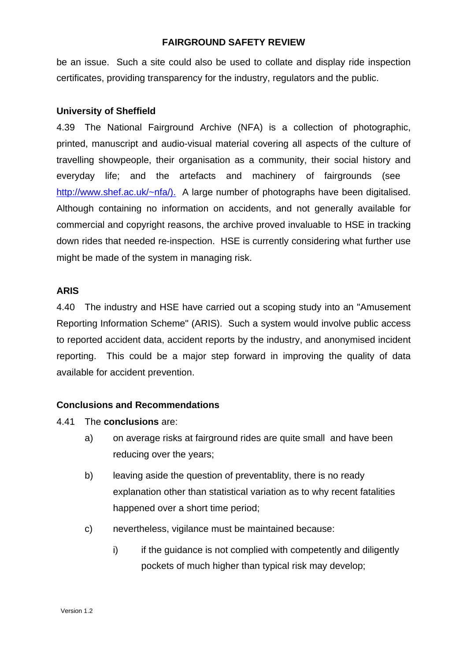be an issue. Such a site could also be used to collate and display ride inspection certificates, providing transparency for the industry, regulators and the public.

#### **University of Sheffield**

4.39 The National Fairground Archive (NFA) is a collection of photographic, printed, manuscript and audio-visual material covering all aspects of the culture of travelling showpeople, their organisation as a community, their social history and everyday life; and the artefacts and machinery of fairgrounds (see http://www.shef.ac.uk/~nfa/). A large number of photographs have been digitalised. Although containing no information on accidents, and not generally available for commercial and copyright reasons, the archive proved invaluable to HSE in tracking down rides that needed re-inspection. HSE is currently considering what further use might be made of the system in managing risk.

#### **ARIS**

4.40 The industry and HSE have carried out a scoping study into an "Amusement Reporting Information Scheme" (ARIS). Such a system would involve public access to reported accident data, accident reports by the industry, and anonymised incident reporting. This could be a major step forward in improving the quality of data available for accident prevention.

## **Conclusions and Recommendations**

#### 4.41 The **conclusions** are:

- a) on average risks at fairground rides are quite small and have been reducing over the years;
- b) leaving aside the question of preventablity, there is no ready explanation other than statistical variation as to why recent fatalities happened over a short time period;
- c) nevertheless, vigilance must be maintained because:
	- i) if the guidance is not complied with competently and diligently pockets of much higher than typical risk may develop;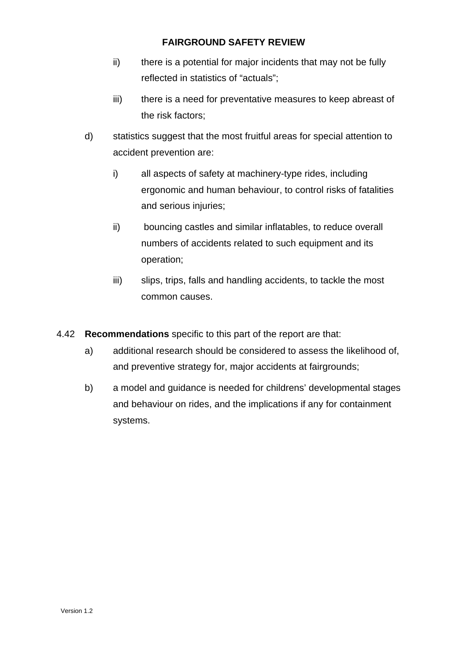- ii) there is a potential for major incidents that may not be fully reflected in statistics of "actuals";
- iii) there is a need for preventative measures to keep abreast of the risk factors;
- d) statistics suggest that the most fruitful areas for special attention to accident prevention are:
	- i) all aspects of safety at machinery-type rides, including ergonomic and human behaviour, to control risks of fatalities and serious injuries;
	- ii) bouncing castles and similar inflatables, to reduce overall numbers of accidents related to such equipment and its operation;
	- iii) slips, trips, falls and handling accidents, to tackle the most common causes.

4.42 **Recommendations** specific to this part of the report are that:

- a) additional research should be considered to assess the likelihood of, and preventive strategy for, major accidents at fairgrounds;
- b) a model and guidance is needed for childrens' developmental stages and behaviour on rides, and the implications if any for containment systems.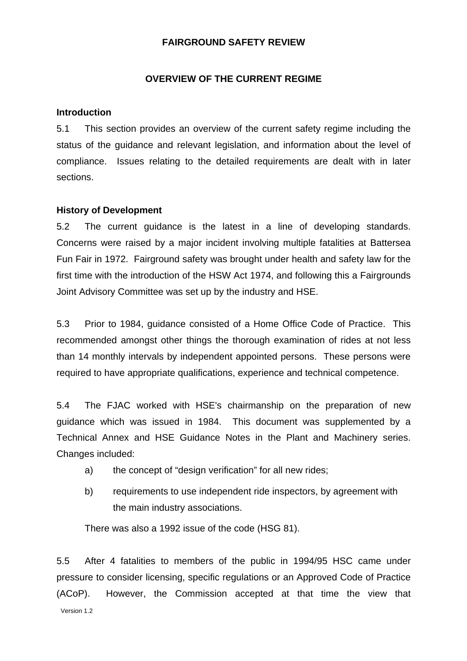#### **OVERVIEW OF THE CURRENT REGIME**

#### **Introduction**

5.1 This section provides an overview of the current safety regime including the status of the guidance and relevant legislation, and information about the level of compliance. Issues relating to the detailed requirements are dealt with in later sections.

#### **History of Development**

5.2 The current guidance is the latest in a line of developing standards. Concerns were raised by a major incident involving multiple fatalities at Battersea Fun Fair in 1972. Fairground safety was brought under health and safety law for the first time with the introduction of the HSW Act 1974, and following this a Fairgrounds Joint Advisory Committee was set up by the industry and HSE.

5.3 Prior to 1984, guidance consisted of a Home Office Code of Practice. This recommended amongst other things the thorough examination of rides at not less than 14 monthly intervals by independent appointed persons. These persons were required to have appropriate qualifications, experience and technical competence.

5.4 The FJAC worked with HSE's chairmanship on the preparation of new guidance which was issued in 1984. This document was supplemented by a Technical Annex and HSE Guidance Notes in the Plant and Machinery series. Changes included:

- a) the concept of "design verification" for all new rides;
- b) requirements to use independent ride inspectors, by agreement with the main industry associations.

There was also a 1992 issue of the code (HSG 81).

5.5 After 4 fatalities to members of the public in 1994/95 HSC came under pressure to consider licensing, specific regulations or an Approved Code of Practice (ACoP). However, the Commission accepted at that time the view that Version 1.2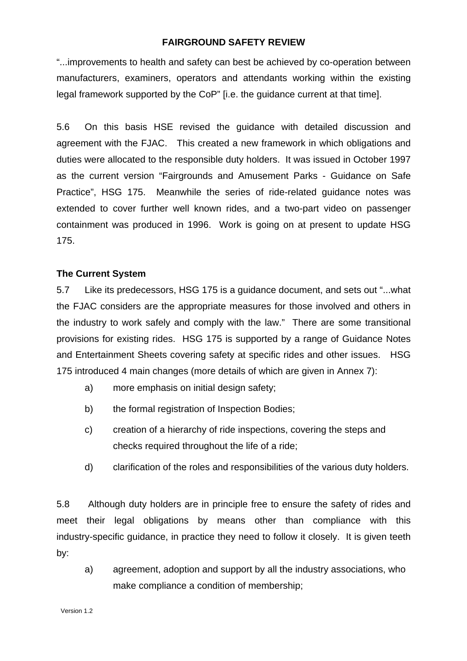"...improvements to health and safety can best be achieved by co-operation between manufacturers, examiners, operators and attendants working within the existing legal framework supported by the CoP" [i.e. the guidance current at that time].

5.6 On this basis HSE revised the guidance with detailed discussion and agreement with the FJAC. This created a new framework in which obligations and duties were allocated to the responsible duty holders. It was issued in October 1997 as the current version "Fairgrounds and Amusement Parks - Guidance on Safe Practice", HSG 175. Meanwhile the series of ride-related guidance notes was extended to cover further well known rides, and a two-part video on passenger containment was produced in 1996. Work is going on at present to update HSG 175.

## **The Current System**

5.7 Like its predecessors, HSG 175 is a guidance document, and sets out "...what the FJAC considers are the appropriate measures for those involved and others in the industry to work safely and comply with the law." There are some transitional provisions for existing rides. HSG 175 is supported by a range of Guidance Notes and Entertainment Sheets covering safety at specific rides and other issues. HSG 175 introduced 4 main changes (more details of which are given in Annex 7):

- a) more emphasis on initial design safety;
- b) the formal registration of Inspection Bodies;
- c) creation of a hierarchy of ride inspections, covering the steps and checks required throughout the life of a ride;
- d) clarification of the roles and responsibilities of the various duty holders.

5.8 Although duty holders are in principle free to ensure the safety of rides and meet their legal obligations by means other than compliance with this industry-specific guidance, in practice they need to follow it closely. It is given teeth by:

a) agreement, adoption and support by all the industry associations, who make compliance a condition of membership;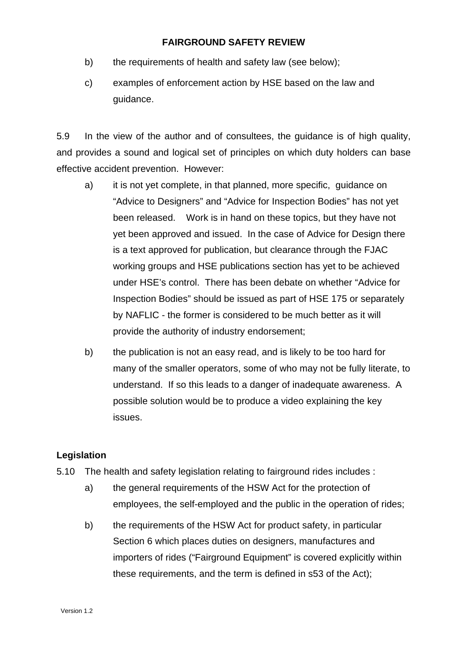- b) the requirements of health and safety law (see below);
- c) examples of enforcement action by HSE based on the law and guidance.

5.9 In the view of the author and of consultees, the guidance is of high quality, and provides a sound and logical set of principles on which duty holders can base effective accident prevention. However:

- a) it is not yet complete, in that planned, more specific, guidance on "Advice to Designers" and "Advice for Inspection Bodies" has not yet been released. Work is in hand on these topics, but they have not yet been approved and issued. In the case of Advice for Design there is a text approved for publication, but clearance through the FJAC working groups and HSE publications section has yet to be achieved under HSE's control. There has been debate on whether "Advice for Inspection Bodies" should be issued as part of HSE 175 or separately by NAFLIC - the former is considered to be much better as it will provide the authority of industry endorsement;
- b) the publication is not an easy read, and is likely to be too hard for many of the smaller operators, some of who may not be fully literate, to understand. If so this leads to a danger of inadequate awareness. A possible solution would be to produce a video explaining the key issues.

# **Legislation**

- 5.10 The health and safety legislation relating to fairground rides includes :
	- a) the general requirements of the HSW Act for the protection of employees, the self-employed and the public in the operation of rides;
	- b) the requirements of the HSW Act for product safety, in particular Section 6 which places duties on designers, manufactures and importers of rides ("Fairground Equipment" is covered explicitly within these requirements, and the term is defined in s53 of the Act);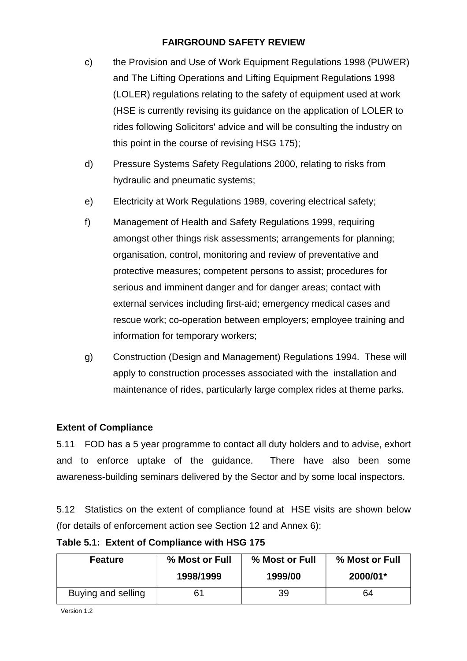- c) the Provision and Use of Work Equipment Regulations 1998 (PUWER) and The Lifting Operations and Lifting Equipment Regulations 1998 (LOLER) regulations relating to the safety of equipment used at work (HSE is currently revising its guidance on the application of LOLER to rides following Solicitors' advice and will be consulting the industry on this point in the course of revising HSG 175);
- d) Pressure Systems Safety Regulations 2000, relating to risks from hydraulic and pneumatic systems;
- e) Electricity at Work Regulations 1989, covering electrical safety;
- f) Management of Health and Safety Regulations 1999, requiring amongst other things risk assessments; arrangements for planning; organisation, control, monitoring and review of preventative and protective measures; competent persons to assist; procedures for serious and imminent danger and for danger areas; contact with external services including first-aid; emergency medical cases and rescue work; co-operation between employers; employee training and information for temporary workers;
- g) Construction (Design and Management) Regulations 1994. These will apply to construction processes associated with the installation and maintenance of rides, particularly large complex rides at theme parks.

# **Extent of Compliance**

5.11 FOD has a 5 year programme to contact all duty holders and to advise, exhort and to enforce uptake of the guidance. There have also been some awareness-building seminars delivered by the Sector and by some local inspectors.

5.12 Statistics on the extent of compliance found at HSE visits are shown below (for details of enforcement action see Section 12 and Annex 6):

| <b>Feature</b>     | % Most or Full | % Most or Full | % Most or Full |
|--------------------|----------------|----------------|----------------|
|                    | 1998/1999      | 1999/00        | 2000/01*       |
| Buying and selling | 61             | 39             | 64             |

# **Table 5.1: Extent of Compliance with HSG 175**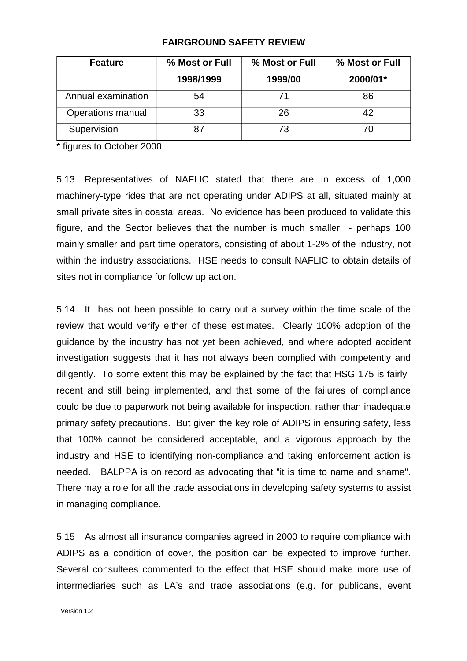| <b>Feature</b>     | % Most or Full | % Most or Full | % Most or Full |
|--------------------|----------------|----------------|----------------|
|                    | 1998/1999      | 1999/00        | 2000/01*       |
| Annual examination | 54             | 71             | 86             |
| Operations manual  | 33             | 26             | 42             |
| Supervision        | 87             | 73             | 70             |

\* figures to October 2000

5.13 Representatives of NAFLIC stated that there are in excess of 1,000 machinery-type rides that are not operating under ADIPS at all, situated mainly at small private sites in coastal areas. No evidence has been produced to validate this figure, and the Sector believes that the number is much smaller - perhaps 100 mainly smaller and part time operators, consisting of about 1-2% of the industry, not within the industry associations. HSE needs to consult NAFLIC to obtain details of sites not in compliance for follow up action.

5.14 It has not been possible to carry out a survey within the time scale of the review that would verify either of these estimates. Clearly 100% adoption of the guidance by the industry has not yet been achieved, and where adopted accident investigation suggests that it has not always been complied with competently and diligently. To some extent this may be explained by the fact that HSG 175 is fairly recent and still being implemented, and that some of the failures of compliance could be due to paperwork not being available for inspection, rather than inadequate primary safety precautions. But given the key role of ADIPS in ensuring safety, less that 100% cannot be considered acceptable, and a vigorous approach by the industry and HSE to identifying non-compliance and taking enforcement action is needed. BALPPA is on record as advocating that "it is time to name and shame". There may a role for all the trade associations in developing safety systems to assist in managing compliance.

5.15 As almost all insurance companies agreed in 2000 to require compliance with ADIPS as a condition of cover, the position can be expected to improve further. Several consultees commented to the effect that HSE should make more use of intermediaries such as LA's and trade associations (e.g. for publicans, event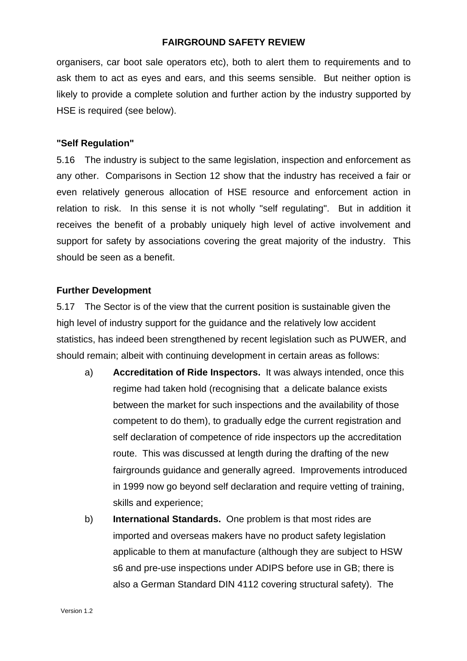organisers, car boot sale operators etc), both to alert them to requirements and to ask them to act as eyes and ears, and this seems sensible. But neither option is likely to provide a complete solution and further action by the industry supported by HSE is required (see below).

### **"Self Regulation"**

5.16 The industry is subject to the same legislation, inspection and enforcement as any other. Comparisons in Section 12 show that the industry has received a fair or even relatively generous allocation of HSE resource and enforcement action in relation to risk. In this sense it is not wholly "self regulating". But in addition it receives the benefit of a probably uniquely high level of active involvement and support for safety by associations covering the great majority of the industry. This should be seen as a benefit.

### **Further Development**

5.17 The Sector is of the view that the current position is sustainable given the high level of industry support for the guidance and the relatively low accident statistics, has indeed been strengthened by recent legislation such as PUWER, and should remain; albeit with continuing development in certain areas as follows:

- a) **Accreditation of Ride Inspectors.** It was always intended, once this regime had taken hold (recognising that a delicate balance exists between the market for such inspections and the availability of those competent to do them), to gradually edge the current registration and self declaration of competence of ride inspectors up the accreditation route. This was discussed at length during the drafting of the new fairgrounds guidance and generally agreed. Improvements introduced in 1999 now go beyond self declaration and require vetting of training, skills and experience;
- b) **International Standards.** One problem is that most rides are imported and overseas makers have no product safety legislation applicable to them at manufacture (although they are subject to HSW s6 and pre-use inspections under ADIPS before use in GB; there is also a German Standard DIN 4112 covering structural safety). The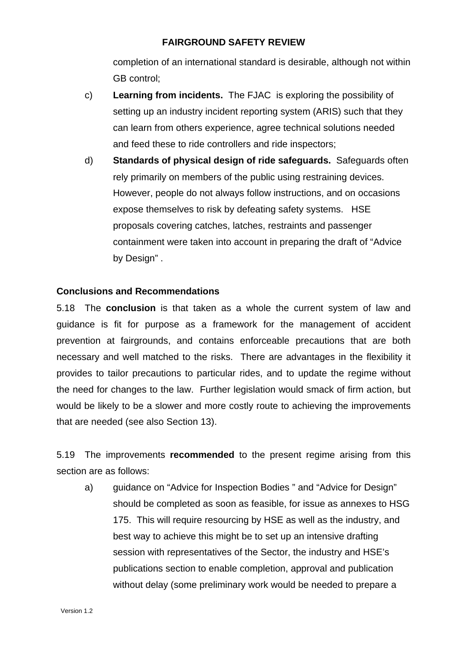completion of an international standard is desirable, although not within GB control;

- c) **Learning from incidents.** The FJAC is exploring the possibility of setting up an industry incident reporting system (ARIS) such that they can learn from others experience, agree technical solutions needed and feed these to ride controllers and ride inspectors;
- d) **Standards of physical design of ride safeguards.** Safeguards often rely primarily on members of the public using restraining devices. However, people do not always follow instructions, and on occasions expose themselves to risk by defeating safety systems. HSE proposals covering catches, latches, restraints and passenger containment were taken into account in preparing the draft of "Advice by Design" .

## **Conclusions and Recommendations**

5.18 The **conclusion** is that taken as a whole the current system of law and guidance is fit for purpose as a framework for the management of accident prevention at fairgrounds, and contains enforceable precautions that are both necessary and well matched to the risks. There are advantages in the flexibility it provides to tailor precautions to particular rides, and to update the regime without the need for changes to the law. Further legislation would smack of firm action, but would be likely to be a slower and more costly route to achieving the improvements that are needed (see also Section 13).

5.19 The improvements **recommended** to the present regime arising from this section are as follows:

a) guidance on "Advice for Inspection Bodies " and "Advice for Design" should be completed as soon as feasible, for issue as annexes to HSG 175. This will require resourcing by HSE as well as the industry, and best way to achieve this might be to set up an intensive drafting session with representatives of the Sector, the industry and HSE's publications section to enable completion, approval and publication without delay (some preliminary work would be needed to prepare a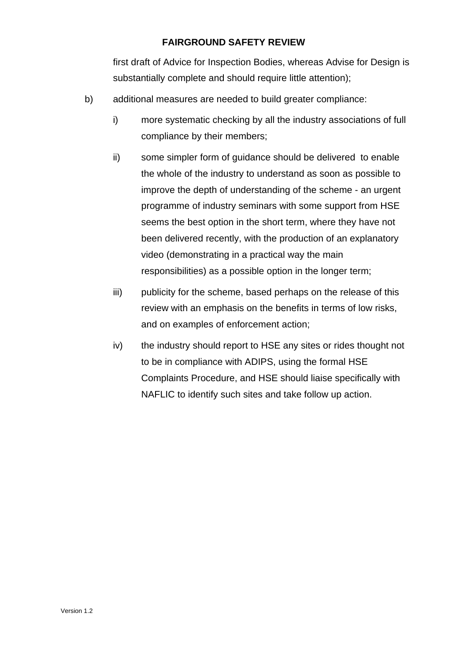first draft of Advice for Inspection Bodies, whereas Advise for Design is substantially complete and should require little attention);

- b) additional measures are needed to build greater compliance:
	- i) more systematic checking by all the industry associations of full compliance by their members;
	- ii) some simpler form of guidance should be delivered to enable the whole of the industry to understand as soon as possible to improve the depth of understanding of the scheme - an urgent programme of industry seminars with some support from HSE seems the best option in the short term, where they have not been delivered recently, with the production of an explanatory video (demonstrating in a practical way the main responsibilities) as a possible option in the longer term;
	- iii) publicity for the scheme, based perhaps on the release of this review with an emphasis on the benefits in terms of low risks, and on examples of enforcement action;
	- iv) the industry should report to HSE any sites or rides thought not to be in compliance with ADIPS, using the formal HSE Complaints Procedure, and HSE should liaise specifically with NAFLIC to identify such sites and take follow up action.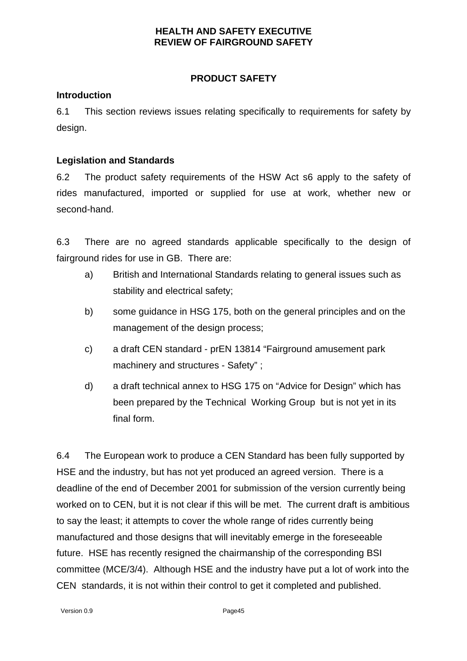### **HEALTH AND SAFETY EXECUTIVE REVIEW OF FAIRGROUND SAFETY**

## **PRODUCT SAFETY**

### **Introduction**

6.1 This section reviews issues relating specifically to requirements for safety by design.

## **Legislation and Standards**

6.2 The product safety requirements of the HSW Act s6 apply to the safety of rides manufactured, imported or supplied for use at work, whether new or second-hand.

6.3 There are no agreed standards applicable specifically to the design of fairground rides for use in GB. There are:

- a) British and International Standards relating to general issues such as stability and electrical safety;
- b) some guidance in HSG 175, both on the general principles and on the management of the design process;
- c) a draft CEN standard prEN 13814 "Fairground amusement park machinery and structures - Safety" ;
- d) a draft technical annex to HSG 175 on "Advice for Design" which has been prepared by the Technical Working Group but is not yet in its final form.

6.4 The European work to produce a CEN Standard has been fully supported by HSE and the industry, but has not yet produced an agreed version. There is a deadline of the end of December 2001 for submission of the version currently being worked on to CEN, but it is not clear if this will be met. The current draft is ambitious to say the least; it attempts to cover the whole range of rides currently being manufactured and those designs that will inevitably emerge in the foreseeable future. HSE has recently resigned the chairmanship of the corresponding BSI committee (MCE/3/4). Although HSE and the industry have put a lot of work into the CEN standards, it is not within their control to get it completed and published.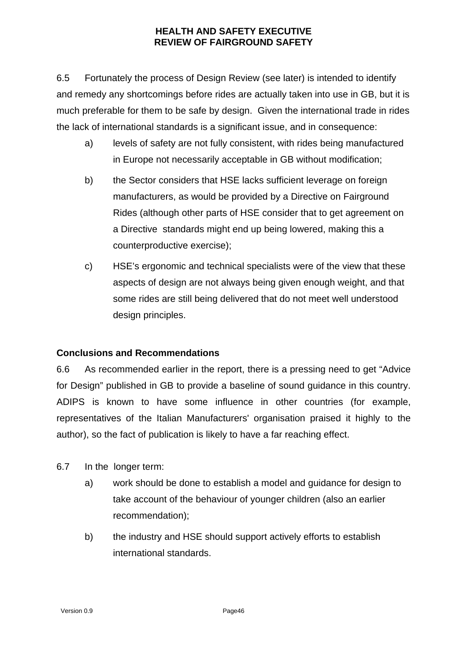## **HEALTH AND SAFETY EXECUTIVE REVIEW OF FAIRGROUND SAFETY**

6.5 Fortunately the process of Design Review (see later) is intended to identify and remedy any shortcomings before rides are actually taken into use in GB, but it is much preferable for them to be safe by design. Given the international trade in rides the lack of international standards is a significant issue, and in consequence:

- a) levels of safety are not fully consistent, with rides being manufactured in Europe not necessarily acceptable in GB without modification;
- b) the Sector considers that HSE lacks sufficient leverage on foreign manufacturers, as would be provided by a Directive on Fairground Rides (although other parts of HSE consider that to get agreement on a Directive standards might end up being lowered, making this a counterproductive exercise);
- c) HSE's ergonomic and technical specialists were of the view that these aspects of design are not always being given enough weight, and that some rides are still being delivered that do not meet well understood design principles.

## **Conclusions and Recommendations**

6.6 As recommended earlier in the report, there is a pressing need to get "Advice for Design" published in GB to provide a baseline of sound guidance in this country. ADIPS is known to have some influence in other countries (for example, representatives of the Italian Manufacturers' organisation praised it highly to the author), so the fact of publication is likely to have a far reaching effect.

- 6.7 In the longer term:
	- a) work should be done to establish a model and guidance for design to take account of the behaviour of younger children (also an earlier recommendation);
	- b) the industry and HSE should support actively efforts to establish international standards.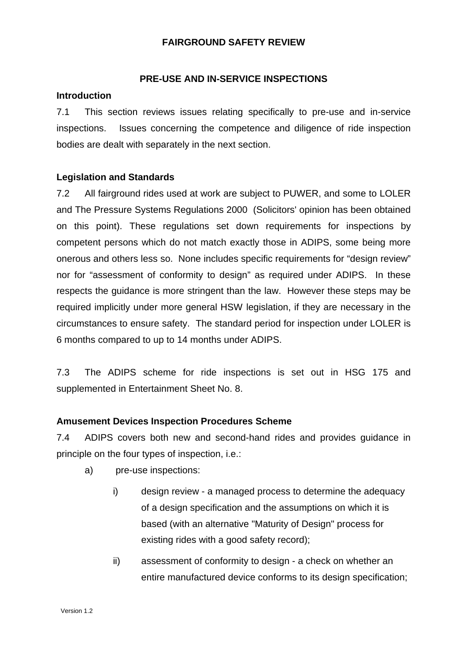### **PRE-USE AND IN-SERVICE INSPECTIONS**

#### **Introduction**

7.1 This section reviews issues relating specifically to pre-use and in-service inspections. Issues concerning the competence and diligence of ride inspection bodies are dealt with separately in the next section.

#### **Legislation and Standards**

7.2 All fairground rides used at work are subject to PUWER, and some to LOLER and The Pressure Systems Regulations 2000 (Solicitors' opinion has been obtained on this point). These regulations set down requirements for inspections by competent persons which do not match exactly those in ADIPS, some being more onerous and others less so. None includes specific requirements for "design review" nor for "assessment of conformity to design" as required under ADIPS. In these respects the guidance is more stringent than the law. However these steps may be required implicitly under more general HSW legislation, if they are necessary in the circumstances to ensure safety. The standard period for inspection under LOLER is 6 months compared to up to 14 months under ADIPS.

7.3 The ADIPS scheme for ride inspections is set out in HSG 175 and supplemented in Entertainment Sheet No. 8.

#### **Amusement Devices Inspection Procedures Scheme**

7.4 ADIPS covers both new and second-hand rides and provides guidance in principle on the four types of inspection, i.e.:

- a) pre-use inspections:
	- i) design review a managed process to determine the adequacy of a design specification and the assumptions on which it is based (with an alternative "Maturity of Design" process for existing rides with a good safety record);
	- ii) assessment of conformity to design a check on whether an entire manufactured device conforms to its design specification;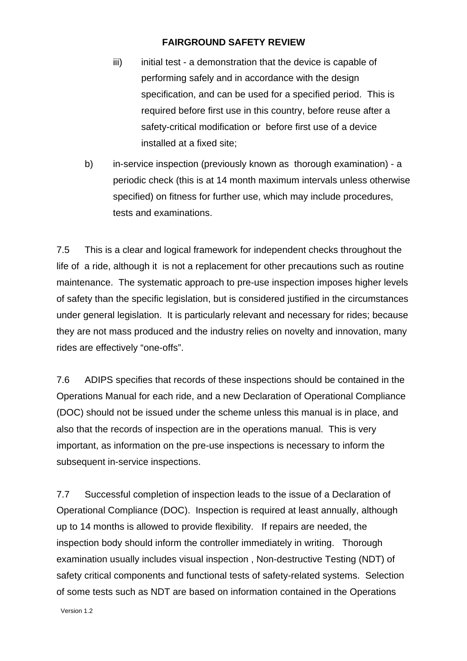iii) initial test - a demonstration that the device is capable of performing safely and in accordance with the design specification, and can be used for a specified period. This is required before first use in this country, before reuse after a safety-critical modification or before first use of a device installed at a fixed site;

b) in-service inspection (previously known as thorough examination) - a periodic check (this is at 14 month maximum intervals unless otherwise specified) on fitness for further use, which may include procedures, tests and examinations.

7.5 This is a clear and logical framework for independent checks throughout the life of a ride, although it is not a replacement for other precautions such as routine maintenance. The systematic approach to pre-use inspection imposes higher levels of safety than the specific legislation, but is considered justified in the circumstances under general legislation. It is particularly relevant and necessary for rides; because they are not mass produced and the industry relies on novelty and innovation, many rides are effectively "one-offs".

7.6 ADIPS specifies that records of these inspections should be contained in the Operations Manual for each ride, and a new Declaration of Operational Compliance (DOC) should not be issued under the scheme unless this manual is in place, and also that the records of inspection are in the operations manual. This is very important, as information on the pre-use inspections is necessary to inform the subsequent in-service inspections.

7.7 Successful completion of inspection leads to the issue of a Declaration of Operational Compliance (DOC). Inspection is required at least annually, although up to 14 months is allowed to provide flexibility. If repairs are needed, the inspection body should inform the controller immediately in writing. Thorough examination usually includes visual inspection , Non-destructive Testing (NDT) of safety critical components and functional tests of safety-related systems. Selection of some tests such as NDT are based on information contained in the Operations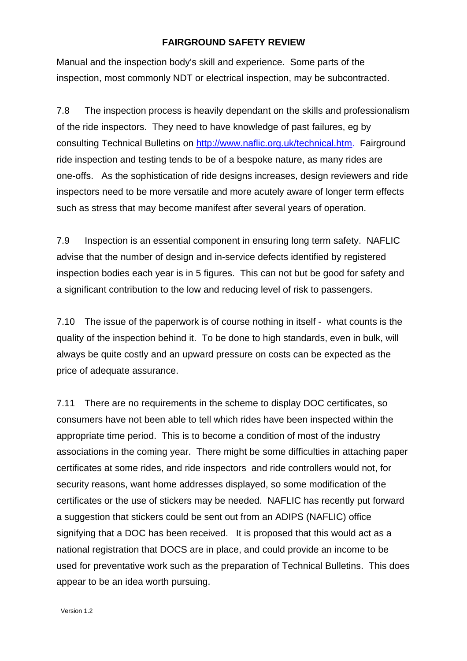Manual and the inspection body's skill and experience. Some parts of the inspection, most commonly NDT or electrical inspection, may be subcontracted.

7.8 The inspection process is heavily dependant on the skills and professionalism of the ride inspectors. They need to have knowledge of past failures, eg by consulting Technical Bulletins on http://www.naflic.org.uk/technical.htm. Fairground ride inspection and testing tends to be of a bespoke nature, as many rides are one-offs. As the sophistication of ride designs increases, design reviewers and ride inspectors need to be more versatile and more acutely aware of longer term effects such as stress that may become manifest after several years of operation.

7.9 Inspection is an essential component in ensuring long term safety. NAFLIC advise that the number of design and in-service defects identified by registered inspection bodies each year is in 5 figures. This can not but be good for safety and a significant contribution to the low and reducing level of risk to passengers.

7.10 The issue of the paperwork is of course nothing in itself - what counts is the quality of the inspection behind it. To be done to high standards, even in bulk, will always be quite costly and an upward pressure on costs can be expected as the price of adequate assurance.

7.11 There are no requirements in the scheme to display DOC certificates, so consumers have not been able to tell which rides have been inspected within the appropriate time period. This is to become a condition of most of the industry associations in the coming year. There might be some difficulties in attaching paper certificates at some rides, and ride inspectors and ride controllers would not, for security reasons, want home addresses displayed, so some modification of the certificates or the use of stickers may be needed. NAFLIC has recently put forward a suggestion that stickers could be sent out from an ADIPS (NAFLIC) office signifying that a DOC has been received. It is proposed that this would act as a national registration that DOCS are in place, and could provide an income to be used for preventative work such as the preparation of Technical Bulletins. This does appear to be an idea worth pursuing.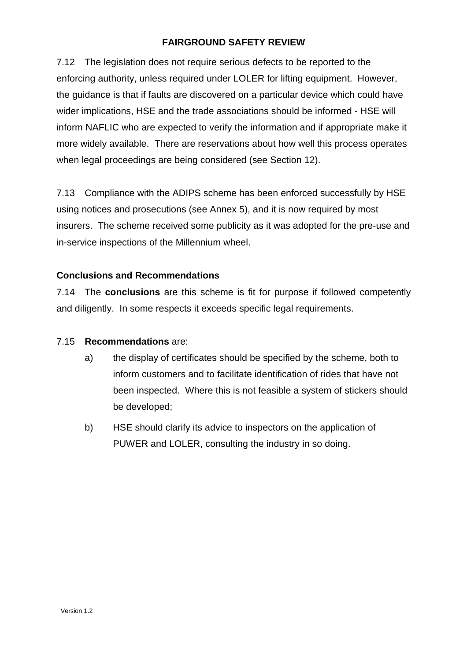7.12 The legislation does not require serious defects to be reported to the enforcing authority, unless required under LOLER for lifting equipment. However, the guidance is that if faults are discovered on a particular device which could have wider implications, HSE and the trade associations should be informed - HSE will inform NAFLIC who are expected to verify the information and if appropriate make it more widely available. There are reservations about how well this process operates when legal proceedings are being considered (see Section 12).

7.13 Compliance with the ADIPS scheme has been enforced successfully by HSE using notices and prosecutions (see Annex 5), and it is now required by most insurers. The scheme received some publicity as it was adopted for the pre-use and in-service inspections of the Millennium wheel.

## **Conclusions and Recommendations**

7.14 The **conclusions** are this scheme is fit for purpose if followed competently and diligently. In some respects it exceeds specific legal requirements.

### 7.15 **Recommendations** are:

- a) the display of certificates should be specified by the scheme, both to inform customers and to facilitate identification of rides that have not been inspected. Where this is not feasible a system of stickers should be developed;
- b) HSE should clarify its advice to inspectors on the application of PUWER and LOLER, consulting the industry in so doing.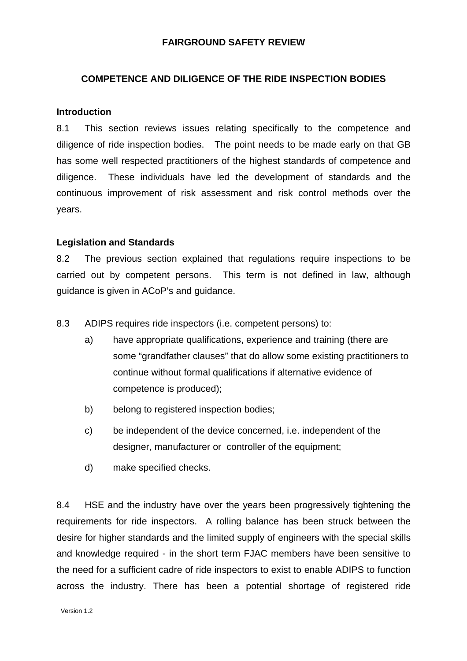### **COMPETENCE AND DILIGENCE OF THE RIDE INSPECTION BODIES**

#### **Introduction**

8.1 This section reviews issues relating specifically to the competence and diligence of ride inspection bodies. The point needs to be made early on that GB has some well respected practitioners of the highest standards of competence and diligence. These individuals have led the development of standards and the continuous improvement of risk assessment and risk control methods over the years.

#### **Legislation and Standards**

8.2 The previous section explained that regulations require inspections to be carried out by competent persons. This term is not defined in law, although guidance is given in ACoP's and guidance.

8.3 ADIPS requires ride inspectors (i.e. competent persons) to:

- a) have appropriate qualifications, experience and training (there are some "grandfather clauses" that do allow some existing practitioners to continue without formal qualifications if alternative evidence of competence is produced);
- b) belong to registered inspection bodies;
- c) be independent of the device concerned, i.e. independent of the designer, manufacturer or controller of the equipment;
- d) make specified checks.

8.4 HSE and the industry have over the years been progressively tightening the requirements for ride inspectors. A rolling balance has been struck between the desire for higher standards and the limited supply of engineers with the special skills and knowledge required - in the short term FJAC members have been sensitive to the need for a sufficient cadre of ride inspectors to exist to enable ADIPS to function across the industry. There has been a potential shortage of registered ride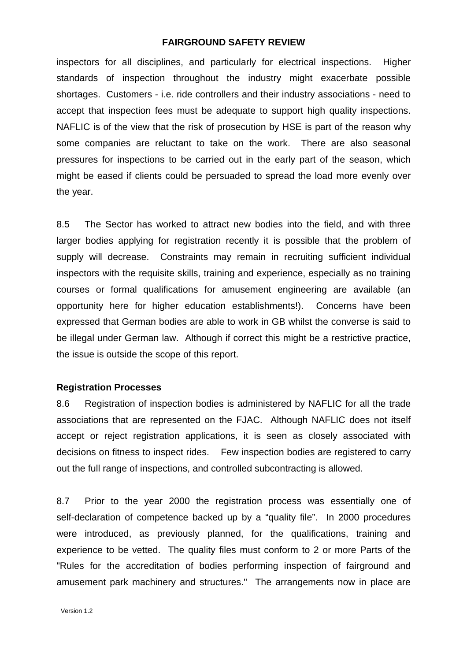inspectors for all disciplines, and particularly for electrical inspections. Higher standards of inspection throughout the industry might exacerbate possible shortages. Customers - i.e. ride controllers and their industry associations - need to accept that inspection fees must be adequate to support high quality inspections. NAFLIC is of the view that the risk of prosecution by HSE is part of the reason why some companies are reluctant to take on the work. There are also seasonal pressures for inspections to be carried out in the early part of the season, which might be eased if clients could be persuaded to spread the load more evenly over the year.

8.5 The Sector has worked to attract new bodies into the field, and with three larger bodies applying for registration recently it is possible that the problem of supply will decrease. Constraints may remain in recruiting sufficient individual inspectors with the requisite skills, training and experience, especially as no training courses or formal qualifications for amusement engineering are available (an opportunity here for higher education establishments!). Concerns have been expressed that German bodies are able to work in GB whilst the converse is said to be illegal under German law. Although if correct this might be a restrictive practice, the issue is outside the scope of this report.

#### **Registration Processes**

8.6 Registration of inspection bodies is administered by NAFLIC for all the trade associations that are represented on the FJAC. Although NAFLIC does not itself accept or reject registration applications, it is seen as closely associated with decisions on fitness to inspect rides. Few inspection bodies are registered to carry out the full range of inspections, and controlled subcontracting is allowed.

8.7 Prior to the year 2000 the registration process was essentially one of self-declaration of competence backed up by a "quality file". In 2000 procedures were introduced, as previously planned, for the qualifications, training and experience to be vetted. The quality files must conform to 2 or more Parts of the "Rules for the accreditation of bodies performing inspection of fairground and amusement park machinery and structures." The arrangements now in place are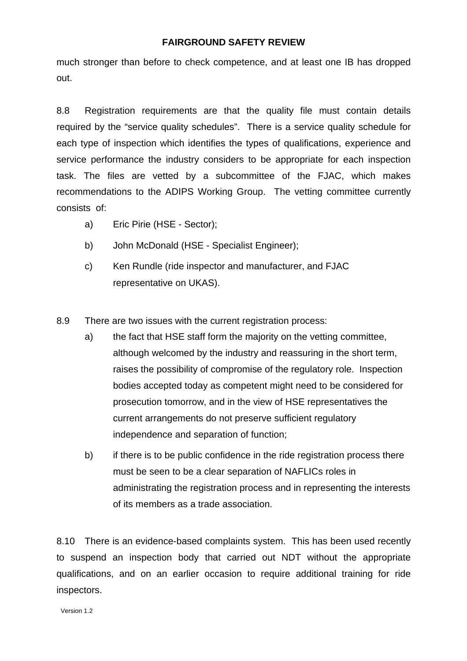much stronger than before to check competence, and at least one IB has dropped out.

8.8 Registration requirements are that the quality file must contain details required by the "service quality schedules". There is a service quality schedule for each type of inspection which identifies the types of qualifications, experience and service performance the industry considers to be appropriate for each inspection task. The files are vetted by a subcommittee of the FJAC, which makes recommendations to the ADIPS Working Group. The vetting committee currently consists of:

- a) Eric Pirie (HSE Sector);
- b) John McDonald (HSE Specialist Engineer);
- c) Ken Rundle (ride inspector and manufacturer, and FJAC representative on UKAS).
- 8.9 There are two issues with the current registration process:
	- a) the fact that HSE staff form the majority on the vetting committee, although welcomed by the industry and reassuring in the short term, raises the possibility of compromise of the regulatory role. Inspection bodies accepted today as competent might need to be considered for prosecution tomorrow, and in the view of HSE representatives the current arrangements do not preserve sufficient regulatory independence and separation of function;
	- b) if there is to be public confidence in the ride registration process there must be seen to be a clear separation of NAFLICs roles in administrating the registration process and in representing the interests of its members as a trade association.

8.10 There is an evidence-based complaints system. This has been used recently to suspend an inspection body that carried out NDT without the appropriate qualifications, and on an earlier occasion to require additional training for ride inspectors.

Version 1.2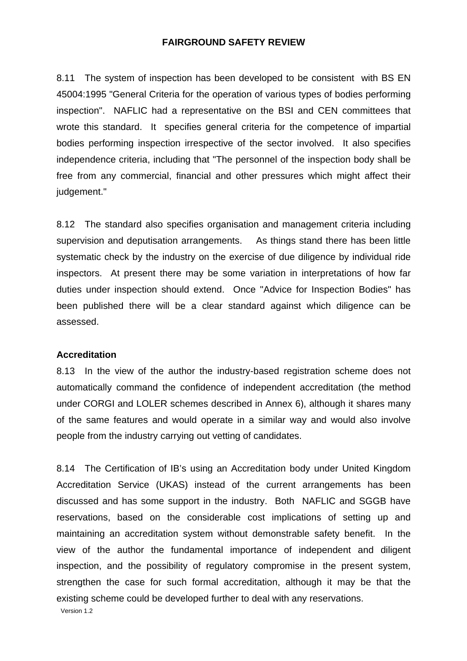8.11 The system of inspection has been developed to be consistent with BS EN 45004:1995 "General Criteria for the operation of various types of bodies performing inspection". NAFLIC had a representative on the BSI and CEN committees that wrote this standard. It specifies general criteria for the competence of impartial bodies performing inspection irrespective of the sector involved. It also specifies independence criteria, including that "The personnel of the inspection body shall be free from any commercial, financial and other pressures which might affect their judgement."

8.12 The standard also specifies organisation and management criteria including supervision and deputisation arrangements. As things stand there has been little systematic check by the industry on the exercise of due diligence by individual ride inspectors. At present there may be some variation in interpretations of how far duties under inspection should extend. Once "Advice for Inspection Bodies" has been published there will be a clear standard against which diligence can be assessed.

#### **Accreditation**

8.13 In the view of the author the industry-based registration scheme does not automatically command the confidence of independent accreditation (the method under CORGI and LOLER schemes described in Annex 6), although it shares many of the same features and would operate in a similar way and would also involve people from the industry carrying out vetting of candidates.

8.14 The Certification of IB's using an Accreditation body under United Kingdom Accreditation Service (UKAS) instead of the current arrangements has been discussed and has some support in the industry. Both NAFLIC and SGGB have reservations, based on the considerable cost implications of setting up and maintaining an accreditation system without demonstrable safety benefit. In the view of the author the fundamental importance of independent and diligent inspection, and the possibility of regulatory compromise in the present system, strengthen the case for such formal accreditation, although it may be that the existing scheme could be developed further to deal with any reservations.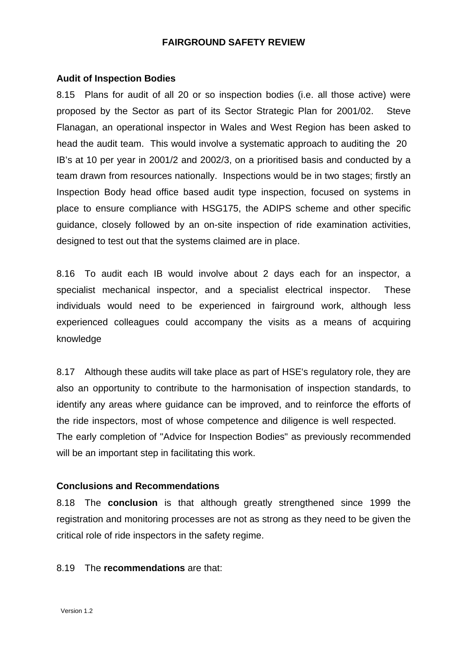#### **Audit of Inspection Bodies**

8.15 Plans for audit of all 20 or so inspection bodies (i.e. all those active) were proposed by the Sector as part of its Sector Strategic Plan for 2001/02. Steve Flanagan, an operational inspector in Wales and West Region has been asked to head the audit team. This would involve a systematic approach to auditing the 20 IB's at 10 per year in 2001/2 and 2002/3, on a prioritised basis and conducted by a team drawn from resources nationally. Inspections would be in two stages; firstly an Inspection Body head office based audit type inspection, focused on systems in place to ensure compliance with HSG175, the ADIPS scheme and other specific guidance, closely followed by an on-site inspection of ride examination activities, designed to test out that the systems claimed are in place.

8.16 To audit each IB would involve about 2 days each for an inspector, a specialist mechanical inspector, and a specialist electrical inspector. These individuals would need to be experienced in fairground work, although less experienced colleagues could accompany the visits as a means of acquiring knowledge

8.17 Although these audits will take place as part of HSE's regulatory role, they are also an opportunity to contribute to the harmonisation of inspection standards, to identify any areas where guidance can be improved, and to reinforce the efforts of the ride inspectors, most of whose competence and diligence is well respected. The early completion of "Advice for Inspection Bodies" as previously recommended will be an important step in facilitating this work.

#### **Conclusions and Recommendations**

8.18 The **conclusion** is that although greatly strengthened since 1999 the registration and monitoring processes are not as strong as they need to be given the critical role of ride inspectors in the safety regime.

#### 8.19 The **recommendations** are that: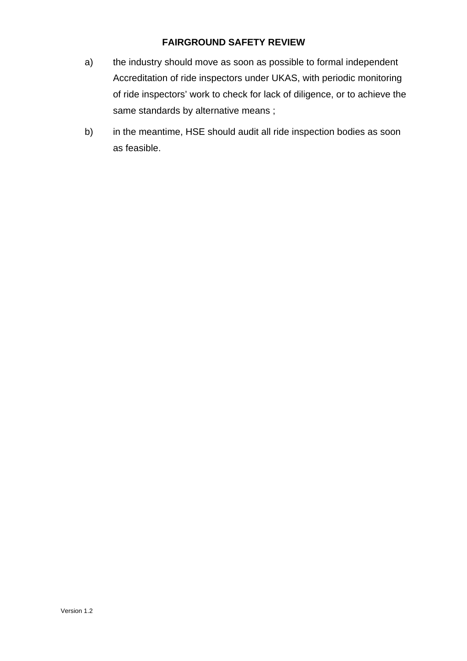- a) the industry should move as soon as possible to formal independent Accreditation of ride inspectors under UKAS, with periodic monitoring of ride inspectors' work to check for lack of diligence, or to achieve the same standards by alternative means ;
- b) in the meantime, HSE should audit all ride inspection bodies as soon as feasible.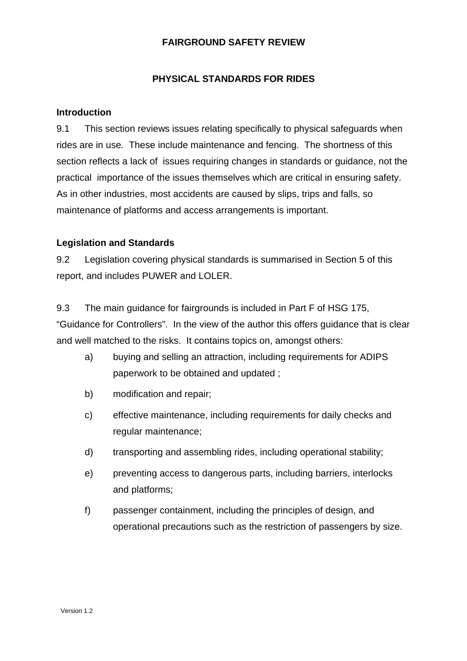## **PHYSICAL STANDARDS FOR RIDES**

### **Introduction**

9.1 This section reviews issues relating specifically to physical safeguards when rides are in use*.* These include maintenance and fencing. The shortness of this section reflects a lack of issues requiring changes in standards or guidance, not the practical importance of the issues themselves which are critical in ensuring safety. As in other industries, most accidents are caused by slips, trips and falls, so maintenance of platforms and access arrangements is important.

### **Legislation and Standards**

9.2 Legislation covering physical standards is summarised in Section 5 of this report, and includes PUWER and LOLER.

9.3 The main guidance for fairgrounds is included in Part F of HSG 175, "Guidance for Controllers". In the view of the author this offers guidance that is clear and well matched to the risks. It contains topics on, amongst others:

- a) buying and selling an attraction, including requirements for ADIPS paperwork to be obtained and updated ;
- b) modification and repair;
- c) effective maintenance, including requirements for daily checks and regular maintenance;
- d) transporting and assembling rides, including operational stability;
- e) preventing access to dangerous parts, including barriers, interlocks and platforms;
- f) passenger containment, including the principles of design, and operational precautions such as the restriction of passengers by size.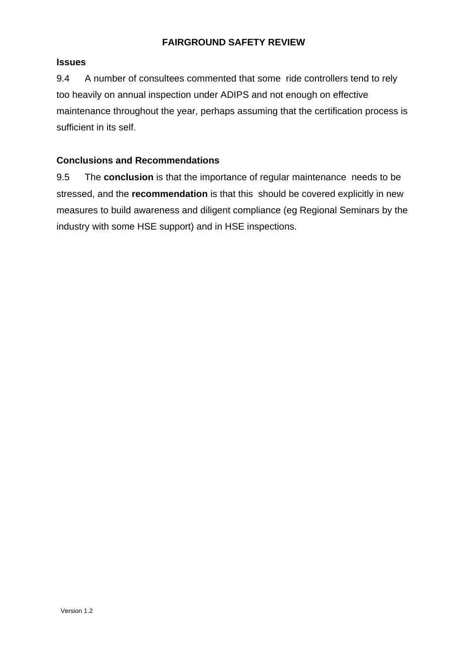### **Issues**

9.4 A number of consultees commented that some ride controllers tend to rely too heavily on annual inspection under ADIPS and not enough on effective maintenance throughout the year, perhaps assuming that the certification process is sufficient in its self.

## **Conclusions and Recommendations**

9.5 The **conclusion** is that the importance of regular maintenance needs to be stressed, and the **recommendation** is that this should be covered explicitly in new measures to build awareness and diligent compliance (eg Regional Seminars by the industry with some HSE support) and in HSE inspections.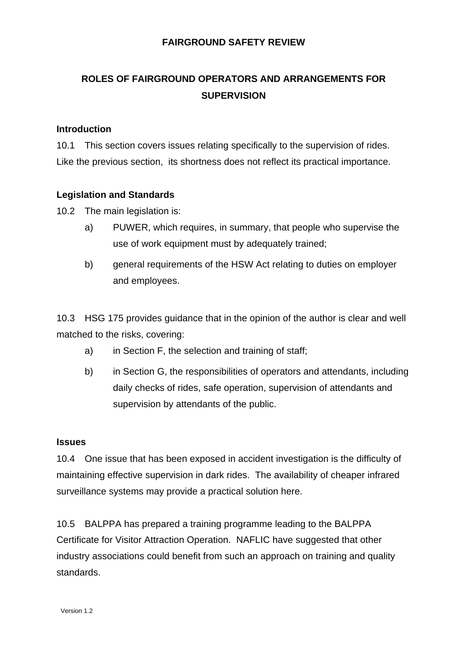# **ROLES OF FAIRGROUND OPERATORS AND ARRANGEMENTS FOR SUPERVISION**

### **Introduction**

10.1 This section covers issues relating specifically to the supervision of rides. Like the previous section, its shortness does not reflect its practical importance.

### **Legislation and Standards**

10.2 The main legislation is:

- a) PUWER, which requires, in summary, that people who supervise the use of work equipment must by adequately trained;
- b) general requirements of the HSW Act relating to duties on employer and employees.

10.3 HSG 175 provides guidance that in the opinion of the author is clear and well matched to the risks, covering:

- a) in Section F, the selection and training of staff;
- b) in Section G, the responsibilities of operators and attendants, including daily checks of rides, safe operation, supervision of attendants and supervision by attendants of the public.

#### **Issues**

10.4 One issue that has been exposed in accident investigation is the difficulty of maintaining effective supervision in dark rides. The availability of cheaper infrared surveillance systems may provide a practical solution here.

10.5 BALPPA has prepared a training programme leading to the BALPPA Certificate for Visitor Attraction Operation. NAFLIC have suggested that other industry associations could benefit from such an approach on training and quality standards.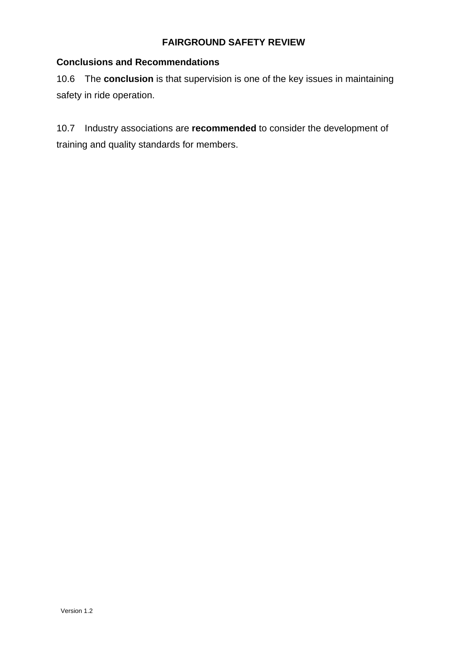## **Conclusions and Recommendations**

10.6 The **conclusion** is that supervision is one of the key issues in maintaining safety in ride operation.

10.7 Industry associations are **recommended** to consider the development of training and quality standards for members.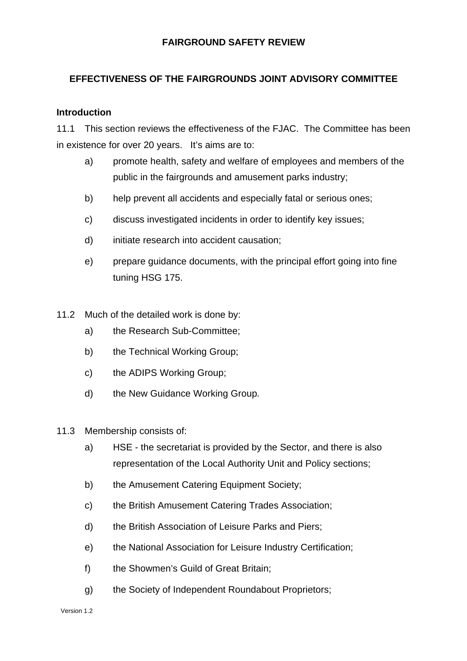## **EFFECTIVENESS OF THE FAIRGROUNDS JOINT ADVISORY COMMITTEE**

### **Introduction**

11.1 This section reviews the effectiveness of the FJAC. The Committee has been in existence for over 20 years. It's aims are to:

- a) promote health, safety and welfare of employees and members of the public in the fairgrounds and amusement parks industry;
- b) help prevent all accidents and especially fatal or serious ones;
- c) discuss investigated incidents in order to identify key issues;
- d) initiate research into accident causation;
- e) prepare guidance documents, with the principal effort going into fine tuning HSG 175.
- 11.2 Much of the detailed work is done by:
	- a) the Research Sub-Committee;
	- b) the Technical Working Group;
	- c) the ADIPS Working Group;
	- d) the New Guidance Working Group*.*
- 11.3 Membership consists of:
	- a) HSE the secretariat is provided by the Sector, and there is also representation of the Local Authority Unit and Policy sections;
	- b) the Amusement Catering Equipment Society;
	- c) the British Amusement Catering Trades Association;
	- d) the British Association of Leisure Parks and Piers;
	- e) the National Association for Leisure Industry Certification;
	- f) the Showmen's Guild of Great Britain;
	- g) the Society of Independent Roundabout Proprietors;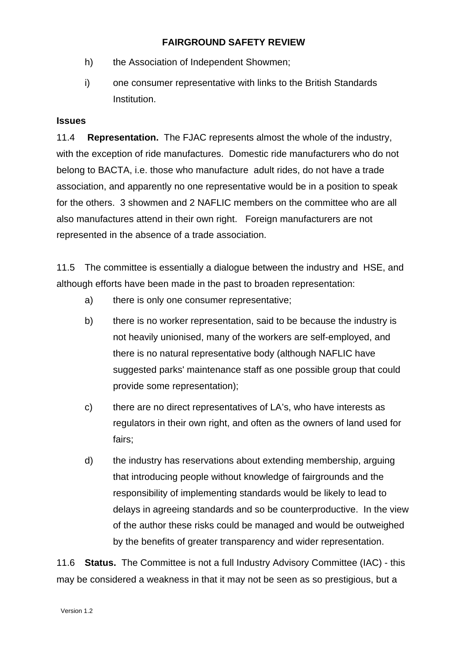- h) the Association of Independent Showmen;
- i) one consumer representative with links to the British Standards Institution.

### **Issues**

11.4 **Representation.** The FJAC represents almost the whole of the industry, with the exception of ride manufactures. Domestic ride manufacturers who do not belong to BACTA, i.e. those who manufacture adult rides, do not have a trade association, and apparently no one representative would be in a position to speak for the others. 3 showmen and 2 NAFLIC members on the committee who are all also manufactures attend in their own right. Foreign manufacturers are not represented in the absence of a trade association.

11.5 The committee is essentially a dialogue between the industry and HSE, and although efforts have been made in the past to broaden representation:

- a) there is only one consumer representative;
- b) there is no worker representation, said to be because the industry is not heavily unionised, many of the workers are self-employed, and there is no natural representative body (although NAFLIC have suggested parks' maintenance staff as one possible group that could provide some representation);
- c) there are no direct representatives of LA's, who have interests as regulators in their own right, and often as the owners of land used for fairs;
- d) the industry has reservations about extending membership, arguing that introducing people without knowledge of fairgrounds and the responsibility of implementing standards would be likely to lead to delays in agreeing standards and so be counterproductive. In the view of the author these risks could be managed and would be outweighed by the benefits of greater transparency and wider representation.

11.6 **Status.** The Committee is not a full Industry Advisory Committee (IAC) - this may be considered a weakness in that it may not be seen as so prestigious, but a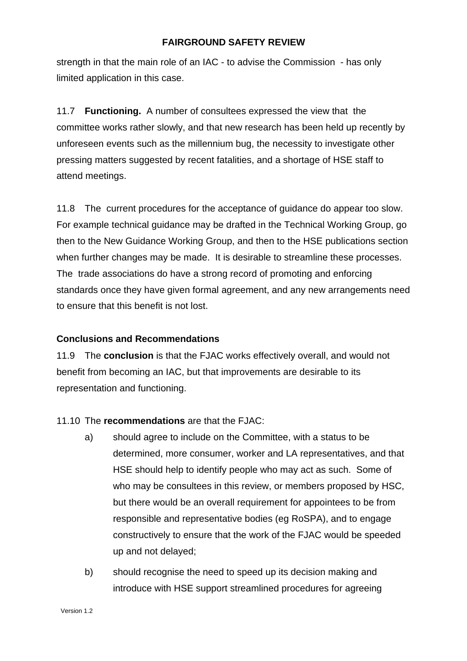strength in that the main role of an IAC - to advise the Commission - has only limited application in this case.

11.7 **Functioning.** A number of consultees expressed the view that the committee works rather slowly, and that new research has been held up recently by unforeseen events such as the millennium bug, the necessity to investigate other pressing matters suggested by recent fatalities, and a shortage of HSE staff to attend meetings.

11.8 The current procedures for the acceptance of guidance do appear too slow. For example technical guidance may be drafted in the Technical Working Group, go then to the New Guidance Working Group, and then to the HSE publications section when further changes may be made. It is desirable to streamline these processes. The trade associations do have a strong record of promoting and enforcing standards once they have given formal agreement, and any new arrangements need to ensure that this benefit is not lost.

### **Conclusions and Recommendations**

11.9 The **conclusion** is that the FJAC works effectively overall, and would not benefit from becoming an IAC, but that improvements are desirable to its representation and functioning.

11.10 The **recommendations** are that the FJAC:

- a) should agree to include on the Committee, with a status to be determined, more consumer, worker and LA representatives, and that HSE should help to identify people who may act as such. Some of who may be consultees in this review, or members proposed by HSC, but there would be an overall requirement for appointees to be from responsible and representative bodies (eg RoSPA), and to engage constructively to ensure that the work of the FJAC would be speeded up and not delayed;
- b) should recognise the need to speed up its decision making and introduce with HSE support streamlined procedures for agreeing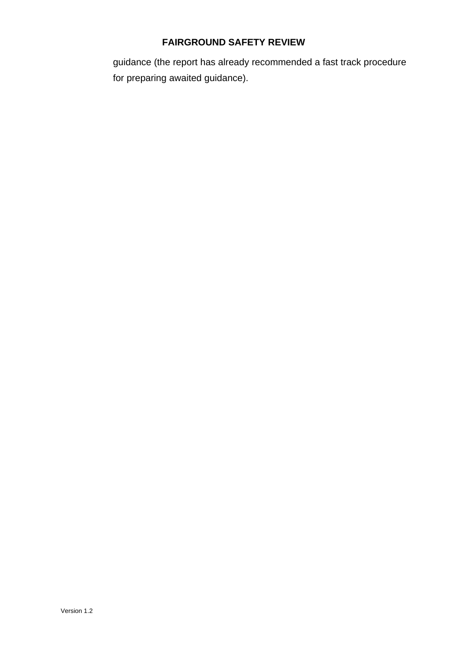guidance (the report has already recommended a fast track procedure for preparing awaited guidance).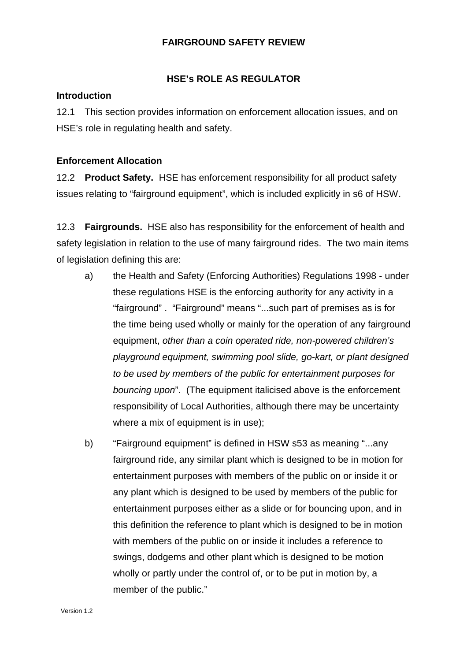## **HSE's ROLE AS REGULATOR**

### **Introduction**

12.1 This section provides information on enforcement allocation issues, and on HSE's role in regulating health and safety.

### **Enforcement Allocation**

12.2 **Product Safety.** HSE has enforcement responsibility for all product safety issues relating to "fairground equipment", which is included explicitly in s6 of HSW.

12.3 **Fairgrounds.** HSE also has responsibility for the enforcement of health and safety legislation in relation to the use of many fairground rides. The two main items of legislation defining this are:

- a) the Health and Safety (Enforcing Authorities) Regulations 1998 under these regulations HSE is the enforcing authority for any activity in a "fairground" . "Fairground" means "...such part of premises as is for the time being used wholly or mainly for the operation of any fairground equipment, *other than a coin operated ride, non-powered children's playground equipment, swimming pool slide, go-kart, or plant designed to be used by members of the public for entertainment purposes for bouncing upon*". (The equipment italicised above is the enforcement responsibility of Local Authorities, although there may be uncertainty where a mix of equipment is in use):
- b) "Fairground equipment" is defined in HSW s53 as meaning "...any fairground ride, any similar plant which is designed to be in motion for entertainment purposes with members of the public on or inside it or any plant which is designed to be used by members of the public for entertainment purposes either as a slide or for bouncing upon, and in this definition the reference to plant which is designed to be in motion with members of the public on or inside it includes a reference to swings, dodgems and other plant which is designed to be motion wholly or partly under the control of, or to be put in motion by, a member of the public."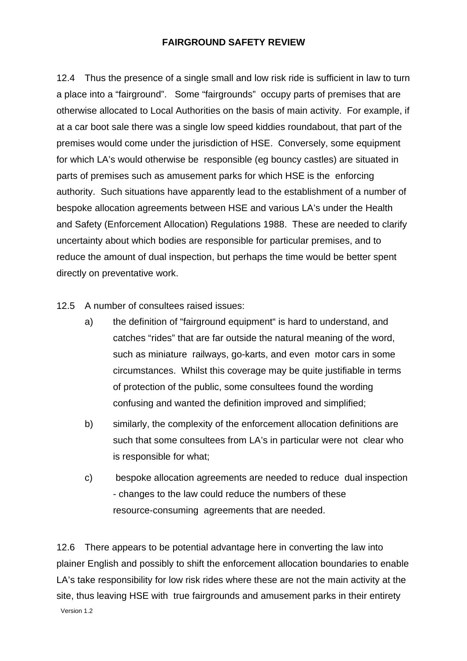12.4 Thus the presence of a single small and low risk ride is sufficient in law to turn a place into a "fairground". Some "fairgrounds" occupy parts of premises that are otherwise allocated to Local Authorities on the basis of main activity. For example, if at a car boot sale there was a single low speed kiddies roundabout, that part of the premises would come under the jurisdiction of HSE. Conversely, some equipment for which LA's would otherwise be responsible (eg bouncy castles) are situated in parts of premises such as amusement parks for which HSE is the enforcing authority. Such situations have apparently lead to the establishment of a number of bespoke allocation agreements between HSE and various LA's under the Health and Safety (Enforcement Allocation) Regulations 1988. These are needed to clarify uncertainty about which bodies are responsible for particular premises, and to reduce the amount of dual inspection, but perhaps the time would be better spent directly on preventative work.

12.5 A number of consultees raised issues:

- a) the definition of "fairground equipment" is hard to understand, and catches "rides" that are far outside the natural meaning of the word, such as miniature railways, go-karts, and even motor cars in some circumstances. Whilst this coverage may be quite justifiable in terms of protection of the public, some consultees found the wording confusing and wanted the definition improved and simplified;
- b) similarly, the complexity of the enforcement allocation definitions are such that some consultees from LA's in particular were not clear who is responsible for what;
- c) bespoke allocation agreements are needed to reduce dual inspection - changes to the law could reduce the numbers of these resource-consuming agreements that are needed.

12.6 There appears to be potential advantage here in converting the law into plainer English and possibly to shift the enforcement allocation boundaries to enable LA's take responsibility for low risk rides where these are not the main activity at the site, thus leaving HSE with true fairgrounds and amusement parks in their entirety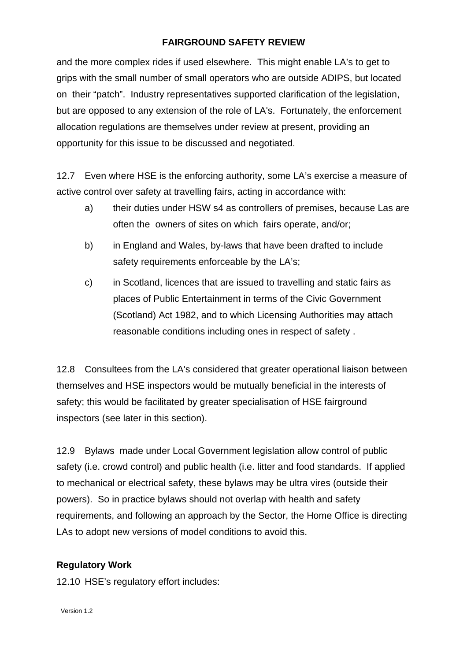and the more complex rides if used elsewhere. This might enable LA's to get to grips with the small number of small operators who are outside ADIPS, but located on their "patch". Industry representatives supported clarification of the legislation, but are opposed to any extension of the role of LA's. Fortunately, the enforcement allocation regulations are themselves under review at present, providing an opportunity for this issue to be discussed and negotiated.

12.7 Even where HSE is the enforcing authority, some LA's exercise a measure of active control over safety at travelling fairs, acting in accordance with:

- a) their duties under HSW s4 as controllers of premises, because Las are often the owners of sites on which fairs operate, and/or;
- b) in England and Wales, by-laws that have been drafted to include safety requirements enforceable by the LA's;
- c) in Scotland, licences that are issued to travelling and static fairs as places of Public Entertainment in terms of the Civic Government (Scotland) Act 1982, and to which Licensing Authorities may attach reasonable conditions including ones in respect of safety .

12.8 Consultees from the LA's considered that greater operational liaison between themselves and HSE inspectors would be mutually beneficial in the interests of safety; this would be facilitated by greater specialisation of HSE fairground inspectors (see later in this section).

12.9 Bylaws made under Local Government legislation allow control of public safety (i.e. crowd control) and public health (i.e. litter and food standards. If applied to mechanical or electrical safety, these bylaws may be ultra vires (outside their powers). So in practice bylaws should not overlap with health and safety requirements, and following an approach by the Sector, the Home Office is directing LAs to adopt new versions of model conditions to avoid this.

## **Regulatory Work**

12.10 HSE's regulatory effort includes: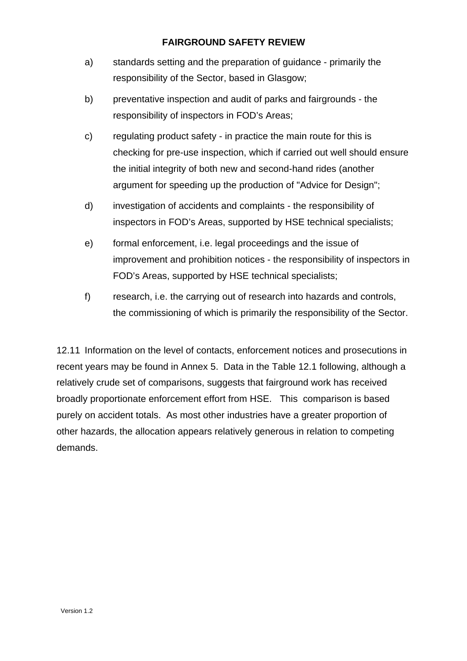- a) standards setting and the preparation of guidance primarily the responsibility of the Sector, based in Glasgow;
- b) preventative inspection and audit of parks and fairgrounds the responsibility of inspectors in FOD's Areas;
- c) regulating product safety in practice the main route for this is checking for pre-use inspection, which if carried out well should ensure the initial integrity of both new and second-hand rides (another argument for speeding up the production of "Advice for Design";
- d) investigation of accidents and complaints the responsibility of inspectors in FOD's Areas, supported by HSE technical specialists;
- e) formal enforcement, i.e. legal proceedings and the issue of improvement and prohibition notices - the responsibility of inspectors in FOD's Areas, supported by HSE technical specialists;
- f) research, i.e. the carrying out of research into hazards and controls, the commissioning of which is primarily the responsibility of the Sector.

12.11 Information on the level of contacts, enforcement notices and prosecutions in recent years may be found in Annex 5. Data in the Table 12.1 following, although a relatively crude set of comparisons, suggests that fairground work has received broadly proportionate enforcement effort from HSE. This comparison is based purely on accident totals. As most other industries have a greater proportion of other hazards, the allocation appears relatively generous in relation to competing demands.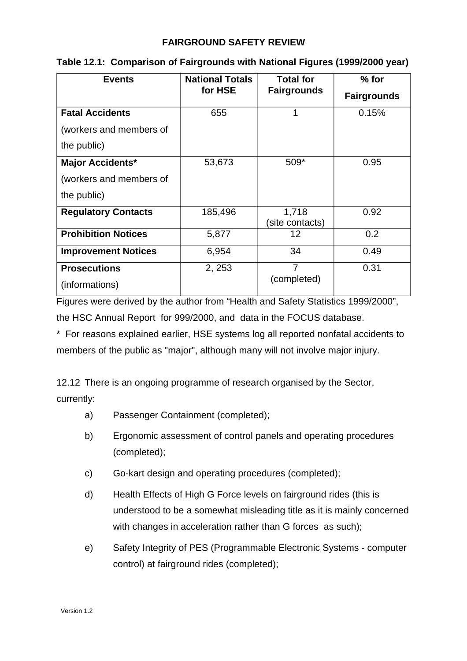| <b>Events</b>              | <b>National Totals</b><br>for HSE | <b>Total for</b><br><b>Fairgrounds</b> | $%$ for            |
|----------------------------|-----------------------------------|----------------------------------------|--------------------|
|                            |                                   |                                        | <b>Fairgrounds</b> |
| <b>Fatal Accidents</b>     | 655                               | 1                                      | 0.15%              |
| (workers and members of    |                                   |                                        |                    |
| the public)                |                                   |                                        |                    |
| <b>Major Accidents*</b>    | 53,673                            | 509*                                   | 0.95               |
| (workers and members of    |                                   |                                        |                    |
| the public)                |                                   |                                        |                    |
| <b>Regulatory Contacts</b> | 185,496                           | 1,718                                  | 0.92               |
|                            |                                   | (site contacts)                        |                    |
| <b>Prohibition Notices</b> | 5,877                             | 12                                     | 0.2                |
| <b>Improvement Notices</b> | 6,954                             | 34                                     | 0.49               |
| <b>Prosecutions</b>        | 2, 253                            | 7                                      | 0.31               |
| (informations)             |                                   | (completed)                            |                    |

## **Table 12.1: Comparison of Fairgrounds with National Figures (1999/2000 year)**

Figures were derived by the author from "Health and Safety Statistics 1999/2000", the HSC Annual Report for 999/2000, and data in the FOCUS database.

\* For reasons explained earlier, HSE systems log all reported nonfatal accidents to members of the public as "major", although many will not involve major injury.

12.12 There is an ongoing programme of research organised by the Sector, currently:

- a) Passenger Containment (completed);
- b) Ergonomic assessment of control panels and operating procedures (completed);
- c) Go-kart design and operating procedures (completed);
- d) Health Effects of High G Force levels on fairground rides (this is understood to be a somewhat misleading title as it is mainly concerned with changes in acceleration rather than G forces as such);
- e) Safety Integrity of PES (Programmable Electronic Systems computer control) at fairground rides (completed);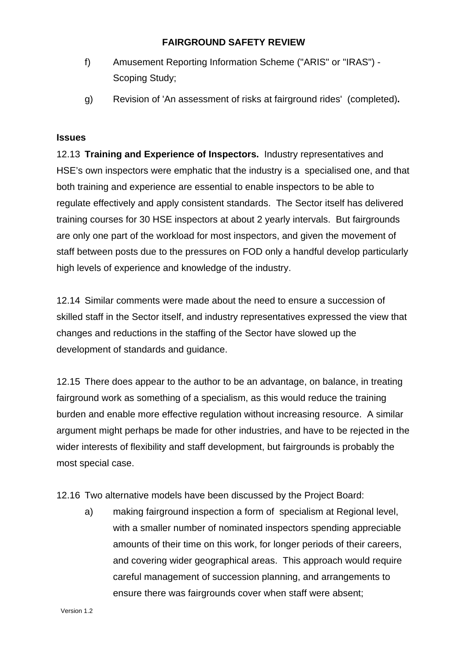- f) Amusement Reporting Information Scheme ("ARIS" or "IRAS") Scoping Study;
- g) Revision of 'An assessment of risks at fairground rides' (completed)**.**

### **Issues**

12.13 **Training and Experience of Inspectors.** Industry representatives and HSE's own inspectors were emphatic that the industry is a specialised one, and that both training and experience are essential to enable inspectors to be able to regulate effectively and apply consistent standards. The Sector itself has delivered training courses for 30 HSE inspectors at about 2 yearly intervals. But fairgrounds are only one part of the workload for most inspectors, and given the movement of staff between posts due to the pressures on FOD only a handful develop particularly high levels of experience and knowledge of the industry.

12.14 Similar comments were made about the need to ensure a succession of skilled staff in the Sector itself, and industry representatives expressed the view that changes and reductions in the staffing of the Sector have slowed up the development of standards and guidance.

12.15 There does appear to the author to be an advantage, on balance, in treating fairground work as something of a specialism, as this would reduce the training burden and enable more effective regulation without increasing resource. A similar argument might perhaps be made for other industries, and have to be rejected in the wider interests of flexibility and staff development, but fairgrounds is probably the most special case.

12.16 Two alternative models have been discussed by the Project Board:

a) making fairground inspection a form of specialism at Regional level, with a smaller number of nominated inspectors spending appreciable amounts of their time on this work, for longer periods of their careers, and covering wider geographical areas. This approach would require careful management of succession planning, and arrangements to ensure there was fairgrounds cover when staff were absent;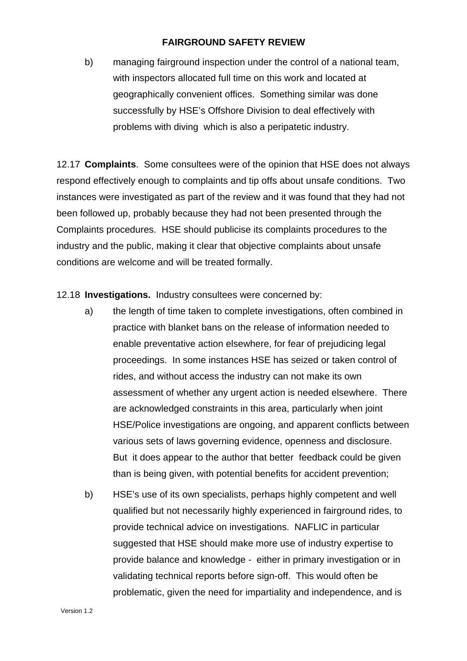b) managing fairground inspection under the control of a national team, with inspectors allocated full time on this work and located at geographically convenient offices. Something similar was done successfully by HSE's Offshore Division to deal effectively with problems with diving which is also a peripatetic industry.

12.17 **Complaints**. Some consultees were of the opinion that HSE does not always respond effectively enough to complaints and tip offs about unsafe conditions. Two instances were investigated as part of the review and it was found that they had not been followed up, probably because they had not been presented through the Complaints procedures. HSE should publicise its complaints procedures to the industry and the public, making it clear that objective complaints about unsafe conditions are welcome and will be treated formally.

12.18 **Investigations.** Industry consultees were concerned by:

- a) the length of time taken to complete investigations, often combined in practice with blanket bans on the release of information needed to enable preventative action elsewhere, for fear of prejudicing legal proceedings. In some instances HSE has seized or taken control of rides, and without access the industry can not make its own assessment of whether any urgent action is needed elsewhere. There are acknowledged constraints in this area, particularly when joint HSE/Police investigations are ongoing, and apparent conflicts between various sets of laws governing evidence, openness and disclosure. But it does appear to the author that better feedback could be given than is being given, with potential benefits for accident prevention;
- b) HSE's use of its own specialists, perhaps highly competent and well qualified but not necessarily highly experienced in fairground rides, to provide technical advice on investigations. NAFLIC in particular suggested that HSE should make more use of industry expertise to provide balance and knowledge - either in primary investigation or in validating technical reports before sign-off. This would often be problematic, given the need for impartiality and independence, and is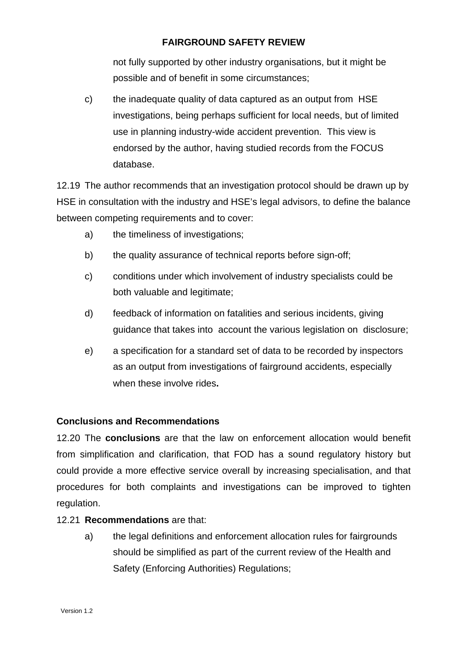not fully supported by other industry organisations, but it might be possible and of benefit in some circumstances;

c) the inadequate quality of data captured as an output from HSE investigations, being perhaps sufficient for local needs, but of limited use in planning industry-wide accident prevention. This view is endorsed by the author, having studied records from the FOCUS database.

12.19 The author recommends that an investigation protocol should be drawn up by HSE in consultation with the industry and HSE's legal advisors, to define the balance between competing requirements and to cover:

- a) the timeliness of investigations;
- b) the quality assurance of technical reports before sign-off;
- c) conditions under which involvement of industry specialists could be both valuable and legitimate;
- d) feedback of information on fatalities and serious incidents, giving guidance that takes into account the various legislation on disclosure;
- e) a specification for a standard set of data to be recorded by inspectors as an output from investigations of fairground accidents, especially when these involve rides**.**

## **Conclusions and Recommendations**

12.20 The **conclusions** are that the law on enforcement allocation would benefit from simplification and clarification, that FOD has a sound regulatory history but could provide a more effective service overall by increasing specialisation, and that procedures for both complaints and investigations can be improved to tighten regulation.

## 12.21 **Recommendations** are that:

a) the legal definitions and enforcement allocation rules for fairgrounds should be simplified as part of the current review of the Health and Safety (Enforcing Authorities) Regulations;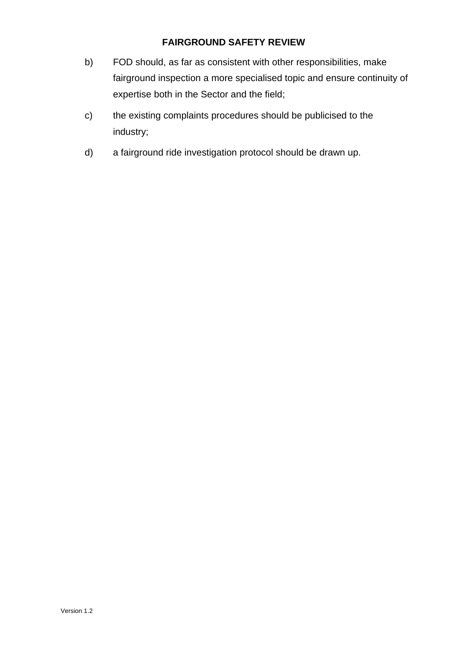- b) FOD should, as far as consistent with other responsibilities, make fairground inspection a more specialised topic and ensure continuity of expertise both in the Sector and the field;
- c) the existing complaints procedures should be publicised to the industry;
- d) a fairground ride investigation protocol should be drawn up.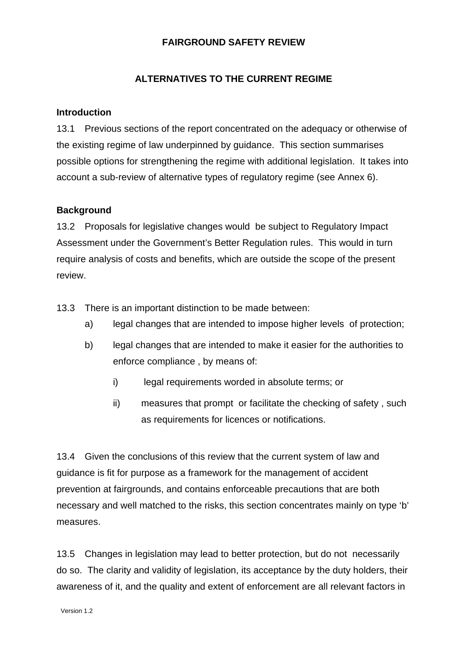## **ALTERNATIVES TO THE CURRENT REGIME**

### **Introduction**

13.1 Previous sections of the report concentrated on the adequacy or otherwise of the existing regime of law underpinned by guidance. This section summarises possible options for strengthening the regime with additional legislation. It takes into account a sub-review of alternative types of regulatory regime (see Annex 6).

### **Background**

13.2 Proposals for legislative changes would be subject to Regulatory Impact Assessment under the Government's Better Regulation rules. This would in turn require analysis of costs and benefits, which are outside the scope of the present review.

13.3 There is an important distinction to be made between:

- a) legal changes that are intended to impose higher levels of protection;
- b) legal changes that are intended to make it easier for the authorities to enforce compliance , by means of:
	- i) legal requirements worded in absolute terms; or
	- ii) measures that prompt or facilitate the checking of safety , such as requirements for licences or notifications.

13.4 Given the conclusions of this review that the current system of law and guidance is fit for purpose as a framework for the management of accident prevention at fairgrounds, and contains enforceable precautions that are both necessary and well matched to the risks, this section concentrates mainly on type 'b' measures.

13.5 Changes in legislation may lead to better protection, but do not necessarily do so. The clarity and validity of legislation, its acceptance by the duty holders, their awareness of it, and the quality and extent of enforcement are all relevant factors in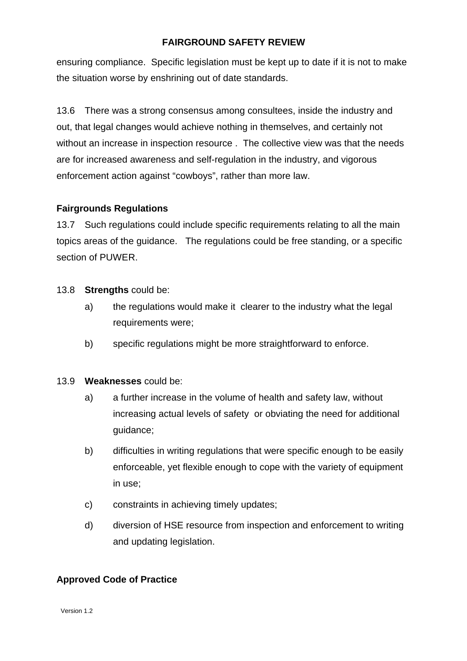ensuring compliance. Specific legislation must be kept up to date if it is not to make the situation worse by enshrining out of date standards.

13.6 There was a strong consensus among consultees, inside the industry and out, that legal changes would achieve nothing in themselves, and certainly not without an increase in inspection resource . The collective view was that the needs are for increased awareness and self-regulation in the industry, and vigorous enforcement action against "cowboys", rather than more law.

## **Fairgrounds Regulations**

13.7 Such regulations could include specific requirements relating to all the main topics areas of the guidance. The regulations could be free standing, or a specific section of PUWER.

### 13.8 **Strengths** could be:

- a) the regulations would make it clearer to the industry what the legal requirements were;
- b) specific regulations might be more straightforward to enforce.

## 13.9 **Weaknesses** could be:

- a) a further increase in the volume of health and safety law, without increasing actual levels of safety or obviating the need for additional guidance;
- b) difficulties in writing regulations that were specific enough to be easily enforceable, yet flexible enough to cope with the variety of equipment in use;
- c) constraints in achieving timely updates;
- d) diversion of HSE resource from inspection and enforcement to writing and updating legislation.

## **Approved Code of Practice**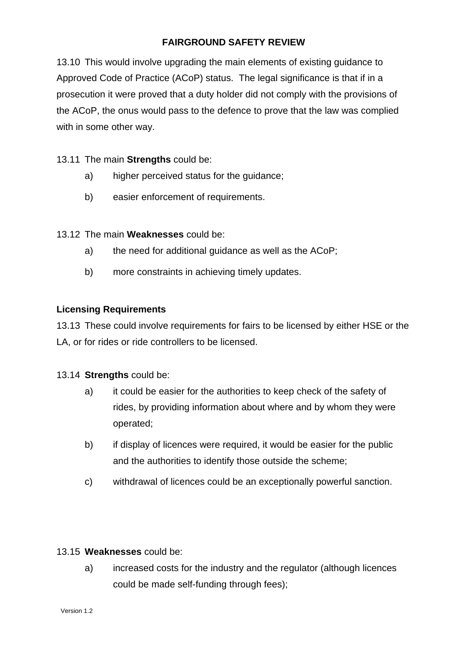13.10 This would involve upgrading the main elements of existing guidance to Approved Code of Practice (ACoP) status. The legal significance is that if in a prosecution it were proved that a duty holder did not comply with the provisions of the ACoP, the onus would pass to the defence to prove that the law was complied with in some other way.

13.11 The main **Strengths** could be:

- a) higher perceived status for the guidance;
- b) easier enforcement of requirements.

13.12 The main **Weaknesses** could be:

- a) the need for additional guidance as well as the ACoP;
- b) more constraints in achieving timely updates.

## **Licensing Requirements**

13.13 These could involve requirements for fairs to be licensed by either HSE or the LA, or for rides or ride controllers to be licensed.

## 13.14 **Strengths** could be:

- a) it could be easier for the authorities to keep check of the safety of rides, by providing information about where and by whom they were operated;
- b) if display of licences were required, it would be easier for the public and the authorities to identify those outside the scheme;
- c) withdrawal of licences could be an exceptionally powerful sanction.

## 13.15 **Weaknesses** could be:

a) increased costs for the industry and the regulator (although licences could be made self-funding through fees);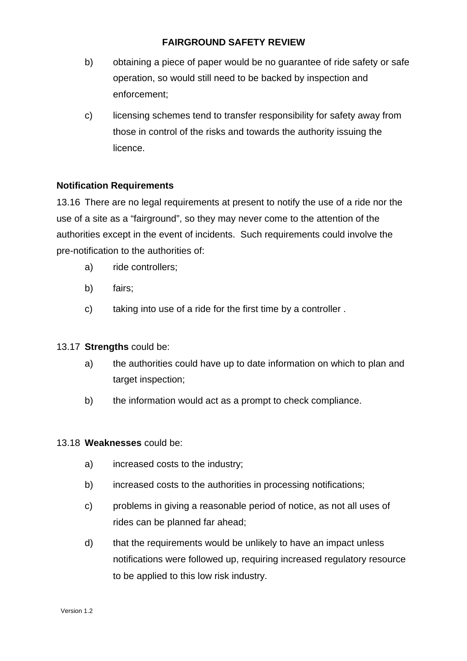- b) obtaining a piece of paper would be no guarantee of ride safety or safe operation, so would still need to be backed by inspection and enforcement;
- c) licensing schemes tend to transfer responsibility for safety away from those in control of the risks and towards the authority issuing the licence.

### **Notification Requirements**

13.16 There are no legal requirements at present to notify the use of a ride nor the use of a site as a "fairground", so they may never come to the attention of the authorities except in the event of incidents. Such requirements could involve the pre-notification to the authorities of:

- a) ride controllers;
- b) fairs;
- c) taking into use of a ride for the first time by a controller .

#### 13.17 **Strengths** could be:

- a) the authorities could have up to date information on which to plan and target inspection;
- b) the information would act as a prompt to check compliance.

#### 13.18 **Weaknesses** could be:

- a) increased costs to the industry;
- b) increased costs to the authorities in processing notifications;
- c) problems in giving a reasonable period of notice, as not all uses of rides can be planned far ahead;
- d) that the requirements would be unlikely to have an impact unless notifications were followed up, requiring increased regulatory resource to be applied to this low risk industry.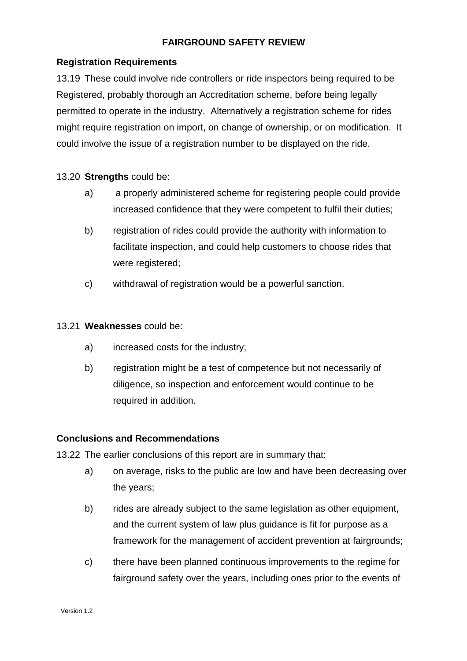### **Registration Requirements**

13.19 These could involve ride controllers or ride inspectors being required to be Registered, probably thorough an Accreditation scheme, before being legally permitted to operate in the industry. Alternatively a registration scheme for rides might require registration on import, on change of ownership, or on modification. It could involve the issue of a registration number to be displayed on the ride.

### 13.20 **Strengths** could be:

- a) a properly administered scheme for registering people could provide increased confidence that they were competent to fulfil their duties;
- b) registration of rides could provide the authority with information to facilitate inspection, and could help customers to choose rides that were registered;
- c) withdrawal of registration would be a powerful sanction.

#### 13.21 **Weaknesses** could be:

- a) increased costs for the industry;
- b) registration might be a test of competence but not necessarily of diligence, so inspection and enforcement would continue to be required in addition.

#### **Conclusions and Recommendations**

13.22 The earlier conclusions of this report are in summary that:

- a) on average, risks to the public are low and have been decreasing over the years;
- b) rides are already subject to the same legislation as other equipment, and the current system of law plus guidance is fit for purpose as a framework for the management of accident prevention at fairgrounds;
- c) there have been planned continuous improvements to the regime for fairground safety over the years, including ones prior to the events of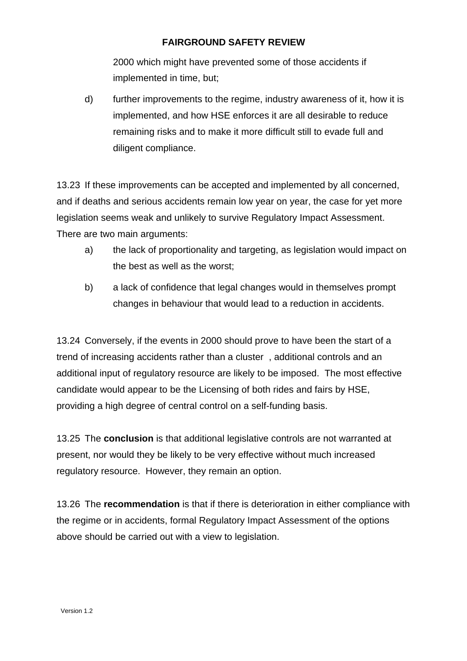2000 which might have prevented some of those accidents if implemented in time, but;

d) further improvements to the regime, industry awareness of it, how it is implemented, and how HSE enforces it are all desirable to reduce remaining risks and to make it more difficult still to evade full and diligent compliance.

13.23 If these improvements can be accepted and implemented by all concerned, and if deaths and serious accidents remain low year on year, the case for yet more legislation seems weak and unlikely to survive Regulatory Impact Assessment. There are two main arguments:

- a) the lack of proportionality and targeting, as legislation would impact on the best as well as the worst;
- b) a lack of confidence that legal changes would in themselves prompt changes in behaviour that would lead to a reduction in accidents.

13.24 Conversely, if the events in 2000 should prove to have been the start of a trend of increasing accidents rather than a cluster , additional controls and an additional input of regulatory resource are likely to be imposed. The most effective candidate would appear to be the Licensing of both rides and fairs by HSE, providing a high degree of central control on a self-funding basis.

13.25 The **conclusion** is that additional legislative controls are not warranted at present, nor would they be likely to be very effective without much increased regulatory resource. However, they remain an option.

13.26 The **recommendation** is that if there is deterioration in either compliance with the regime or in accidents, formal Regulatory Impact Assessment of the options above should be carried out with a view to legislation.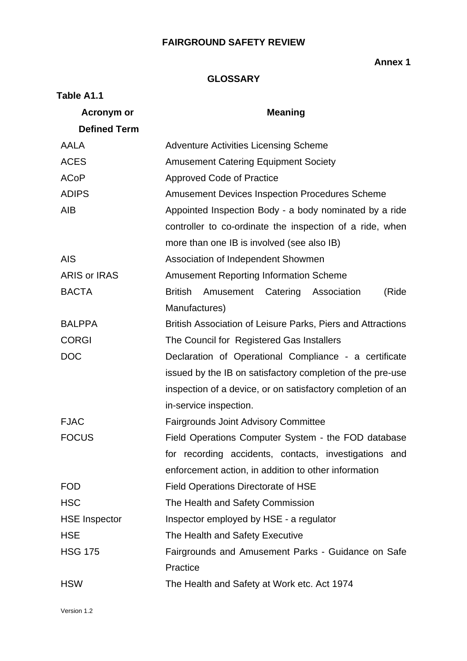**Annex 1** 

## **GLOSSARY**

| Table A1.1           |                                                              |  |  |  |
|----------------------|--------------------------------------------------------------|--|--|--|
| <b>Acronym or</b>    | <b>Meaning</b>                                               |  |  |  |
| <b>Defined Term</b>  |                                                              |  |  |  |
| AALA                 | <b>Adventure Activities Licensing Scheme</b>                 |  |  |  |
| <b>ACES</b>          | <b>Amusement Catering Equipment Society</b>                  |  |  |  |
| <b>ACoP</b>          | <b>Approved Code of Practice</b>                             |  |  |  |
| <b>ADIPS</b>         | <b>Amusement Devices Inspection Procedures Scheme</b>        |  |  |  |
| AIB                  | Appointed Inspection Body - a body nominated by a ride       |  |  |  |
|                      | controller to co-ordinate the inspection of a ride, when     |  |  |  |
|                      | more than one IB is involved (see also IB)                   |  |  |  |
| <b>AIS</b>           | Association of Independent Showmen                           |  |  |  |
| <b>ARIS or IRAS</b>  | <b>Amusement Reporting Information Scheme</b>                |  |  |  |
| <b>BACTA</b>         | <b>British</b><br>Amusement Catering<br>(Ride<br>Association |  |  |  |
|                      | Manufactures)                                                |  |  |  |
| <b>BALPPA</b>        | British Association of Leisure Parks, Piers and Attractions  |  |  |  |
| <b>CORGI</b>         | The Council for Registered Gas Installers                    |  |  |  |
| <b>DOC</b>           | Declaration of Operational Compliance - a certificate        |  |  |  |
|                      | issued by the IB on satisfactory completion of the pre-use   |  |  |  |
|                      | inspection of a device, or on satisfactory completion of an  |  |  |  |
|                      | in-service inspection.                                       |  |  |  |
| <b>FJAC</b>          | <b>Fairgrounds Joint Advisory Committee</b>                  |  |  |  |
| <b>FOCUS</b>         | Field Operations Computer System - the FOD database          |  |  |  |
|                      | for recording accidents, contacts, investigations and        |  |  |  |
|                      | enforcement action, in addition to other information         |  |  |  |
| <b>FOD</b>           | <b>Field Operations Directorate of HSE</b>                   |  |  |  |
| <b>HSC</b>           | The Health and Safety Commission                             |  |  |  |
| <b>HSE Inspector</b> | Inspector employed by HSE - a regulator                      |  |  |  |
| <b>HSE</b>           | The Health and Safety Executive                              |  |  |  |
| <b>HSG 175</b>       | Fairgrounds and Amusement Parks - Guidance on Safe           |  |  |  |
|                      | Practice                                                     |  |  |  |
| <b>HSW</b>           | The Health and Safety at Work etc. Act 1974                  |  |  |  |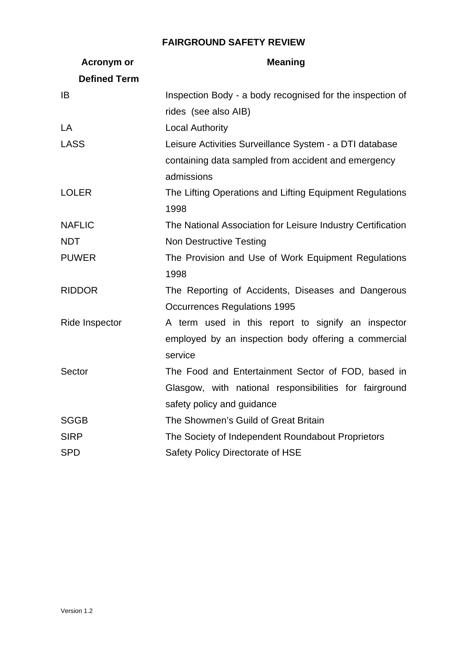| <b>Acronym or</b>   | <b>Meaning</b>                                              |
|---------------------|-------------------------------------------------------------|
| <b>Defined Term</b> |                                                             |
| IB                  | Inspection Body - a body recognised for the inspection of   |
|                     | rides (see also AIB)                                        |
| LA                  | <b>Local Authority</b>                                      |
| <b>LASS</b>         | Leisure Activities Surveillance System - a DTI database     |
|                     | containing data sampled from accident and emergency         |
|                     | admissions                                                  |
| <b>LOLER</b>        | The Lifting Operations and Lifting Equipment Regulations    |
|                     | 1998                                                        |
| <b>NAFLIC</b>       | The National Association for Leisure Industry Certification |
| <b>NDT</b>          | <b>Non Destructive Testing</b>                              |
| <b>PUWER</b>        | The Provision and Use of Work Equipment Regulations         |
|                     | 1998                                                        |
| <b>RIDDOR</b>       | The Reporting of Accidents, Diseases and Dangerous          |
|                     | <b>Occurrences Regulations 1995</b>                         |
| Ride Inspector      | A term used in this report to signify an inspector          |
|                     | employed by an inspection body offering a commercial        |
|                     | service                                                     |
| Sector              | The Food and Entertainment Sector of FOD, based in          |
|                     | Glasgow, with national responsibilities for fairground      |
|                     | safety policy and guidance                                  |
| <b>SGGB</b>         | The Showmen's Guild of Great Britain                        |
| <b>SIRP</b>         | The Society of Independent Roundabout Proprietors           |
| <b>SPD</b>          | Safety Policy Directorate of HSE                            |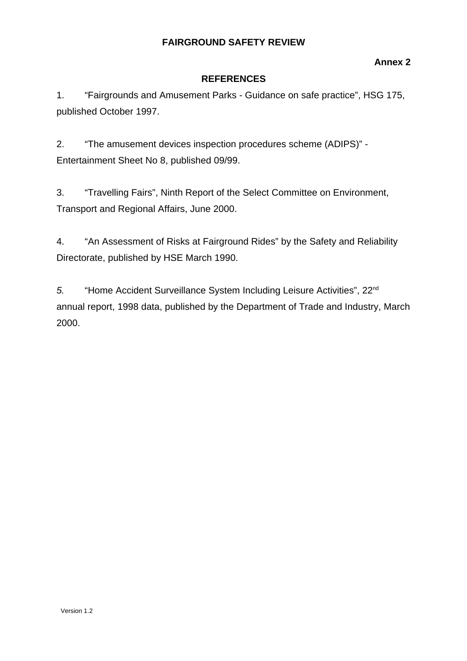## **Annex 2**

## **REFERENCES**

1. "Fairgrounds and Amusement Parks - Guidance on safe practice", HSG 175, published October 1997.

2. "The amusement devices inspection procedures scheme (ADIPS)" Entertainment Sheet No 8, published 09/99.

3. "Travelling Fairs", Ninth Report of the Select Committee on Environment, Transport and Regional Affairs, June 2000.

4. "An Assessment of Risks at Fairground Rides" by the Safety and Reliability Directorate, published by HSE March 1990.

*5.* "Home Accident Surveillance System Including Leisure Activities", 22nd annual report, 1998 data, published by the Department of Trade and Industry, March 2000.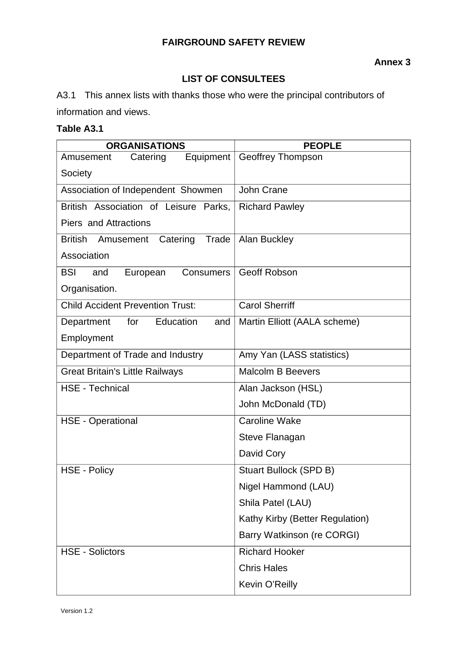## **LIST OF CONSULTEES**

A3.1 This annex lists with thanks those who were the principal contributors of information and views.

#### **Table A3.1**

| <b>ORGANISATIONS</b>                             | <b>PEOPLE</b>                   |
|--------------------------------------------------|---------------------------------|
| Equipment<br>Amusement<br>Catering               | <b>Geoffrey Thompson</b>        |
| Society                                          |                                 |
| Association of Independent Showmen               | John Crane                      |
| British Association of Leisure Parks,            | <b>Richard Pawley</b>           |
| <b>Piers and Attractions</b>                     |                                 |
| <b>British</b><br>Catering<br>Trade<br>Amusement | <b>Alan Buckley</b>             |
| Association                                      |                                 |
| <b>BSI</b><br>European<br>Consumers<br>and       | <b>Geoff Robson</b>             |
| Organisation.                                    |                                 |
| <b>Child Accident Prevention Trust:</b>          | <b>Carol Sherriff</b>           |
| Department<br>for<br>Education<br>and            | Martin Elliott (AALA scheme)    |
| Employment                                       |                                 |
| Department of Trade and Industry                 | Amy Yan (LASS statistics)       |
| <b>Great Britain's Little Railways</b>           | <b>Malcolm B Beevers</b>        |
| <b>HSE - Technical</b>                           | Alan Jackson (HSL)              |
|                                                  | John McDonald (TD)              |
| <b>HSE - Operational</b>                         | <b>Caroline Wake</b>            |
|                                                  | Steve Flanagan                  |
|                                                  | David Cory                      |
| <b>HSE - Policy</b>                              | Stuart Bullock (SPD B)          |
|                                                  | Nigel Hammond (LAU)             |
|                                                  | Shila Patel (LAU)               |
|                                                  | Kathy Kirby (Better Regulation) |
|                                                  | Barry Watkinson (re CORGI)      |
| <b>HSE - Solictors</b>                           | Richard Hooker                  |
|                                                  | <b>Chris Hales</b>              |
|                                                  | Kevin O'Reilly                  |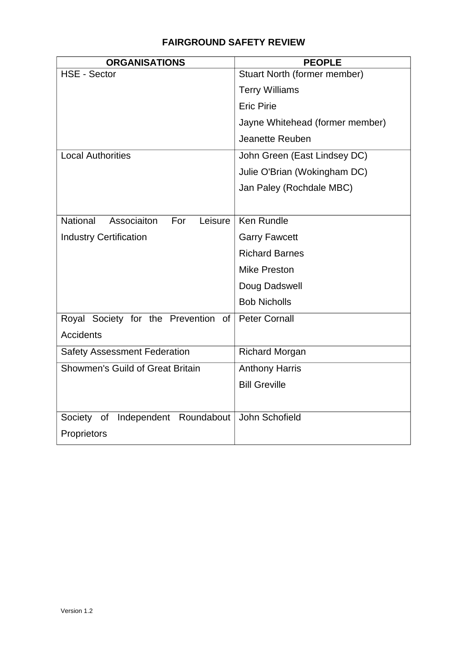| <b>ORGANISATIONS</b>                             | <b>PEOPLE</b>                   |
|--------------------------------------------------|---------------------------------|
| <b>HSE - Sector</b>                              | Stuart North (former member)    |
|                                                  | <b>Terry Williams</b>           |
|                                                  | <b>Eric Pirie</b>               |
|                                                  | Jayne Whitehead (former member) |
|                                                  | Jeanette Reuben                 |
| <b>Local Authorities</b>                         | John Green (East Lindsey DC)    |
|                                                  | Julie O'Brian (Wokingham DC)    |
|                                                  | Jan Paley (Rochdale MBC)        |
|                                                  |                                 |
| Leisure<br><b>National</b><br>Associaiton<br>For | Ken Rundle                      |
| <b>Industry Certification</b>                    | <b>Garry Fawcett</b>            |
|                                                  | <b>Richard Barnes</b>           |
|                                                  | <b>Mike Preston</b>             |
|                                                  | Doug Dadswell                   |
|                                                  | <b>Bob Nicholls</b>             |
| Royal Society for the Prevention of              | <b>Peter Cornall</b>            |
| <b>Accidents</b>                                 |                                 |
| <b>Safety Assessment Federation</b>              | <b>Richard Morgan</b>           |
| Showmen's Guild of Great Britain                 | <b>Anthony Harris</b>           |
|                                                  | <b>Bill Greville</b>            |
|                                                  |                                 |
| Independent Roundabout<br>Society<br>of          | John Schofield                  |
| Proprietors                                      |                                 |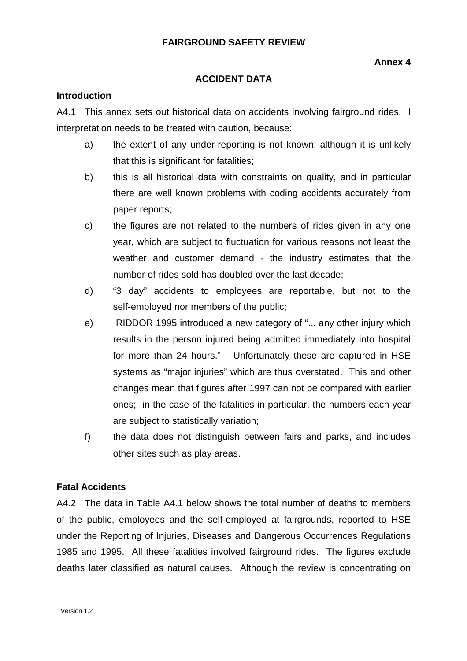#### **Annex 4**

#### **ACCIDENT DATA**

#### **Introduction**

A4.1 This annex sets out historical data on accidents involving fairground rides. I interpretation needs to be treated with caution, because:

- a) the extent of any under-reporting is not known, although it is unlikely that this is significant for fatalities;
- b) this is all historical data with constraints on quality, and in particular there are well known problems with coding accidents accurately from paper reports;
- c) the figures are not related to the numbers of rides given in any one year, which are subject to fluctuation for various reasons not least the weather and customer demand - the industry estimates that the number of rides sold has doubled over the last decade;
- d) "3 day" accidents to employees are reportable, but not to the self-employed nor members of the public;
- e) RIDDOR 1995 introduced a new category of "... any other injury which results in the person injured being admitted immediately into hospital for more than 24 hours." Unfortunately these are captured in HSE systems as "major injuries" which are thus overstated. This and other changes mean that figures after 1997 can not be compared with earlier ones; in the case of the fatalities in particular, the numbers each year are subject to statistically variation;
- f) the data does not distinguish between fairs and parks, and includes other sites such as play areas.

#### **Fatal Accidents**

A4.2 The data in Table A4.1 below shows the total number of deaths to members of the public, employees and the self-employed at fairgrounds, reported to HSE under the Reporting of Injuries, Diseases and Dangerous Occurrences Regulations 1985 and 1995. All these fatalities involved fairground rides. The figures exclude deaths later classified as natural causes. Although the review is concentrating on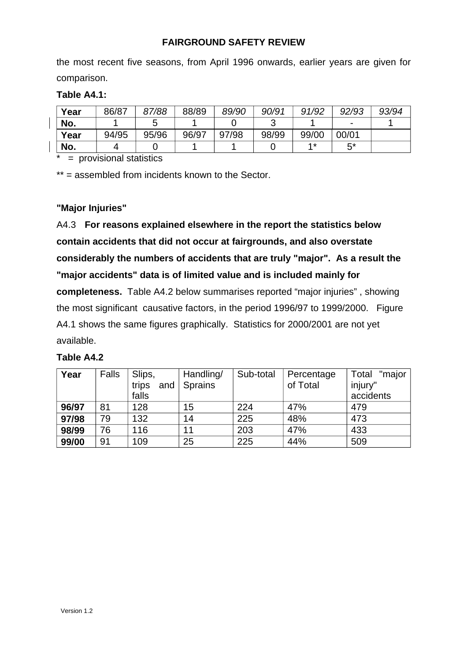the most recent five seasons, from April 1996 onwards, earlier years are given for comparison.

#### **Table A4.1:**

| Year | 86/87 | 87/88 | 88/89 | 89/90 | 90/91 | 91/92      | 92/93 | 93/94 |
|------|-------|-------|-------|-------|-------|------------|-------|-------|
| No.  |       |       |       |       |       |            | -     |       |
| Year | 94/95 | 95/96 | 96/97 | 97/98 | 98/99 | 99/00      | 00/01 |       |
| No.  |       |       |       |       |       | <b>4 *</b> | $5^*$ |       |

 $\epsilon$  = provisional statistics

\*\* = assembled from incidents known to the Sector.

### **"Major Injuries"**

A4.3 **For reasons explained elsewhere in the report the statistics below contain accidents that did not occur at fairgrounds, and also overstate considerably the numbers of accidents that are truly "major". As a result the "major accidents" data is of limited value and is included mainly for completeness.** Table A4.2 below summarises reported "major injuries" , showing the most significant causative factors, in the period 1996/97 to 1999/2000. Figure A4.1 shows the same figures graphically. Statistics for 2000/2001 are not yet available.

| Table A4.2 |  |  |
|------------|--|--|
|------------|--|--|

| Year  | <b>Falls</b> | Slips,<br>trips<br>and<br>falls | Handling/<br><b>Sprains</b> | Sub-total | Percentage<br>of Total | "major<br>Total<br>injury"<br>accidents |
|-------|--------------|---------------------------------|-----------------------------|-----------|------------------------|-----------------------------------------|
| 96/97 | 81           | 128                             | 15                          | 224       | 47%                    | 479                                     |
| 97/98 | 79           | 132                             | 14                          | 225       | 48%                    | 473                                     |
| 98/99 | 76           | 116                             | 11                          | 203       | 47%                    | 433                                     |
| 99/00 | 91           | 109                             | 25                          | 225       | 44%                    | 509                                     |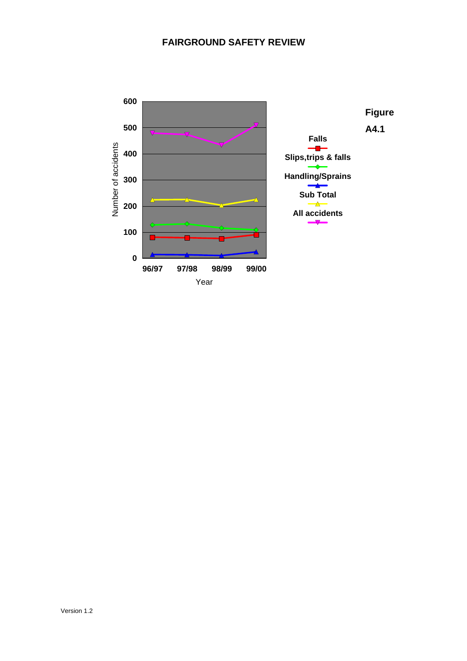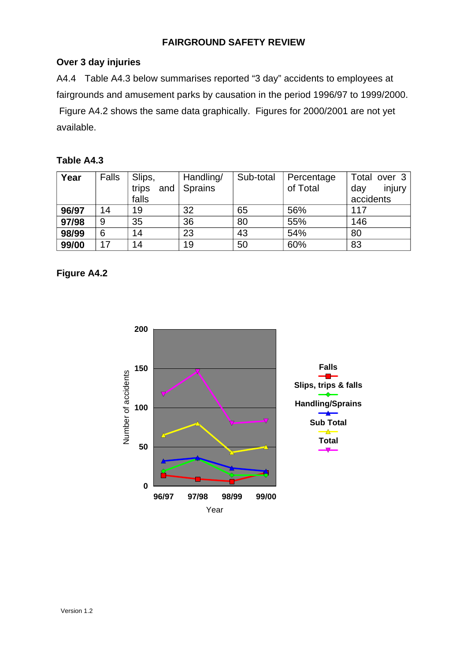#### **Over 3 day injuries**

A4.4 Table A4.3 below summarises reported "3 day" accidents to employees at fairgrounds and amusement parks by causation in the period 1996/97 to 1999/2000. Figure A4.2 shows the same data graphically. Figures for 2000/2001 are not yet available.

### **Table A4.3**

| Year  | Falls | Slips,<br>trips<br>and<br>falls | Handling/<br><b>Sprains</b> | Sub-total | Percentage<br>of Total | Total over 3<br>injury<br>day<br>accidents |
|-------|-------|---------------------------------|-----------------------------|-----------|------------------------|--------------------------------------------|
| 96/97 | 14    | 19                              | 32                          | 65        | 56%                    | 117                                        |
| 97/98 | 9     | 35                              | 36                          | 80        | 55%                    | 146                                        |
| 98/99 | 6     | 14                              | 23                          | 43        | 54%                    | 80                                         |
| 99/00 | 17    | 14                              | 19                          | 50        | 60%                    | 83                                         |

**Figure A4.2** 

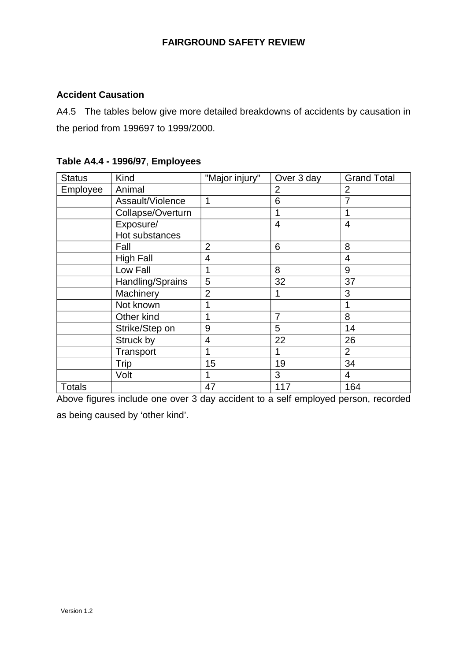## **Accident Causation**

A4.5 The tables below give more detailed breakdowns of accidents by causation in the period from 199697 to 1999/2000.

| <b>Status</b> | Kind              | "Major injury" | Over 3 day     | <b>Grand Total</b> |
|---------------|-------------------|----------------|----------------|--------------------|
| Employee      | Animal            |                | 2              | 2                  |
|               | Assault/Violence  | 1              | 6              | 7                  |
|               | Collapse/Overturn |                | 1              |                    |
|               | Exposure/         |                | $\overline{4}$ | $\overline{4}$     |
|               | Hot substances    |                |                |                    |
|               | Fall              | $\overline{2}$ | 6              | 8                  |
|               | <b>High Fall</b>  | 4              |                | 4                  |
|               | Low Fall          | 1              | 8              | 9                  |
|               | Handling/Sprains  | 5              | 32             | 37                 |
|               | Machinery         | $\overline{2}$ | 1              | 3                  |
|               | Not known         |                |                |                    |
|               | Other kind        |                | $\overline{7}$ | 8                  |
|               | Strike/Step on    | 9              | 5              | 14                 |
|               | Struck by         | $\overline{4}$ | 22             | 26                 |
|               | Transport         |                | 1              | $\overline{2}$     |
|               | Trip              | 15             | 19             | 34                 |
|               | Volt              |                | 3              | 4                  |
| <b>Totals</b> |                   | 47             | 117            | 164                |

**Table A4.4 - 1996/97**, **Employees** 

Above figures include one over 3 day accident to a self employed person, recorded as being caused by 'other kind'.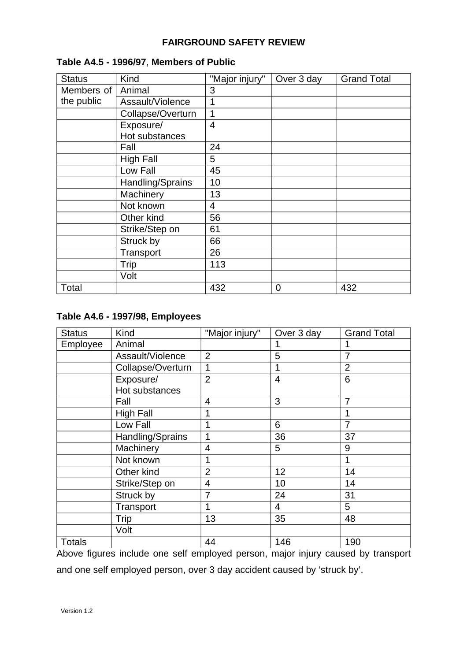| <b>Status</b> | Kind              | "Major injury" | Over 3 day     | <b>Grand Total</b> |
|---------------|-------------------|----------------|----------------|--------------------|
| Members of    | Animal            | 3              |                |                    |
| the public    | Assault/Violence  | 1              |                |                    |
|               | Collapse/Overturn | 1              |                |                    |
|               | Exposure/         | $\overline{4}$ |                |                    |
|               | Hot substances    |                |                |                    |
|               | Fall              | 24             |                |                    |
|               | <b>High Fall</b>  | 5              |                |                    |
|               | Low Fall          | 45             |                |                    |
|               | Handling/Sprains  | 10             |                |                    |
|               | Machinery         | 13             |                |                    |
|               | Not known         | $\overline{4}$ |                |                    |
|               | Other kind        | 56             |                |                    |
|               | Strike/Step on    | 61             |                |                    |
|               | Struck by         | 66             |                |                    |
|               | Transport         | 26             |                |                    |
|               | Trip              | 113            |                |                    |
|               | Volt              |                |                |                    |
| Total         |                   | 432            | $\overline{0}$ | 432                |

## **Table A4.5 - 1996/97**, **Members of Public**

## **Table A4.6 - 1997/98, Employees**

| <b>Status</b> | Kind              | "Major injury" | Over 3 day     | <b>Grand Total</b> |
|---------------|-------------------|----------------|----------------|--------------------|
| Employee      | Animal            |                |                |                    |
|               | Assault/Violence  | $\overline{2}$ | 5              | 7                  |
|               | Collapse/Overturn | 1              | 1              | $\overline{2}$     |
|               | Exposure/         | $\overline{2}$ | $\overline{4}$ | 6                  |
|               | Hot substances    |                |                |                    |
|               | Fall              | $\overline{4}$ | 3              | 7                  |
|               | <b>High Fall</b>  |                |                |                    |
|               | Low Fall          | 1              | 6              | $\overline{7}$     |
|               | Handling/Sprains  | 1              | 36             | 37                 |
|               | Machinery         | $\overline{4}$ | 5              | 9                  |
|               | Not known         |                |                |                    |
|               | Other kind        | $\overline{2}$ | 12             | 14                 |
|               | Strike/Step on    | 4              | 10             | 14                 |
|               | Struck by         | 7              | 24             | 31                 |
|               | Transport         |                | 4              | 5                  |
|               | Trip              | 13             | 35             | 48                 |
|               | Volt              |                |                |                    |
| <b>Totals</b> |                   | 44             | 146            | 190                |

Above figures include one self employed person, major injury caused by transport and one self employed person, over 3 day accident caused by 'struck by'.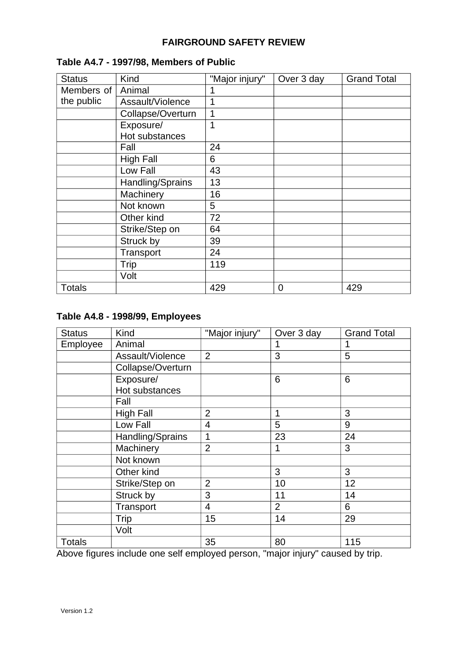|               | Kind              |                |                | <b>Grand Total</b> |
|---------------|-------------------|----------------|----------------|--------------------|
| <b>Status</b> |                   | "Major injury" | Over 3 day     |                    |
| Members of    | Animal            | 1              |                |                    |
| the public    | Assault/Violence  | 1              |                |                    |
|               | Collapse/Overturn | $\mathbf 1$    |                |                    |
|               | Exposure/         | 1              |                |                    |
|               | Hot substances    |                |                |                    |
|               | Fall              | 24             |                |                    |
|               | <b>High Fall</b>  | 6              |                |                    |
|               | Low Fall          | 43             |                |                    |
|               | Handling/Sprains  | 13             |                |                    |
|               | Machinery         | 16             |                |                    |
|               | Not known         | 5              |                |                    |
|               | Other kind        | 72             |                |                    |
|               | Strike/Step on    | 64             |                |                    |
|               | Struck by         | 39             |                |                    |
|               | Transport         | 24             |                |                    |
|               | Trip              | 119            |                |                    |
|               | Volt              |                |                |                    |
| <b>Totals</b> |                   | 429            | $\overline{0}$ | 429                |

# **Table A4.7 - 1997/98, Members of Public**

## **Table A4.8 - 1998/99, Employees**

| <b>Status</b> | Kind              | "Major injury" | Over 3 day     | <b>Grand Total</b> |
|---------------|-------------------|----------------|----------------|--------------------|
| Employee      | Animal            |                |                |                    |
|               | Assault/Violence  | $\overline{2}$ | 3              | 5                  |
|               | Collapse/Overturn |                |                |                    |
|               | Exposure/         |                | 6              | 6                  |
|               | Hot substances    |                |                |                    |
|               | Fall              |                |                |                    |
|               | <b>High Fall</b>  | $\overline{2}$ | 1              | 3                  |
|               | Low Fall          | 4              | 5              | 9                  |
|               | Handling/Sprains  |                | 23             | 24                 |
|               | Machinery         | $\overline{2}$ | 1              | 3                  |
|               | Not known         |                |                |                    |
|               | Other kind        |                | 3              | 3                  |
|               | Strike/Step on    | $\overline{2}$ | 10             | 12                 |
|               | Struck by         | 3              | 11             | 14                 |
|               | Transport         | $\overline{4}$ | $\overline{2}$ | 6                  |
|               | Trip              | 15             | 14             | 29                 |
|               | Volt              |                |                |                    |
| <b>Totals</b> |                   | 35             | 80             | 115                |

Above figures include one self employed person, "major injury" caused by trip.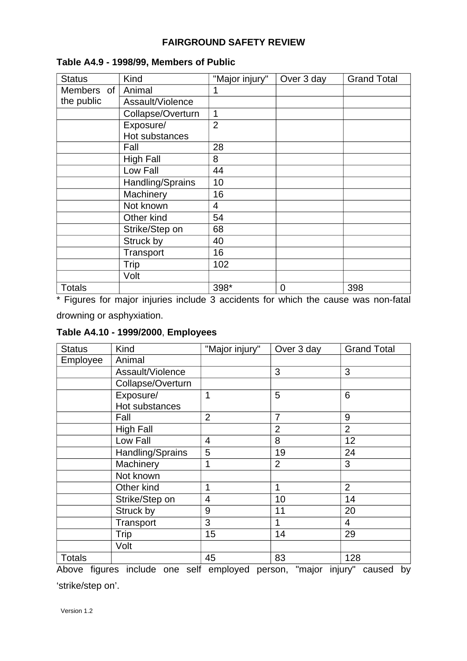| <b>Status</b> | Kind              | "Major injury" | Over 3 day     | <b>Grand Total</b> |
|---------------|-------------------|----------------|----------------|--------------------|
| Members of    | Animal            | 1              |                |                    |
| the public    | Assault/Violence  |                |                |                    |
|               | Collapse/Overturn | 1              |                |                    |
|               | Exposure/         | $\overline{2}$ |                |                    |
|               | Hot substances    |                |                |                    |
|               | Fall              | 28             |                |                    |
|               | <b>High Fall</b>  | 8              |                |                    |
|               | Low Fall          | 44             |                |                    |
|               | Handling/Sprains  | 10             |                |                    |
|               | Machinery         | 16             |                |                    |
|               | Not known         | 4              |                |                    |
|               | Other kind        | 54             |                |                    |
|               | Strike/Step on    | 68             |                |                    |
|               | Struck by         | 40             |                |                    |
|               | Transport         | 16             |                |                    |
|               | Trip              | 102            |                |                    |
|               | Volt              |                |                |                    |
| <b>Totals</b> |                   | 398*           | $\overline{0}$ | 398                |

## **Table A4.9 - 1998/99, Members of Public**

\* Figures for major injuries include 3 accidents for which the cause was non-fatal

drowning or asphyxiation.

## **Table A4.10 - 1999/2000**, **Employees**

| <b>Status</b>                                                               | Kind                                                 | "Major injury"                              | Over 3 day            | <b>Grand Total</b>                                                                                                               |
|-----------------------------------------------------------------------------|------------------------------------------------------|---------------------------------------------|-----------------------|----------------------------------------------------------------------------------------------------------------------------------|
| Employee                                                                    | Animal                                               |                                             |                       |                                                                                                                                  |
|                                                                             | Assault/Violence                                     |                                             | 3                     | 3                                                                                                                                |
|                                                                             | Collapse/Overturn                                    |                                             |                       |                                                                                                                                  |
|                                                                             | Exposure/                                            | 1                                           | 5                     | 6                                                                                                                                |
|                                                                             | Hot substances                                       |                                             |                       |                                                                                                                                  |
|                                                                             | Fall                                                 | $\overline{2}$                              | $\overline{7}$        | 9                                                                                                                                |
|                                                                             | <b>High Fall</b>                                     |                                             | $\overline{2}$        | $\overline{2}$                                                                                                                   |
|                                                                             | Low Fall                                             | $\overline{4}$                              | 8                     | 12                                                                                                                               |
|                                                                             | Handling/Sprains                                     | 5                                           | 19                    | 24                                                                                                                               |
|                                                                             | Machinery                                            | 1                                           | $\overline{2}$        | 3                                                                                                                                |
|                                                                             | Not known                                            |                                             |                       |                                                                                                                                  |
|                                                                             | Other kind                                           | 1                                           | 1                     | $\overline{2}$                                                                                                                   |
|                                                                             | Strike/Step on                                       | $\overline{4}$                              | 10                    | 14                                                                                                                               |
|                                                                             | Struck by                                            | 9                                           | 11                    | 20                                                                                                                               |
|                                                                             | Transport                                            | 3                                           | 1                     | 4                                                                                                                                |
|                                                                             | Trip                                                 | 15                                          | 14                    | 29                                                                                                                               |
|                                                                             | Volt                                                 |                                             |                       |                                                                                                                                  |
| <b>Totals</b><br><b>Contract Contract Contract Contract</b><br>$\mathbf{A}$ | <b>Provident Control</b><br>$\overline{\phantom{a}}$ | 45<br>and a state of the state of the state | 83<br>Holland, Marian | 128<br><b>Ford contract and a statement of the statement of the statement of the statement of the statement of the statement</b> |

Above figures include one self employed person, "major injury" caused by 'strike/step on'.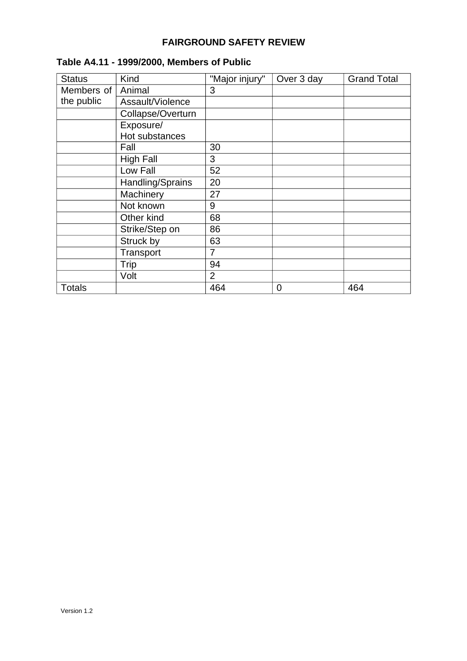| <b>Status</b> | Kind              | "Major injury" | Over 3 day | <b>Grand Total</b> |
|---------------|-------------------|----------------|------------|--------------------|
|               |                   |                |            |                    |
| Members of    | Animal            | 3              |            |                    |
| the public    | Assault/Violence  |                |            |                    |
|               | Collapse/Overturn |                |            |                    |
|               | Exposure/         |                |            |                    |
|               | Hot substances    |                |            |                    |
|               | Fall              | 30             |            |                    |
|               | <b>High Fall</b>  | 3              |            |                    |
|               | Low Fall          | 52             |            |                    |
|               | Handling/Sprains  | 20             |            |                    |
|               | Machinery         | 27             |            |                    |
|               | Not known         | 9              |            |                    |
|               | Other kind        | 68             |            |                    |
|               | Strike/Step on    | 86             |            |                    |
|               | Struck by         | 63             |            |                    |
|               | Transport         | 7              |            |                    |
|               | Trip              | 94             |            |                    |
|               | Volt              | $\overline{2}$ |            |                    |
| <b>Totals</b> |                   | 464            | 0          | 464                |

# **Table A4.11 - 1999/2000, Members of Public**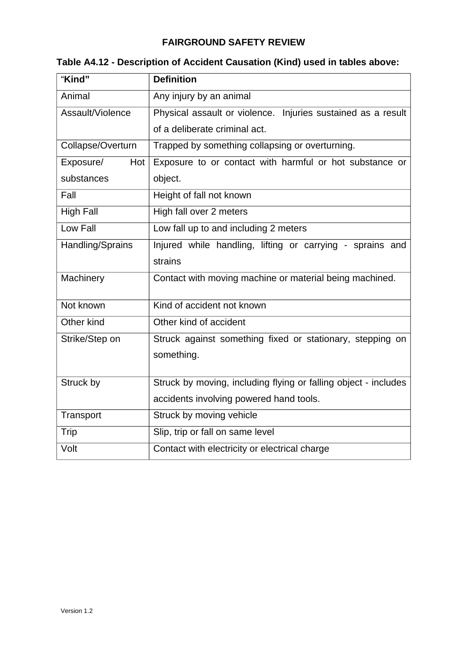| "Kind"            | <b>Definition</b>                                               |  |  |  |  |
|-------------------|-----------------------------------------------------------------|--|--|--|--|
| Animal            | Any injury by an animal                                         |  |  |  |  |
| Assault/Violence  | Physical assault or violence. Injuries sustained as a result    |  |  |  |  |
|                   | of a deliberate criminal act.                                   |  |  |  |  |
| Collapse/Overturn | Trapped by something collapsing or overturning.                 |  |  |  |  |
| Exposure/<br>Hot  | Exposure to or contact with harmful or hot substance or         |  |  |  |  |
| substances        | object.                                                         |  |  |  |  |
| Fall              | Height of fall not known                                        |  |  |  |  |
| <b>High Fall</b>  | High fall over 2 meters                                         |  |  |  |  |
| Low Fall          | Low fall up to and including 2 meters                           |  |  |  |  |
| Handling/Sprains  | Injured while handling, lifting or carrying - sprains and       |  |  |  |  |
|                   | strains                                                         |  |  |  |  |
| Machinery         | Contact with moving machine or material being machined.         |  |  |  |  |
| Not known         | Kind of accident not known                                      |  |  |  |  |
| Other kind        | Other kind of accident                                          |  |  |  |  |
| Strike/Step on    | Struck against something fixed or stationary, stepping on       |  |  |  |  |
|                   | something.                                                      |  |  |  |  |
|                   |                                                                 |  |  |  |  |
| Struck by         | Struck by moving, including flying or falling object - includes |  |  |  |  |
|                   | accidents involving powered hand tools.                         |  |  |  |  |
| Transport         | Struck by moving vehicle                                        |  |  |  |  |
| Trip              | Slip, trip or fall on same level                                |  |  |  |  |
| Volt              | Contact with electricity or electrical charge                   |  |  |  |  |

# **Table A4.12 - Description of Accident Causation (Kind) used in tables above:**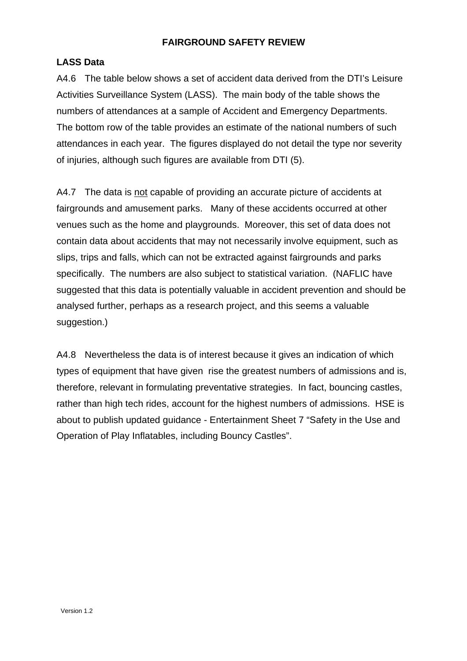#### **LASS Data**

A4.6 The table below shows a set of accident data derived from the DTI's Leisure Activities Surveillance System (LASS). The main body of the table shows the numbers of attendances at a sample of Accident and Emergency Departments. The bottom row of the table provides an estimate of the national numbers of such attendances in each year. The figures displayed do not detail the type nor severity of injuries, although such figures are available from DTI (5).

A4.7 The data is not capable of providing an accurate picture of accidents at fairgrounds and amusement parks. Many of these accidents occurred at other venues such as the home and playgrounds. Moreover, this set of data does not contain data about accidents that may not necessarily involve equipment, such as slips, trips and falls, which can not be extracted against fairgrounds and parks specifically. The numbers are also subject to statistical variation. (NAFLIC have suggested that this data is potentially valuable in accident prevention and should be analysed further, perhaps as a research project, and this seems a valuable suggestion.)

A4.8 Nevertheless the data is of interest because it gives an indication of which types of equipment that have given rise the greatest numbers of admissions and is, therefore, relevant in formulating preventative strategies. In fact, bouncing castles, rather than high tech rides, account for the highest numbers of admissions. HSE is about to publish updated guidance - Entertainment Sheet 7 "Safety in the Use and Operation of Play Inflatables, including Bouncy Castles".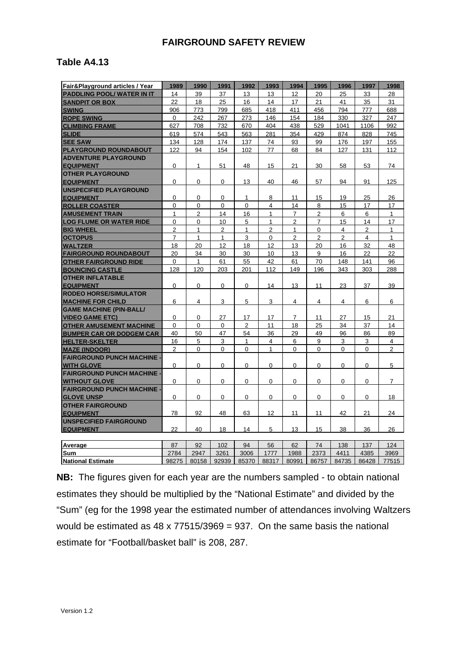#### **Table A4.13**

| Fair&Playground articles / Year               | 1989           | 1990           | 1991           | 1992                 | 1993                    | 1994                 | 1995           | 1996           | 1997                    | 1998           |
|-----------------------------------------------|----------------|----------------|----------------|----------------------|-------------------------|----------------------|----------------|----------------|-------------------------|----------------|
| <b>PADDLING POOL/WATER IN IT</b>              | 14             | 39             | 37             | 13                   | 13                      | 12                   | 20             | 25             | 33                      | 28             |
| <b>SANDPIT OR BOX</b>                         | 22             | 18             | 25             | 16                   | 14                      | 17                   | 21             | 41             | 35                      | 31             |
| <b>SWING</b>                                  | 906            | 773            | 799            | 685                  | 418                     | 411                  | 456            | 794            | 777                     | 688            |
| <b>ROPE SWING</b>                             | $\Omega$       | 242            | 267            | 273                  | 146                     | 154                  | 184            | 330            | 327                     | 247            |
| <b>CLIMBING FRAME</b>                         | 627            | 708            | 732            | 670                  | 404                     | 438                  | 529            | 1041           | 1106                    | 992            |
| <b>SLIDE</b>                                  | 619            | 574            | 543            | 563                  | 281                     | 354                  | 429            | 874            | 828                     | 745            |
| <b>SEE SAW</b>                                | 134            | 128            | 174            | 137                  | 74                      | 93                   | 99             | 176            | 197                     | 155            |
| <b>PLAYGROUND ROUNDABOUT</b>                  | 122            | 94             | 154            | 102                  | 77                      | 68                   | 84             | 127            | 131                     | 112            |
| <b>ADVENTURE PLAYGROUND</b>                   |                |                |                |                      |                         |                      |                |                |                         |                |
| <b>EQUIPMENT</b>                              | $\mathbf 0$    | 1              | 51             | 48                   | 15                      | 21                   | 30             | 58             | 53                      | 74             |
| <b>OTHER PLAYGROUND</b>                       |                |                |                |                      |                         |                      |                |                |                         |                |
| <b>EQUIPMENT</b>                              | $\Omega$       | 0              | $\Omega$       | 13                   | 40                      | 46                   | 57             | 94             | 91                      | 125            |
| <b>UNSPECIFIED PLAYGROUND</b>                 |                |                |                |                      |                         |                      |                |                |                         |                |
| <b>EQUIPMENT</b>                              | $\mathbf 0$    | 0              | 0              | 1                    | 8                       | 11                   | 15             | 19             | 25                      | 26             |
| <b>ROLLER COASTER</b>                         | $\Omega$       | $\Omega$       | $\Omega$       | $\Omega$             | $\overline{4}$          | 14                   | 8              | 15             | 17                      | 17             |
| <b>AMUSEMENT TRAIN</b>                        | $\mathbf{1}$   | $\overline{2}$ | 14             | 16                   | 1                       | $\overline{7}$       | $\overline{2}$ | 6              | 6                       | $\mathbf{1}$   |
| <b>LOG FLUME OR WATER RIDE</b>                | $\mathbf 0$    | 0              | 10             | 5                    | 1                       | $\overline{2}$       | $\overline{7}$ | 15             | 14                      | 17             |
| <b>BIG WHEEL</b>                              | $\overline{2}$ | $\mathbf{1}$   | $\overline{2}$ | $\mathbf{1}$         | $\overline{2}$          | $\mathbf{1}$         | 0              | $\overline{4}$ | $\overline{2}$          | $\mathbf{1}$   |
| <b>loctopus</b>                               | $\overline{7}$ | $\mathbf{1}$   | $\mathbf{1}$   | 3                    | $\Omega$                | $\overline{2}$       | $\overline{2}$ | $\overline{2}$ | $\overline{\mathbf{4}}$ | $\mathbf{1}$   |
| <b>WALTZER</b>                                | 18             | 20             | 12             | 18                   | 12                      | 13                   | 20             | 16             | 32                      | 48             |
| <b>FAIRGROUND ROUNDABOUT</b>                  | 20             | 34             | 30             | 30                   | 10                      | 13                   | 9              | 16             | 22                      | 22             |
| <b>OTHER FAIRGROUND RIDE</b>                  | $\mathbf 0$    | $\mathbf{1}$   | 61             | 55                   | 42                      | 61                   | 70             | 148            | 141                     | 96             |
| <b>BOUNCING CASTLE</b>                        | 128            | 120            | 203            | 201                  | 112                     | 149                  | 196            | 343            | 303                     | 288            |
| <b>OTHER INFLATABLE</b>                       |                |                |                |                      |                         |                      |                |                |                         |                |
| <b>EQUIPMENT</b>                              | $\mathbf 0$    | $\mathbf 0$    | $\mathbf 0$    | $\mathbf 0$          | 14                      | 13                   | 11             | 23             | 37                      | 39             |
| <b>RODEO HORSE/SIMULATOR</b>                  |                |                |                |                      |                         |                      |                |                |                         |                |
| <b>MACHINE FOR CHILD</b>                      | 6              | 4              | 3              | 5                    | 3                       | $\overline{4}$       | 4              | 4              | 6                       | 6              |
| <b>GAME MACHINE (PIN-BALL/</b>                |                |                |                |                      |                         |                      |                |                |                         |                |
| <b>VIDEO GAME ETC)</b>                        | 0<br>$\Omega$  | 0<br>$\Omega$  | 27<br>$\Omega$ | 17<br>$\overline{2}$ | 17<br>11                | $\overline{7}$<br>18 | 11             | 27<br>34       | 15                      | 21             |
| <b>OTHER AMUSEMENT MACHINE</b>                | 40             | 50             | 47             | 54                   | 36                      | 29                   | 25<br>49       | 96             | 37                      | 14<br>89       |
| <b>BUMPER CAR OR DODGEM CAR</b>               | 16             | 5              | 3              | 1                    | $\overline{\mathbf{4}}$ | 6                    | 9              | 3              | 86<br>3                 | 4              |
| <b>HELTER-SKELTER</b><br><b>MAZE (INDOOR)</b> | 2              | 0              | 0              | 0                    | 1                       | $\mathbf{0}$         | 0              | $\mathbf 0$    | 0                       | $\overline{2}$ |
| <b>FAIRGROUND PUNCH MACHINE -</b>             |                |                |                |                      |                         |                      |                |                |                         |                |
| <b>WITH GLOVE</b>                             | $\mathbf 0$    | $\mathbf 0$    | $\mathbf 0$    | $\Omega$             | $\mathbf 0$             | $\Omega$             | $\Omega$       | $\Omega$       | $\Omega$                | 5              |
| <b>FAIRGROUND PUNCH MACHINE -</b>             |                |                |                |                      |                         |                      |                |                |                         |                |
| <b>WITHOUT GLOVE</b>                          | 0              | 0              | $\mathbf 0$    | $\mathbf 0$          | $\mathbf 0$             | $\mathbf 0$          | 0              | $\mathbf 0$    | $\mathbf 0$             | $\overline{7}$ |
| <b>FAIRGROUND PUNCH MACHINE -</b>             |                |                |                |                      |                         |                      |                |                |                         |                |
| <b>GLOVE UNSP</b>                             | $\mathbf 0$    | 0              | 0              | $\Omega$             | 0                       | $\Omega$             | 0              | $\Omega$       | $\Omega$                | 18             |
| <b>OTHER FAIRGROUND</b>                       |                |                |                |                      |                         |                      |                |                |                         |                |
| <b>EQUIPMENT</b>                              | 78             | 92             | 48             | 63                   | 12                      | 11                   | 11             | 42             | 21                      | 24             |
| <b>UNSPECIFIED FAIRGROUND</b>                 |                |                |                |                      |                         |                      |                |                |                         |                |
| <b>EQUIPMENT</b>                              | 22             | 40             | 18             | 14                   | 5                       | 13                   | 15             | 38             | 36                      | 26             |
|                                               |                |                |                |                      |                         |                      |                |                |                         |                |
| Average                                       | 87             | 92             | 102            | 94                   | 56                      | 62                   | 74             | 138            | 137                     | 124            |
| lSum                                          | 2784           | 2947           | 3261           | 3006                 | 1777                    | 1988                 | 2373           | 4411           | 4385                    | 3969           |

**NB:** The figures given for each year are the numbers sampled - to obtain national estimates they should be multiplied by the "National Estimate" and divided by the "Sum" (eg for the 1998 year the estimated number of attendances involving Waltzers would be estimated as  $48 \times 77515/3969 = 937$ . On the same basis the national estimate for "Football/basket ball" is 208, 287.

**National Estimate 198275 | 80158 | 92939 | 85370 | 88317 | 80991 | 86757 | 84735 | 86428 | 77515**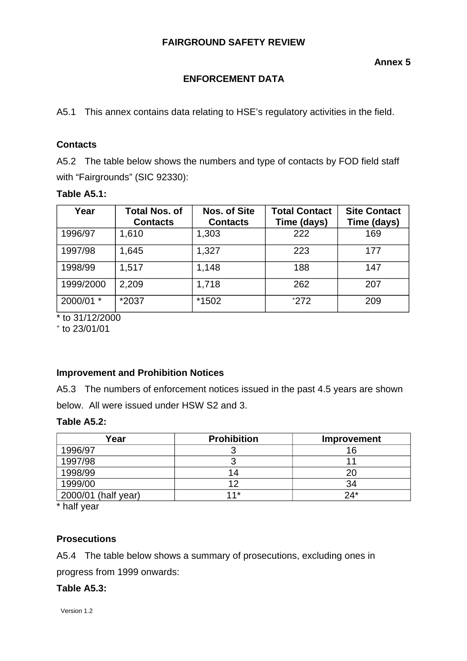## **ENFORCEMENT DATA**

A5.1 This annex contains data relating to HSE's regulatory activities in the field.

### **Contacts**

A5.2 The table below shows the numbers and type of contacts by FOD field staff with "Fairgrounds" (SIC 92330):

## **Table A5.1:**

| Year              | <b>Total Nos. of</b><br><b>Contacts</b> | <b>Nos. of Site</b><br><b>Contacts</b> | <b>Total Contact</b><br>Time (days) | <b>Site Contact</b><br>Time (days) |
|-------------------|-----------------------------------------|----------------------------------------|-------------------------------------|------------------------------------|
| 1996/97           | 1,610                                   | 1,303                                  | 222                                 | 169                                |
| 1997/98           | 1,645                                   | 1,327                                  | 223                                 | 177                                |
| 1998/99           | 1,517                                   | 1,148                                  | 188                                 | 147                                |
| 1999/2000         | 2,209                                   | 1,718                                  | 262                                 | 207                                |
| 2000/01<br>$\ast$ | *2037                                   | *1502                                  | $+272$                              | 209                                |

 $*$  to 31/12/2000

 $*$  to 23/01/01

#### **Improvement and Prohibition Notices**

A5.3 The numbers of enforcement notices issued in the past 4.5 years are shown below. All were issued under HSW S2 and 3.

#### **Table A5.2:**

| Year                | <b>Prohibition</b> | Improvement |
|---------------------|--------------------|-------------|
| 1996/97             |                    | 16          |
| 1997/98             |                    |             |
| 1998/99             | 14                 | 20          |
| 1999/00             |                    | 34          |
| 2000/01 (half year) | $11*$              | $24*$       |

\* half year

#### **Prosecutions**

A5.4 The table below shows a summary of prosecutions, excluding ones in progress from 1999 onwards:

#### **Table A5.3:**

Version 1.2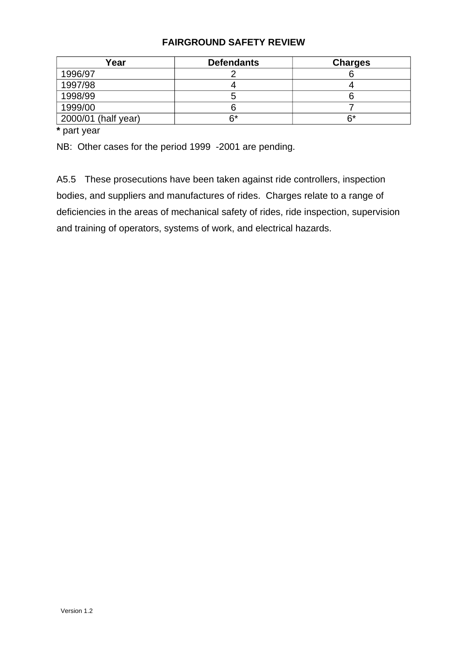| Year                | <b>Defendants</b> | <b>Charges</b> |
|---------------------|-------------------|----------------|
| 1996/97             |                   |                |
| 1997/98             |                   |                |
| 1998/99             |                   |                |
| 1999/00             |                   |                |
| 2000/01 (half year) | ና*                | 6*             |

**\*** part year

NB: Other cases for the period 1999 -2001 are pending.

A5.5 These prosecutions have been taken against ride controllers, inspection bodies, and suppliers and manufactures of rides. Charges relate to a range of deficiencies in the areas of mechanical safety of rides, ride inspection, supervision and training of operators, systems of work, and electrical hazards.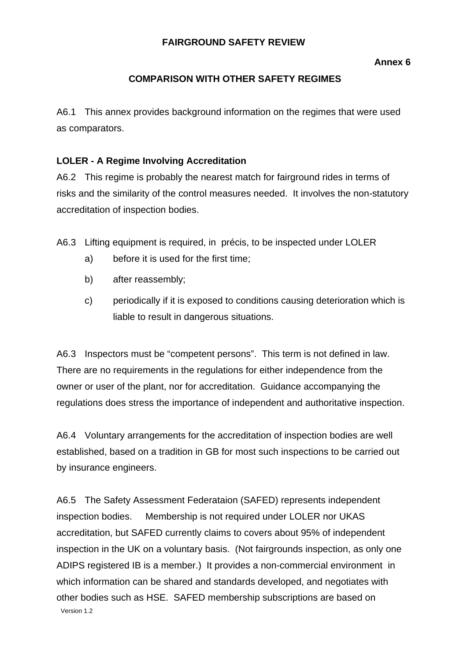## **COMPARISON WITH OTHER SAFETY REGIMES**

A6.1 This annex provides background information on the regimes that were used as comparators.

## **LOLER - A Regime Involving Accreditation**

A6.2 This regime is probably the nearest match for fairground rides in terms of risks and the similarity of the control measures needed. It involves the non-statutory accreditation of inspection bodies.

- A6.3 Lifting equipment is required, in précis, to be inspected under LOLER
	- a) before it is used for the first time;
	- b) after reassembly;
	- c) periodically if it is exposed to conditions causing deterioration which is liable to result in dangerous situations.

A6.3 Inspectors must be "competent persons". This term is not defined in law. There are no requirements in the regulations for either independence from the owner or user of the plant, nor for accreditation. Guidance accompanying the regulations does stress the importance of independent and authoritative inspection.

A6.4 Voluntary arrangements for the accreditation of inspection bodies are well established, based on a tradition in GB for most such inspections to be carried out by insurance engineers.

A6.5 The Safety Assessment Federataion (SAFED) represents independent inspection bodies. Membership is not required under LOLER nor UKAS accreditation, but SAFED currently claims to covers about 95% of independent inspection in the UK on a voluntary basis. (Not fairgrounds inspection, as only one ADIPS registered IB is a member.) It provides a non-commercial environment in which information can be shared and standards developed, and negotiates with other bodies such as HSE. SAFED membership subscriptions are based on Version 1.2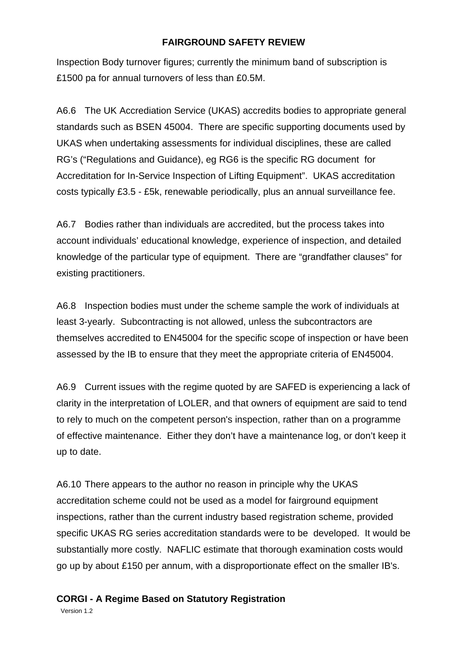Inspection Body turnover figures; currently the minimum band of subscription is £1500 pa for annual turnovers of less than £0.5M.

A6.6 The UK Accrediation Service (UKAS) accredits bodies to appropriate general standards such as BSEN 45004. There are specific supporting documents used by UKAS when undertaking assessments for individual disciplines, these are called RG's ("Regulations and Guidance), eg RG6 is the specific RG document for Accreditation for In-Service Inspection of Lifting Equipment". UKAS accreditation costs typically £3.5 - £5k, renewable periodically, plus an annual surveillance fee.

A6.7 Bodies rather than individuals are accredited, but the process takes into account individuals' educational knowledge, experience of inspection, and detailed knowledge of the particular type of equipment. There are "grandfather clauses" for existing practitioners.

A6.8 Inspection bodies must under the scheme sample the work of individuals at least 3-yearly. Subcontracting is not allowed, unless the subcontractors are themselves accredited to EN45004 for the specific scope of inspection or have been assessed by the IB to ensure that they meet the appropriate criteria of EN45004.

A6.9 Current issues with the regime quoted by are SAFED is experiencing a lack of clarity in the interpretation of LOLER, and that owners of equipment are said to tend to rely to much on the competent person's inspection, rather than on a programme of effective maintenance. Either they don't have a maintenance log, or don't keep it up to date.

A6.10 There appears to the author no reason in principle why the UKAS accreditation scheme could not be used as a model for fairground equipment inspections, rather than the current industry based registration scheme, provided specific UKAS RG series accreditation standards were to be developed. It would be substantially more costly. NAFLIC estimate that thorough examination costs would go up by about £150 per annum, with a disproportionate effect on the smaller IB's.

## **CORGI - A Regime Based on Statutory Registration**

Version 1.2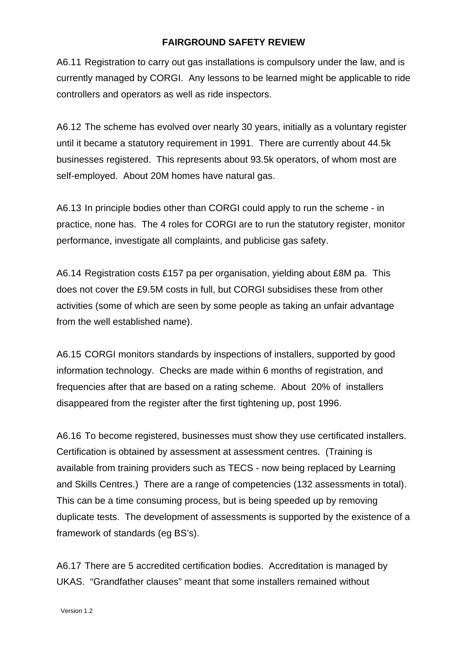A6.11 Registration to carry out gas installations is compulsory under the law, and is currently managed by CORGI. Any lessons to be learned might be applicable to ride controllers and operators as well as ride inspectors.

A6.12 The scheme has evolved over nearly 30 years, initially as a voluntary register until it became a statutory requirement in 1991. There are currently about 44.5k businesses registered. This represents about 93.5k operators, of whom most are self-employed. About 20M homes have natural gas.

A6.13 In principle bodies other than CORGI could apply to run the scheme - in practice, none has. The 4 roles for CORGI are to run the statutory register, monitor performance, investigate all complaints, and publicise gas safety.

A6.14 Registration costs £157 pa per organisation, yielding about £8M pa. This does not cover the £9.5M costs in full, but CORGI subsidises these from other activities (some of which are seen by some people as taking an unfair advantage from the well established name).

A6.15 CORGI monitors standards by inspections of installers, supported by good information technology. Checks are made within 6 months of registration, and frequencies after that are based on a rating scheme. About 20% of installers disappeared from the register after the first tightening up, post 1996.

A6.16 To become registered, businesses must show they use certificated installers. Certification is obtained by assessment at assessment centres. (Training is available from training providers such as TECS - now being replaced by Learning and Skills Centres.) There are a range of competencies (132 assessments in total). This can be a time consuming process, but is being speeded up by removing duplicate tests. The development of assessments is supported by the existence of a framework of standards (eg BS's).

A6.17 There are 5 accredited certification bodies. Accreditation is managed by UKAS. "Grandfather clauses" meant that some installers remained without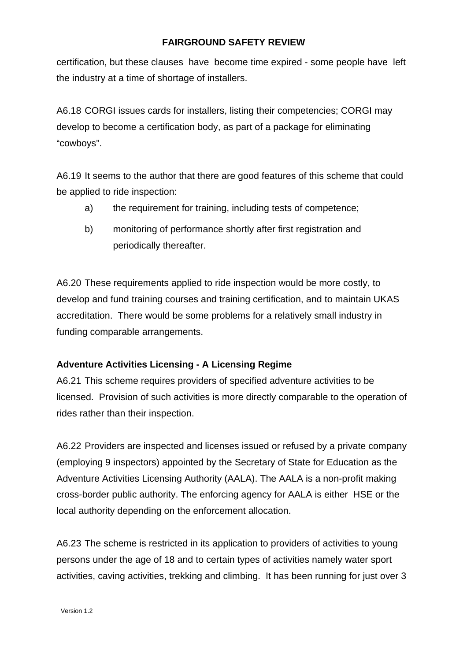certification, but these clauses have become time expired - some people have left the industry at a time of shortage of installers.

A6.18 CORGI issues cards for installers, listing their competencies; CORGI may develop to become a certification body, as part of a package for eliminating "cowboys".

A6.19 It seems to the author that there are good features of this scheme that could be applied to ride inspection:

- a) the requirement for training, including tests of competence;
- b) monitoring of performance shortly after first registration and periodically thereafter.

A6.20 These requirements applied to ride inspection would be more costly, to develop and fund training courses and training certification, and to maintain UKAS accreditation. There would be some problems for a relatively small industry in funding comparable arrangements.

## **Adventure Activities Licensing - A Licensing Regime**

A6.21 This scheme requires providers of specified adventure activities to be licensed. Provision of such activities is more directly comparable to the operation of rides rather than their inspection.

A6.22 Providers are inspected and licenses issued or refused by a private company (employing 9 inspectors) appointed by the Secretary of State for Education as the Adventure Activities Licensing Authority (AALA). The AALA is a non-profit making cross-border public authority. The enforcing agency for AALA is either HSE or the local authority depending on the enforcement allocation.

A6.23 The scheme is restricted in its application to providers of activities to young persons under the age of 18 and to certain types of activities namely water sport activities, caving activities, trekking and climbing. It has been running for just over 3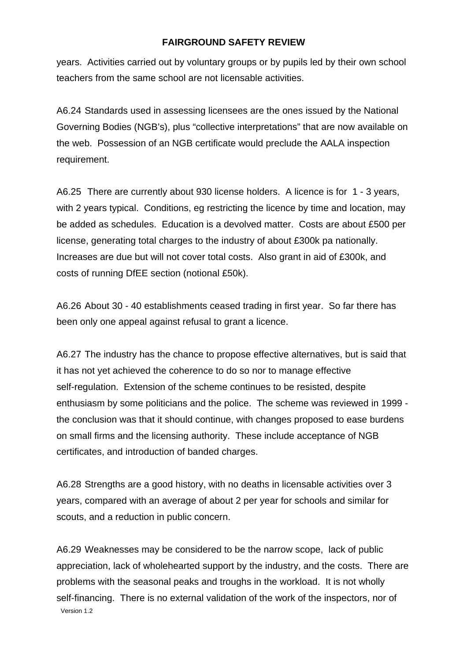years. Activities carried out by voluntary groups or by pupils led by their own school teachers from the same school are not licensable activities.

A6.24 Standards used in assessing licensees are the ones issued by the National Governing Bodies (NGB's), plus "collective interpretations" that are now available on the web. Possession of an NGB certificate would preclude the AALA inspection requirement.

A6.25 There are currently about 930 license holders. A licence is for 1 - 3 years, with 2 years typical. Conditions, eg restricting the licence by time and location, may be added as schedules. Education is a devolved matter. Costs are about £500 per license, generating total charges to the industry of about £300k pa nationally. Increases are due but will not cover total costs. Also grant in aid of £300k, and costs of running DfEE section (notional £50k).

A6.26 About 30 - 40 establishments ceased trading in first year. So far there has been only one appeal against refusal to grant a licence.

A6.27 The industry has the chance to propose effective alternatives, but is said that it has not yet achieved the coherence to do so nor to manage effective self-regulation. Extension of the scheme continues to be resisted, despite enthusiasm by some politicians and the police. The scheme was reviewed in 1999 the conclusion was that it should continue, with changes proposed to ease burdens on small firms and the licensing authority. These include acceptance of NGB certificates, and introduction of banded charges.

A6.28 Strengths are a good history, with no deaths in licensable activities over 3 years, compared with an average of about 2 per year for schools and similar for scouts, and a reduction in public concern.

A6.29 Weaknesses may be considered to be the narrow scope, lack of public appreciation, lack of wholehearted support by the industry, and the costs. There are problems with the seasonal peaks and troughs in the workload. It is not wholly self-financing. There is no external validation of the work of the inspectors, nor of Version 1.2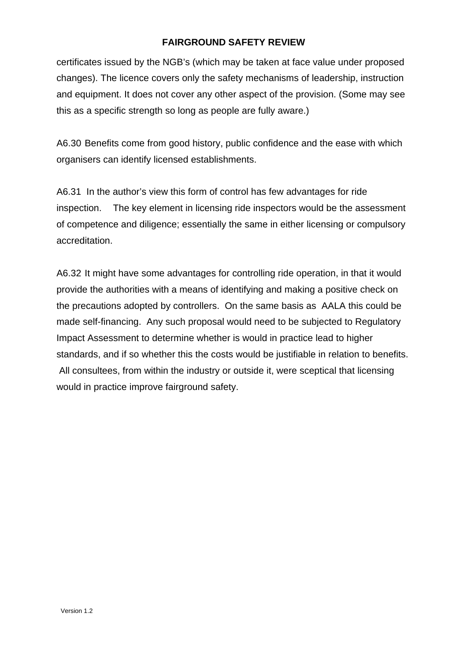certificates issued by the NGB's (which may be taken at face value under proposed changes). The licence covers only the safety mechanisms of leadership, instruction and equipment. It does not cover any other aspect of the provision. (Some may see this as a specific strength so long as people are fully aware.)

A6.30 Benefits come from good history, public confidence and the ease with which organisers can identify licensed establishments.

A6.31 In the author's view this form of control has few advantages for ride inspection. The key element in licensing ride inspectors would be the assessment of competence and diligence; essentially the same in either licensing or compulsory accreditation.

A6.32 It might have some advantages for controlling ride operation, in that it would provide the authorities with a means of identifying and making a positive check on the precautions adopted by controllers. On the same basis as AALA this could be made self-financing. Any such proposal would need to be subjected to Regulatory Impact Assessment to determine whether is would in practice lead to higher standards, and if so whether this the costs would be justifiable in relation to benefits. All consultees, from within the industry or outside it, were sceptical that licensing would in practice improve fairground safety.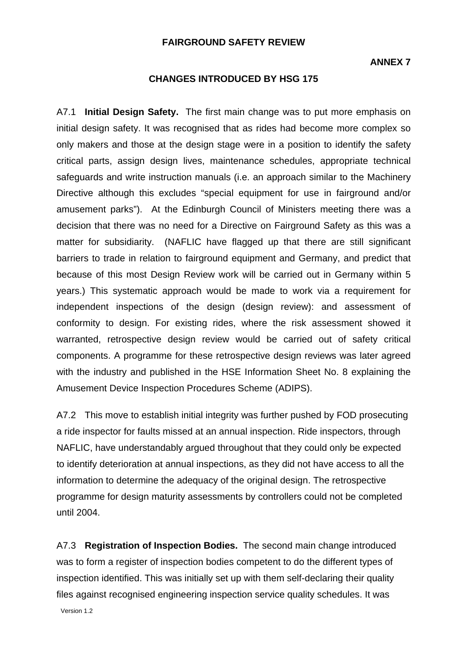#### **ANNEX 7**

#### **CHANGES INTRODUCED BY HSG 175**

A7.1 **Initial Design Safety.** The first main change was to put more emphasis on initial design safety. It was recognised that as rides had become more complex so only makers and those at the design stage were in a position to identify the safety critical parts, assign design lives, maintenance schedules, appropriate technical safeguards and write instruction manuals (i.e. an approach similar to the Machinery Directive although this excludes "special equipment for use in fairground and/or amusement parks"). At the Edinburgh Council of Ministers meeting there was a decision that there was no need for a Directive on Fairground Safety as this was a matter for subsidiarity. (NAFLIC have flagged up that there are still significant barriers to trade in relation to fairground equipment and Germany, and predict that because of this most Design Review work will be carried out in Germany within 5 years.) This systematic approach would be made to work via a requirement for independent inspections of the design (design review): and assessment of conformity to design. For existing rides, where the risk assessment showed it warranted, retrospective design review would be carried out of safety critical components. A programme for these retrospective design reviews was later agreed with the industry and published in the HSE Information Sheet No. 8 explaining the Amusement Device Inspection Procedures Scheme (ADIPS).

A7.2 This move to establish initial integrity was further pushed by FOD prosecuting a ride inspector for faults missed at an annual inspection. Ride inspectors, through NAFLIC, have understandably argued throughout that they could only be expected to identify deterioration at annual inspections, as they did not have access to all the information to determine the adequacy of the original design. The retrospective programme for design maturity assessments by controllers could not be completed until 2004.

A7.3 **Registration of Inspection Bodies.** The second main change introduced was to form a register of inspection bodies competent to do the different types of inspection identified. This was initially set up with them self-declaring their quality files against recognised engineering inspection service quality schedules. It was

Version 1.2